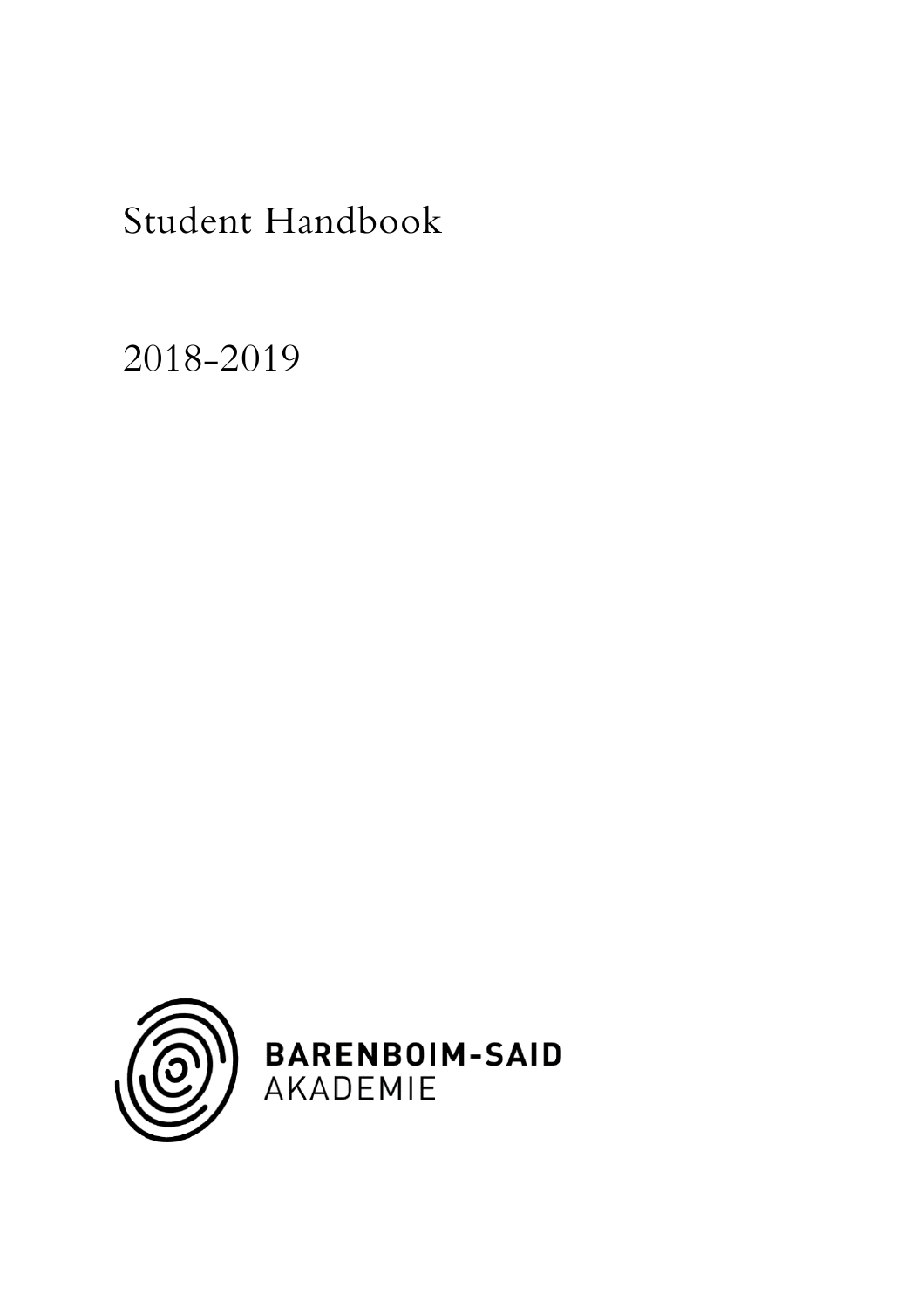2018-2019

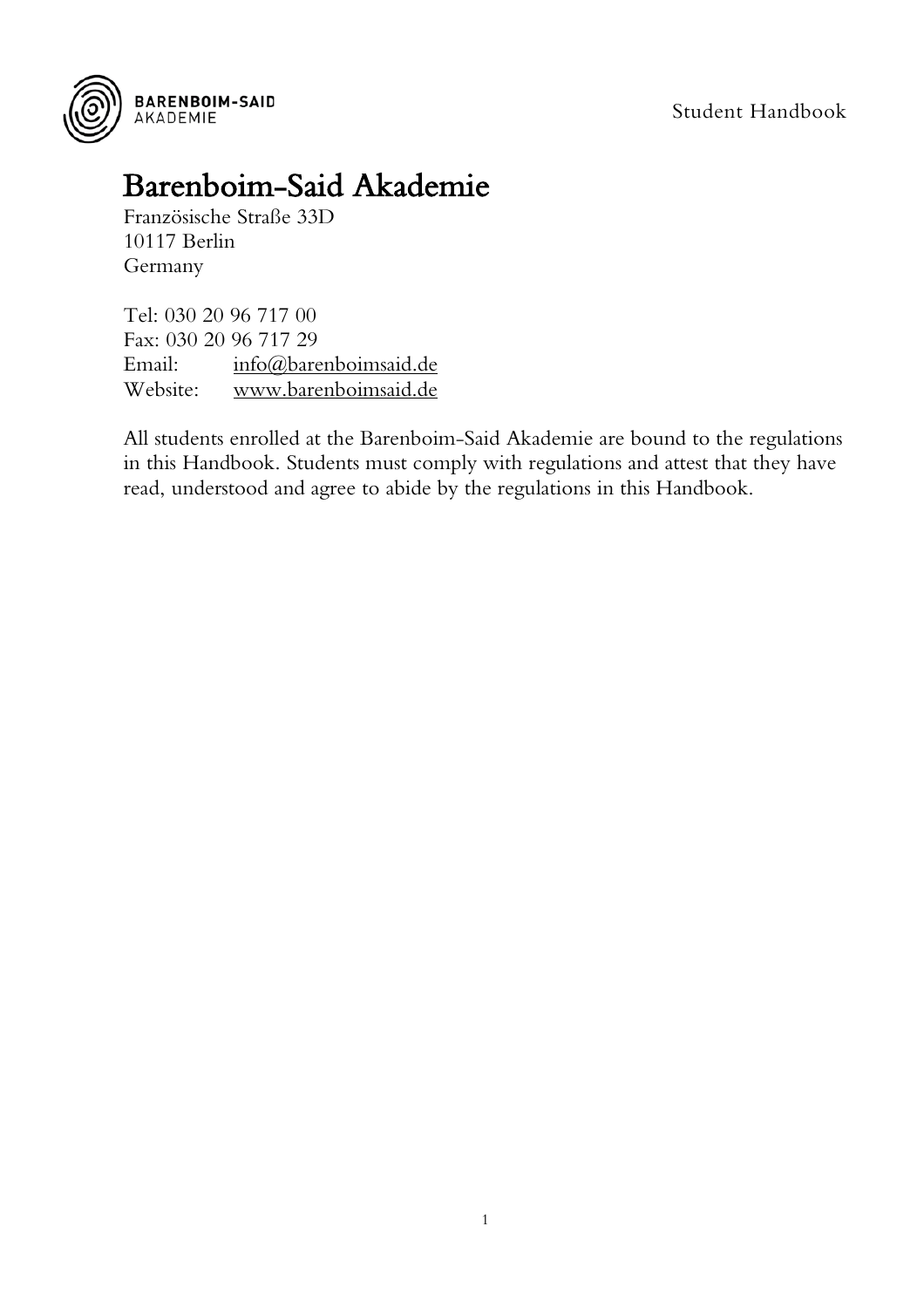

## Barenboim-Said Akademie Französische Straße 33D

10117 Berlin Germany

Tel: 030 20 96 717 00 Fax: 030 20 96 717 29 Email: [info@barenboimsaid.de](mailto:info@barenboimsaid.de) Website: [www.barenboimsaid.de](http://www.barenboimsaid.de/)

All students enrolled at the Barenboim-Said Akademie are bound to the regulations in this Handbook. Students must comply with regulations and attest that they have read, understood and agree to abide by the regulations in this Handbook.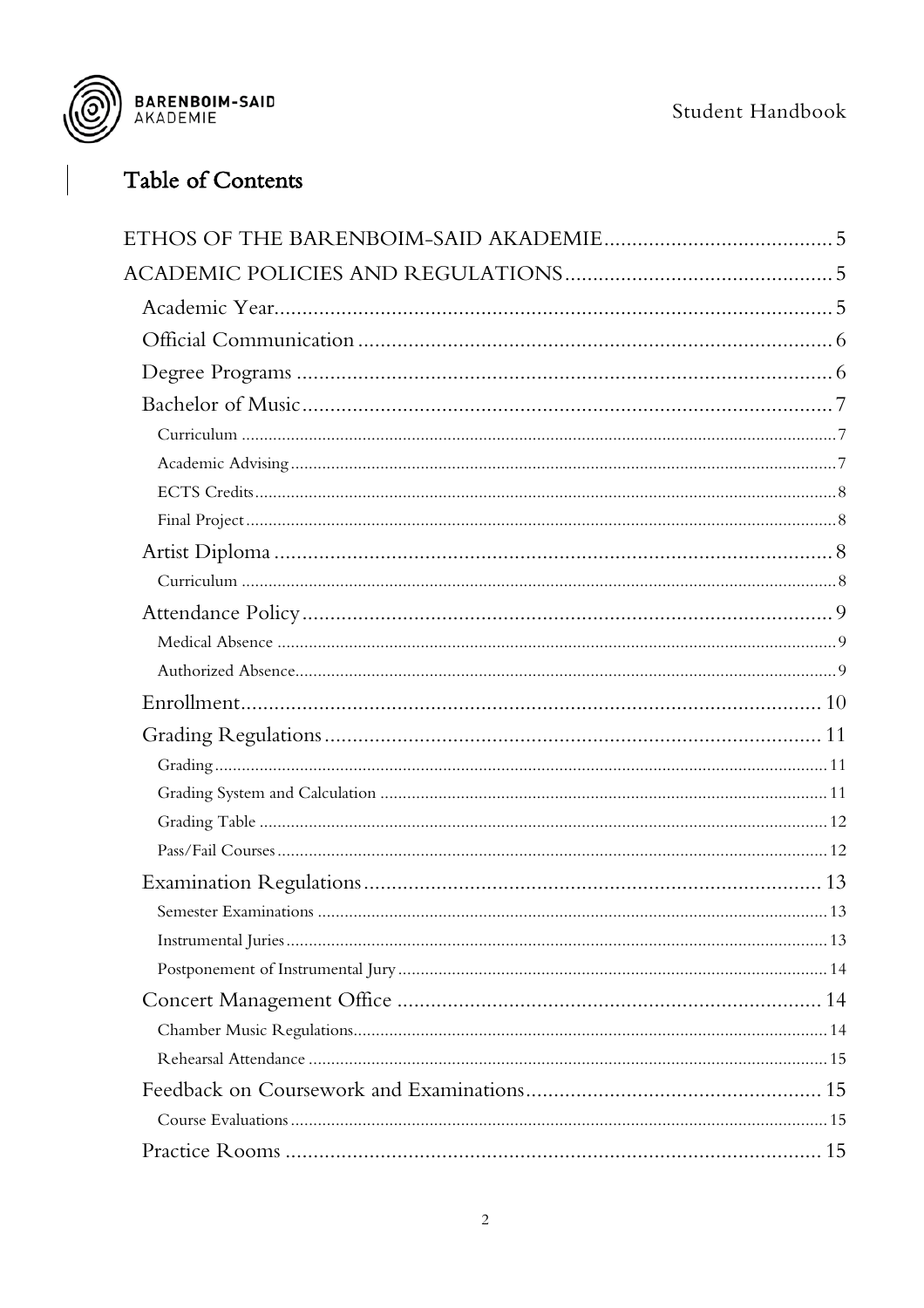



## Table of Contents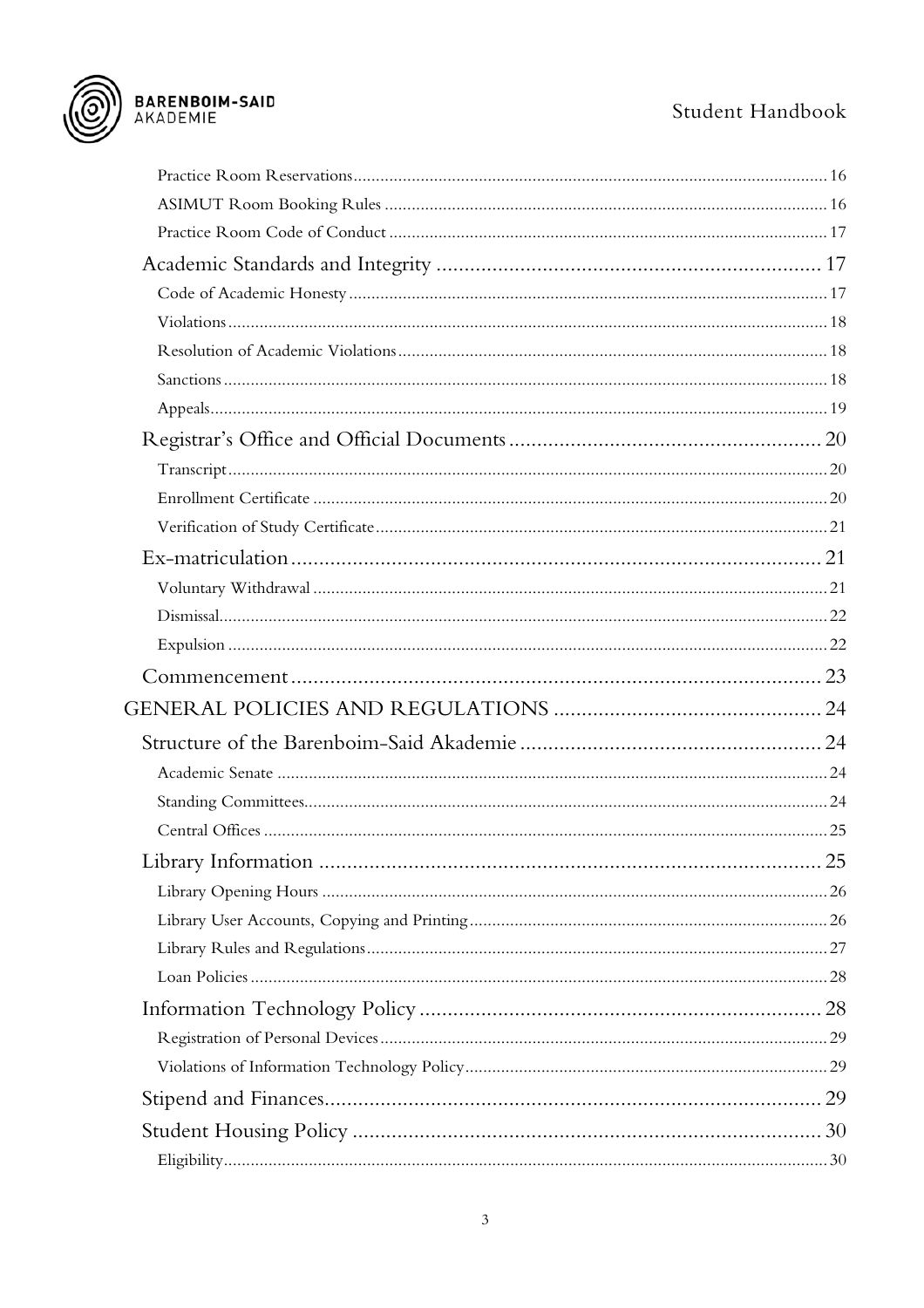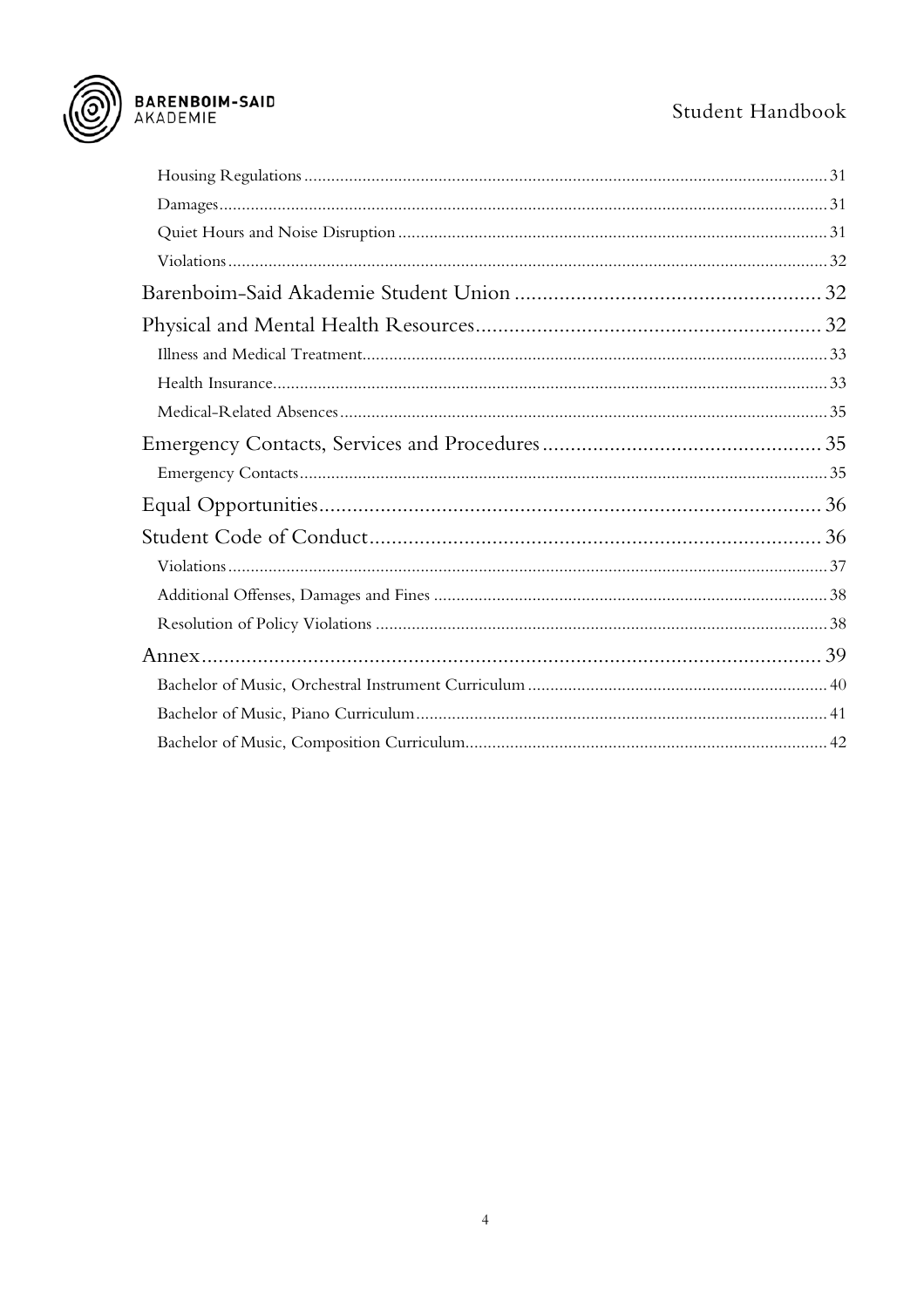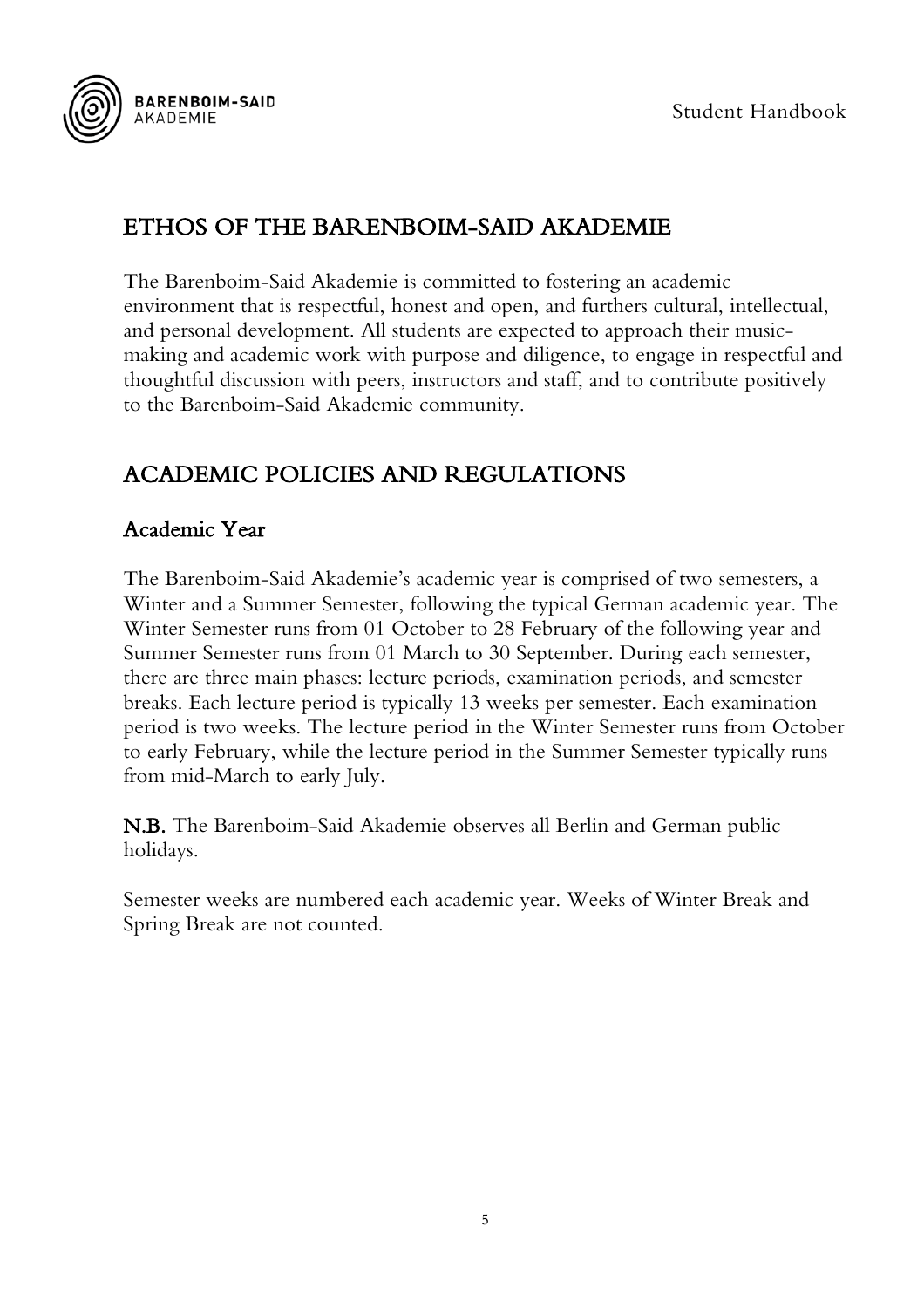

## <span id="page-5-0"></span>ETHOS OF THE BARENBOIM-SAID AKADEMIE

The Barenboim-Said Akademie is committed to fostering an academic environment that is respectful, honest and open, and furthers cultural, intellectual, and personal development. All students are expected to approach their musicmaking and academic work with purpose and diligence, to engage in respectful and thoughtful discussion with peers, instructors and staff, and to contribute positively to the Barenboim-Said Akademie community.

## <span id="page-5-1"></span>ACADEMIC POLICIES AND REGULATIONS

#### <span id="page-5-2"></span>Academic Year

The Barenboim-Said Akademie's academic year is comprised of two semesters, a Winter and a Summer Semester, following the typical German academic year. The Winter Semester runs from 01 October to 28 February of the following year and Summer Semester runs from 01 March to 30 September. During each semester, there are three main phases: lecture periods, examination periods, and semester breaks. Each lecture period is typically 13 weeks per semester. Each examination period is two weeks. The lecture period in the Winter Semester runs from October to early February, while the lecture period in the Summer Semester typically runs from mid-March to early July.

N.B. The Barenboim-Said Akademie observes all Berlin and German public holidays.

Semester weeks are numbered each academic year. Weeks of Winter Break and Spring Break are not counted.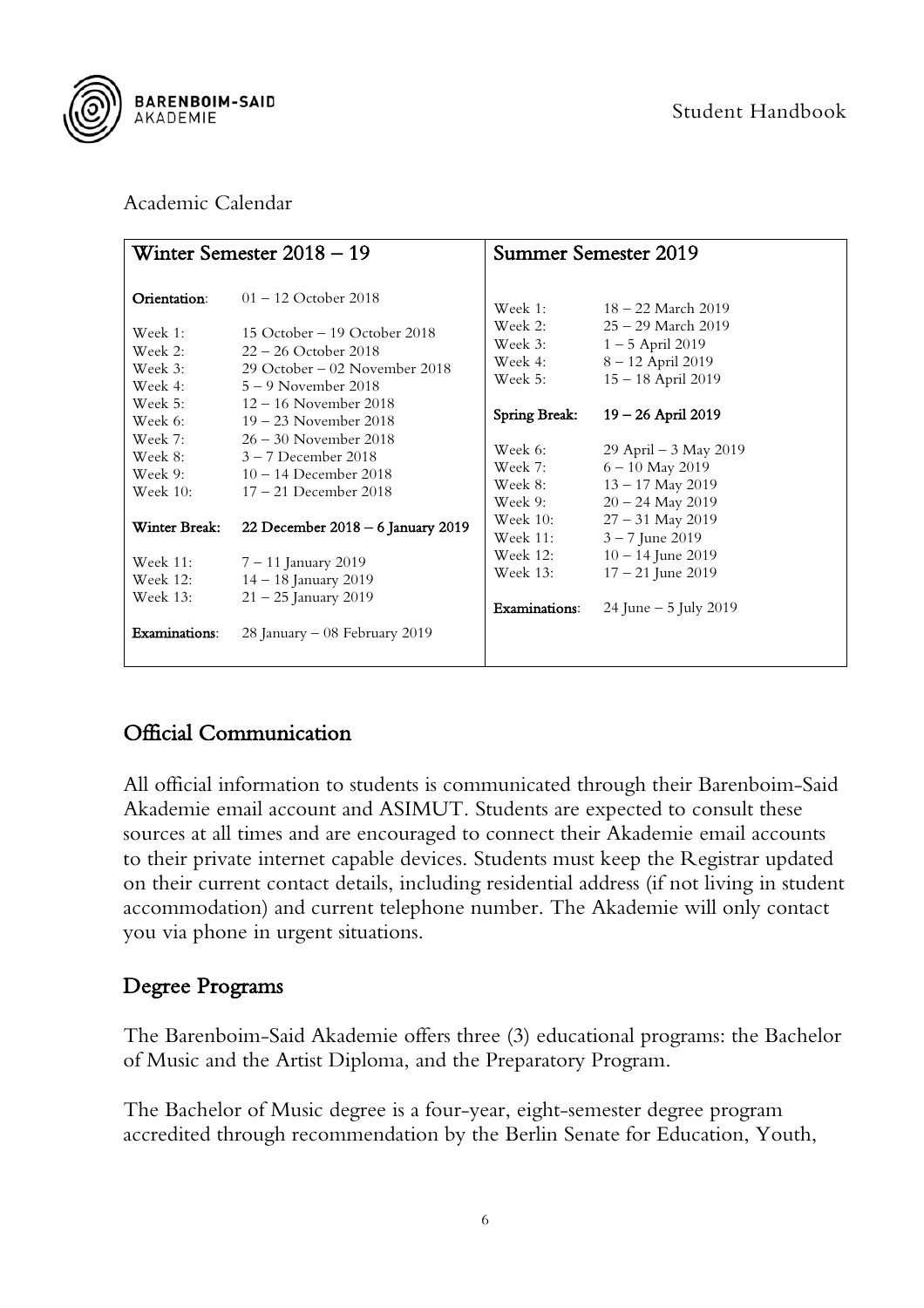

#### Academic Calendar

|                                                                        | Winter Semester $2018 - 19$                                                                                                                                  |                                                           | Summer Semester 2019                                                                                             |
|------------------------------------------------------------------------|--------------------------------------------------------------------------------------------------------------------------------------------------------------|-----------------------------------------------------------|------------------------------------------------------------------------------------------------------------------|
| Orientation:<br>Week 1:<br>Week 2:<br>Week 3:<br>Week 4:               | $01 - 12$ October 2018<br>15 October – 19 October 2018<br>$22 - 26$ October 2018<br>29 October – 02 November 2018<br>$5-9$ November 2018                     | Week 1:<br>Week 2:<br>Week 3:<br>Week 4:<br>Week 5:       | 18 – 22 March 2019<br>$25 - 29$ March $2019$<br>$1 - 5$ April 2019<br>8-12 April 2019<br>$15 - 18$ April 2019    |
| Week 5:<br>Week 6:<br>Week 7:<br>Week 8:<br>Week 9:<br><b>Week 10:</b> | $12 - 16$ November 2018<br>$19 - 23$ November 2018<br>$26 - 30$ November 2018<br>$3 - 7$ December 2018<br>$10 - 14$ December 2018<br>$17 - 21$ December 2018 | Spring Break:<br>Week 6:<br>Week 7:<br>Week 8:<br>Week 9: | $19 - 26$ April 2019<br>29 April – $3$ May 2019<br>$6 - 10$ May 2019<br>$13 - 17$ May 2019<br>$20 - 24$ May 2019 |
| Winter Break:                                                          | 22 December 2018 - 6 January 2019                                                                                                                            | Week $10$ :<br><b>Week 11:</b>                            | $27 - 31$ May 2019<br>$3 - 7$ June 2019                                                                          |
| Week 11:<br>Week 12:<br>Week 13:                                       | $7 - 11$ January 2019<br>$14 - 18$ January 2019<br>$21 - 25$ January 2019                                                                                    | Week 12:<br>Week 13:<br>Examinations:                     | $10 - 14$ June 2019<br>$17 - 21$ June 2019<br>24 June $-5$ July 2019                                             |
| Examinations:                                                          | 28 January $-08$ February 2019                                                                                                                               |                                                           |                                                                                                                  |

## <span id="page-6-0"></span>Official Communication

All official information to students is communicated through their Barenboim-Said Akademie email account and ASIMUT. Students are expected to consult these sources at all times and are encouraged to connect their Akademie email accounts to their private internet capable devices. Students must keep the Registrar updated on their current contact details, including residential address (if not living in student accommodation) and current telephone number. The Akademie will only contact you via phone in urgent situations.

#### <span id="page-6-1"></span>Degree Programs

The Barenboim-Said Akademie offers three (3) educational programs: the Bachelor of Music and the Artist Diploma, and the Preparatory Program.

The Bachelor of Music degree is a four-year, eight-semester degree program accredited through recommendation by the Berlin Senate for Education, Youth,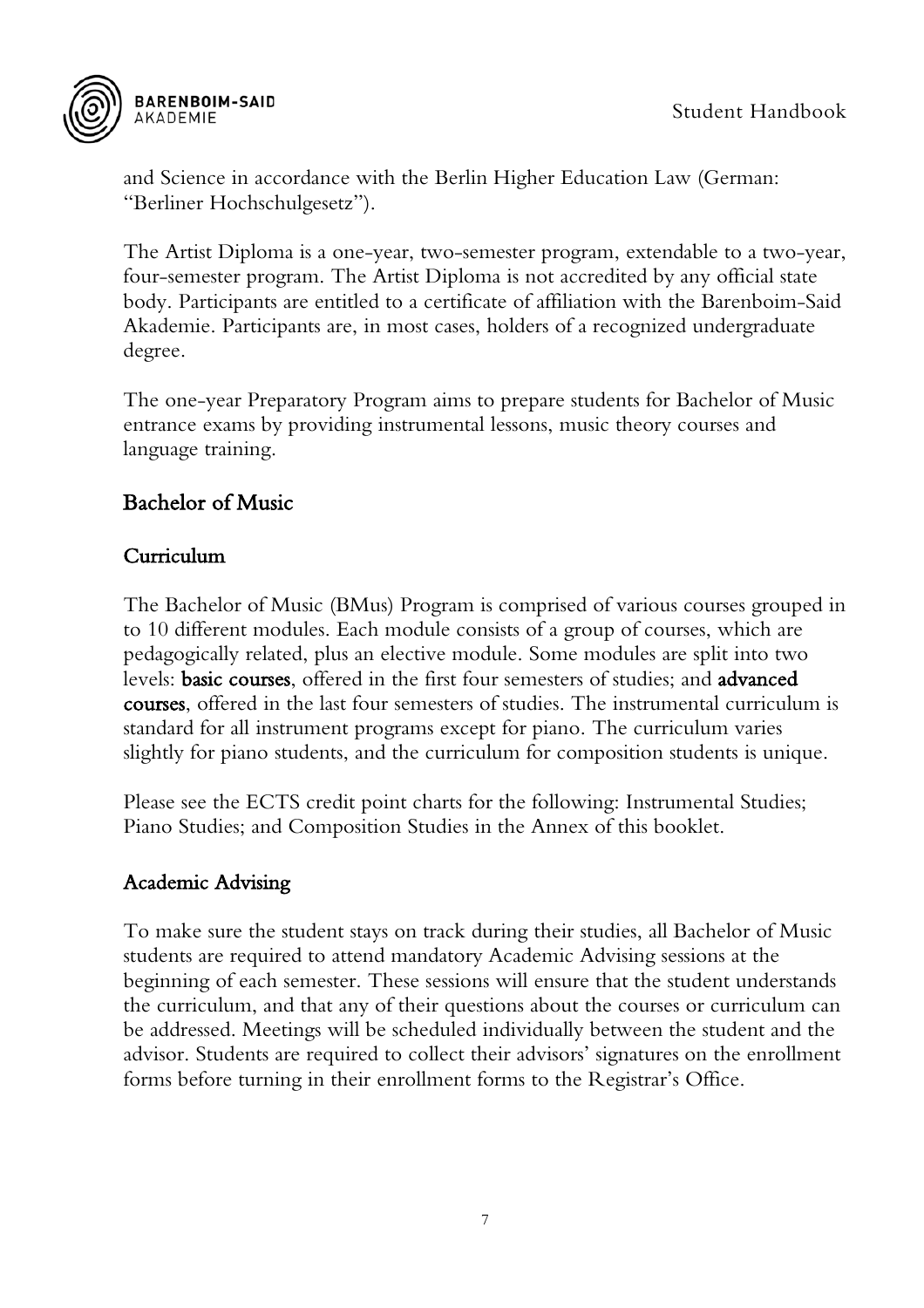

and Science in accordance with the Berlin Higher Education Law (German: "Berliner Hochschulgesetz").

The Artist Diploma is a one-year, two-semester program, extendable to a two-year, four-semester program. The Artist Diploma is not accredited by any official state body. Participants are entitled to a certificate of affiliation with the Barenboim-Said Akademie. Participants are, in most cases, holders of a recognized undergraduate degree.

The one-year Preparatory Program aims to prepare students for Bachelor of Music entrance exams by providing instrumental lessons, music theory courses and language training.

#### <span id="page-7-0"></span>Bachelor of Music

#### <span id="page-7-1"></span>Curriculum

The Bachelor of Music (BMus) Program is comprised of various courses grouped in to 10 different modules. Each module consists of a group of courses, which are pedagogically related, plus an elective module. Some modules are split into two levels: basic courses, offered in the first four semesters of studies; and advanced courses, offered in the last four semesters of studies. The instrumental curriculum is standard for all instrument programs except for piano. The curriculum varies slightly for piano students, and the curriculum for composition students is unique.

Please see the ECTS credit point charts for the following: Instrumental Studies; Piano Studies; and Composition Studies in the Annex of this booklet.

#### <span id="page-7-2"></span>Academic Advising

To make sure the student stays on track during their studies, all Bachelor of Music students are required to attend mandatory Academic Advising sessions at the beginning of each semester. These sessions will ensure that the student understands the curriculum, and that any of their questions about the courses or curriculum can be addressed. Meetings will be scheduled individually between the student and the advisor. Students are required to collect their advisors' signatures on the enrollment forms before turning in their enrollment forms to the Registrar's Office.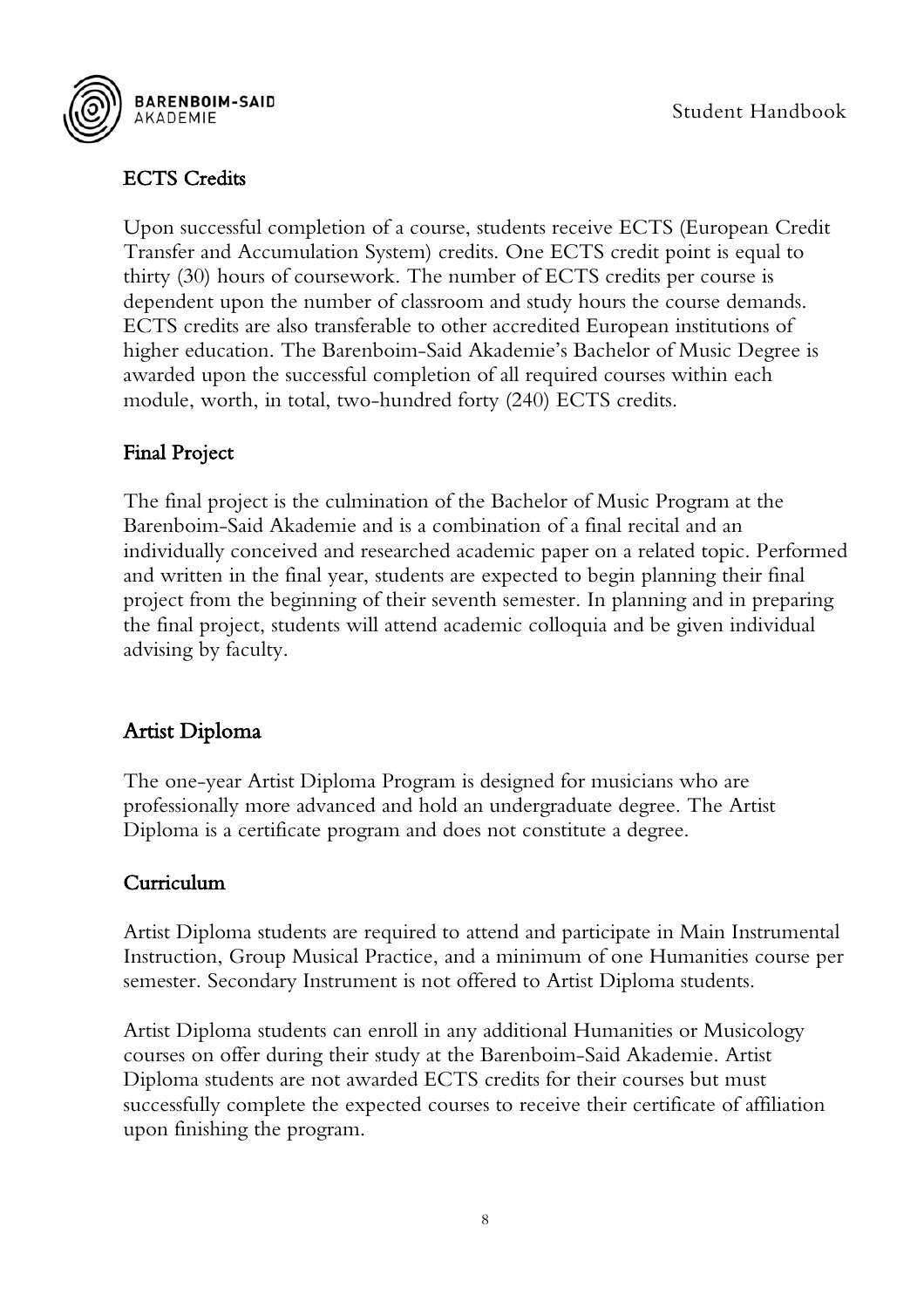

#### <span id="page-8-0"></span>ECTS Credits

Upon successful completion of a course, students receive ECTS (European Credit Transfer and Accumulation System) credits. One ECTS credit point is equal to thirty (30) hours of coursework. The number of ECTS credits per course is dependent upon the number of classroom and study hours the course demands. ECTS credits are also transferable to other accredited European institutions of higher education. The Barenboim-Said Akademie's Bachelor of Music Degree is awarded upon the successful completion of all required courses within each module, worth, in total, two-hundred forty (240) ECTS credits.

#### <span id="page-8-1"></span>Final Project

The final project is the culmination of the Bachelor of Music Program at the Barenboim-Said Akademie and is a combination of a final recital and an individually conceived and researched academic paper on a related topic. Performed and written in the final year, students are expected to begin planning their final project from the beginning of their seventh semester. In planning and in preparing the final project, students will attend academic colloquia and be given individual advising by faculty.

## <span id="page-8-2"></span>Artist Diploma

The one-year Artist Diploma Program is designed for musicians who are professionally more advanced and hold an undergraduate degree. The Artist Diploma is a certificate program and does not constitute a degree.

#### <span id="page-8-3"></span>Curriculum

Artist Diploma students are required to attend and participate in Main Instrumental Instruction, Group Musical Practice, and a minimum of one Humanities course per semester. Secondary Instrument is not offered to Artist Diploma students.

Artist Diploma students can enroll in any additional Humanities or Musicology courses on offer during their study at the Barenboim-Said Akademie. Artist Diploma students are not awarded ECTS credits for their courses but must successfully complete the expected courses to receive their certificate of affiliation upon finishing the program.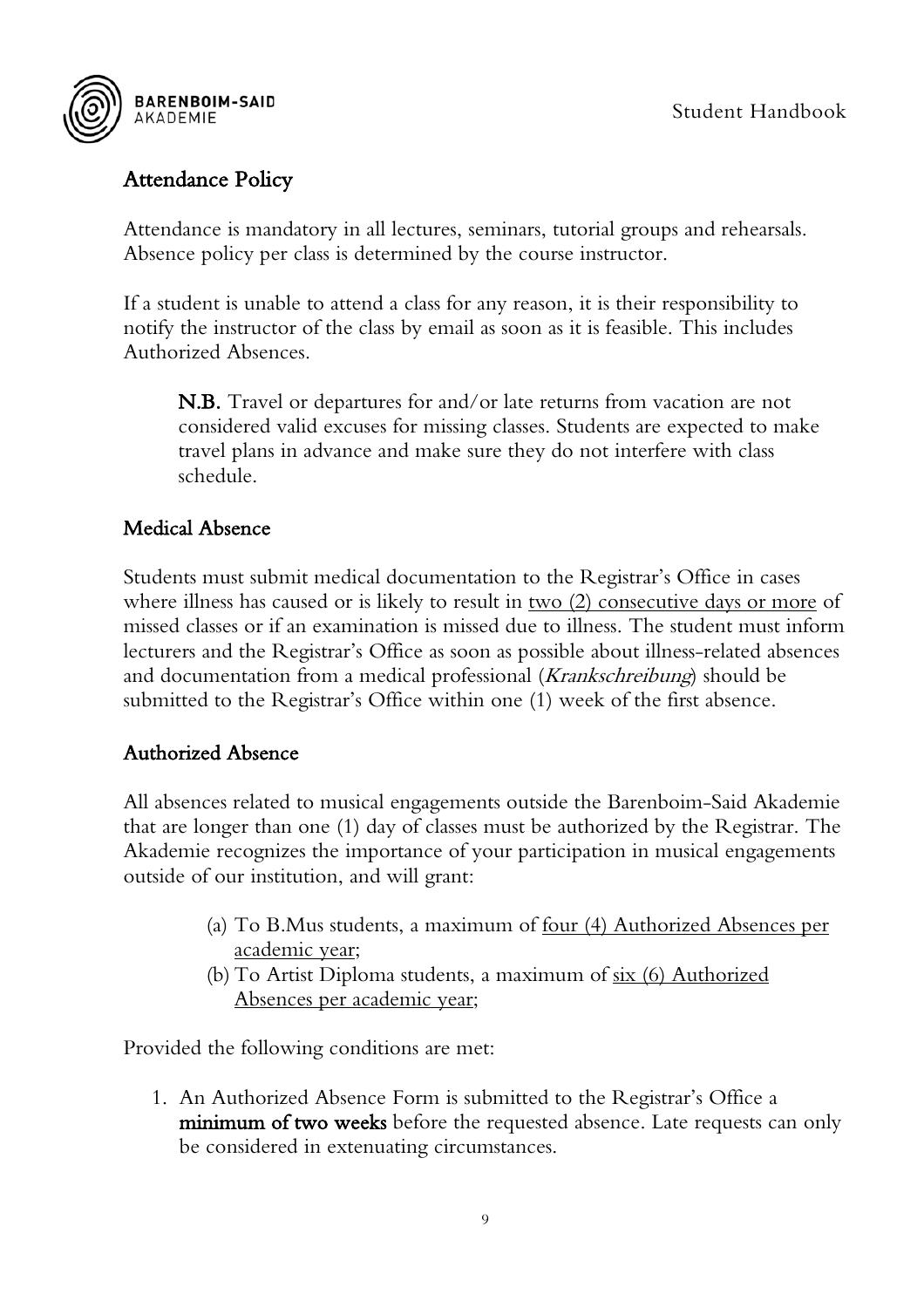

#### <span id="page-9-0"></span>Attendance Policy

Attendance is mandatory in all lectures, seminars, tutorial groups and rehearsals. Absence policy per class is determined by the course instructor.

If a student is unable to attend a class for any reason, it is their responsibility to notify the instructor of the class by email as soon as it is feasible. This includes Authorized Absences.

N.B. Travel or departures for and/or late returns from vacation are not considered valid excuses for missing classes. Students are expected to make travel plans in advance and make sure they do not interfere with class schedule.

#### <span id="page-9-1"></span>Medical Absence

Students must submit medical documentation to the Registrar's Office in cases where illness has caused or is likely to result in two (2) consecutive days or more of missed classes or if an examination is missed due to illness. The student must inform lecturers and the Registrar's Office as soon as possible about illness-related absences and documentation from a medical professional (Krankschreibung) should be submitted to the Registrar's Office within one (1) week of the first absence.

#### <span id="page-9-2"></span>Authorized Absence

All absences related to musical engagements outside the Barenboim-Said Akademie that are longer than one (1) day of classes must be authorized by the Registrar. The Akademie recognizes the importance of your participation in musical engagements outside of our institution, and will grant:

- (a) To B.Mus students, a maximum of four (4) Authorized Absences per academic year;
- (b) To Artist Diploma students, a maximum of six (6) Authorized Absences per academic year;

Provided the following conditions are met:

1. An Authorized Absence Form is submitted to the Registrar's Office a minimum of two weeks before the requested absence. Late requests can only be considered in extenuating circumstances.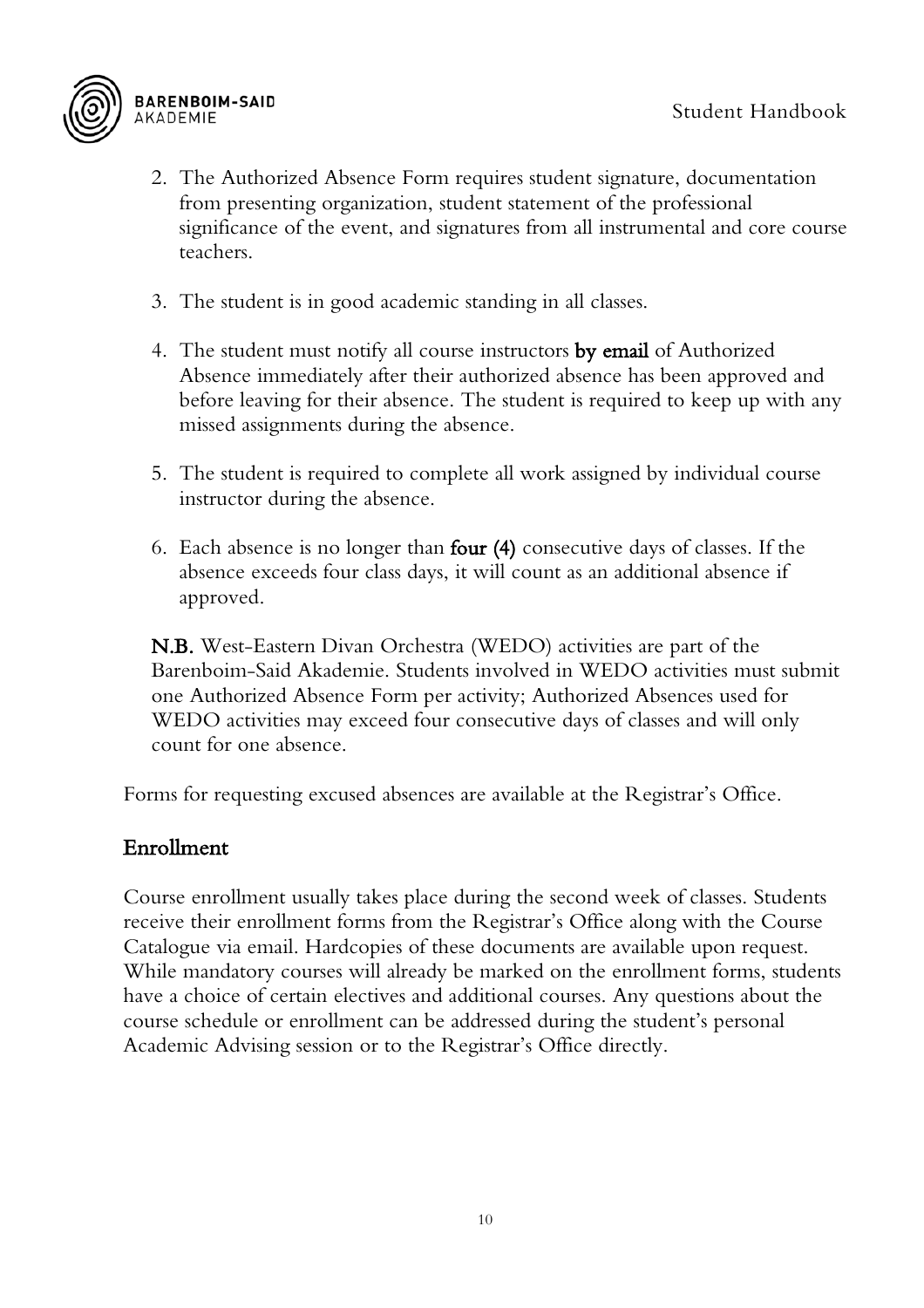

- 2. The Authorized Absence Form requires student signature, documentation from presenting organization, student statement of the professional significance of the event, and signatures from all instrumental and core course teachers.
- 3. The student is in good academic standing in all classes.
- 4. The student must notify all course instructors by email of Authorized Absence immediately after their authorized absence has been approved and before leaving for their absence. The student is required to keep up with any missed assignments during the absence.
- 5. The student is required to complete all work assigned by individual course instructor during the absence.
- 6. Each absence is no longer than four (4) consecutive days of classes. If the absence exceeds four class days, it will count as an additional absence if approved.

N.B. West-Eastern Divan Orchestra (WEDO) activities are part of the Barenboim-Said Akademie. Students involved in WEDO activities must submit one Authorized Absence Form per activity; Authorized Absences used for WEDO activities may exceed four consecutive days of classes and will only count for one absence.

Forms for requesting excused absences are available at the Registrar's Office.

#### <span id="page-10-0"></span>Enrollment

Course enrollment usually takes place during the second week of classes. Students receive their enrollment forms from the Registrar's Office along with the Course Catalogue via email. Hardcopies of these documents are available upon request. While mandatory courses will already be marked on the enrollment forms, students have a choice of certain electives and additional courses. Any questions about the course schedule or enrollment can be addressed during the student's personal Academic Advising session or to the Registrar's Office directly.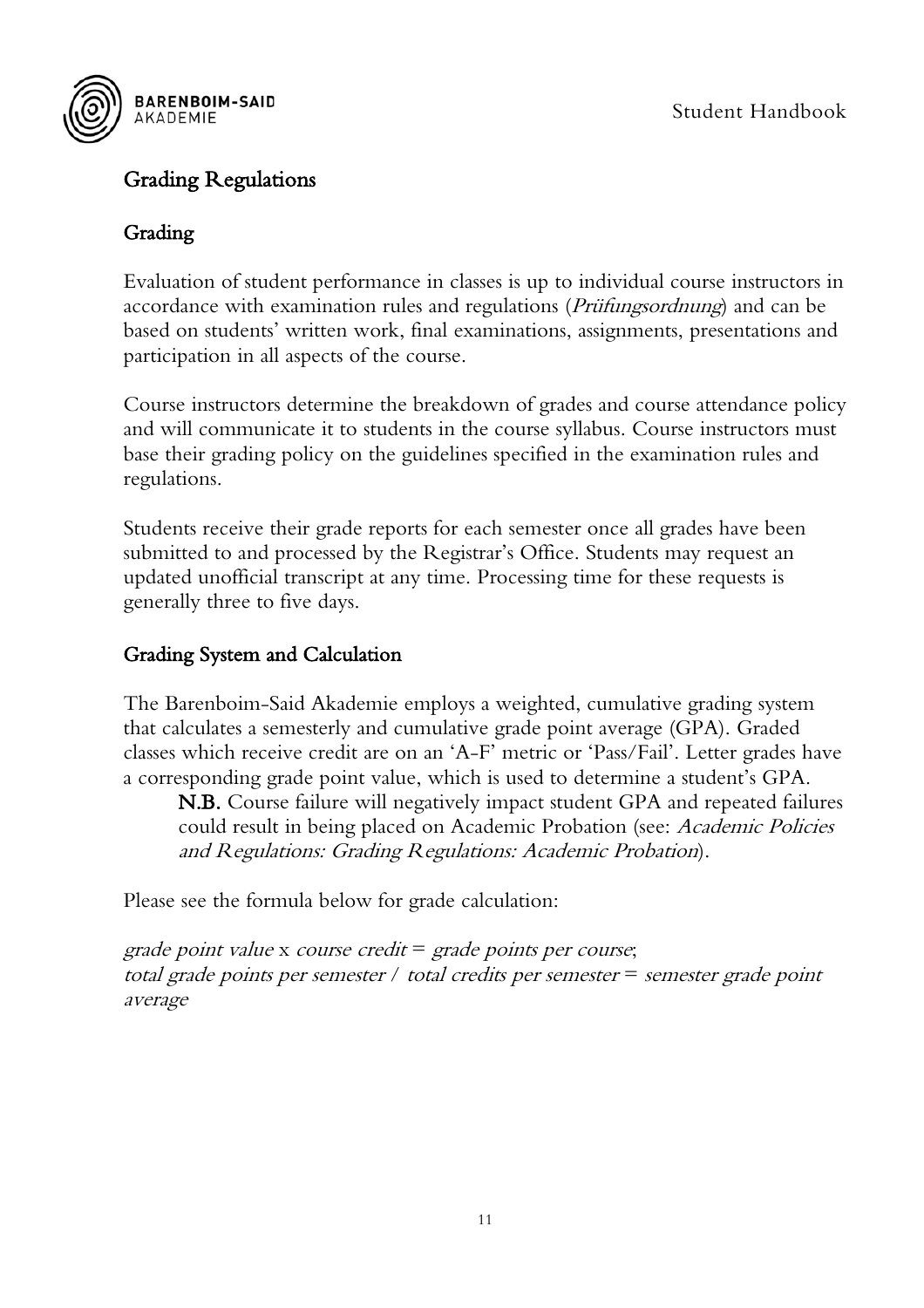

#### <span id="page-11-0"></span>Grading Regulations

#### <span id="page-11-1"></span>Grading

Evaluation of student performance in classes is up to individual course instructors in accordance with examination rules and regulations (*Prüfungsordnung*) and can be based on students' written work, final examinations, assignments, presentations and participation in all aspects of the course.

Course instructors determine the breakdown of grades and course attendance policy and will communicate it to students in the course syllabus. Course instructors must base their grading policy on the guidelines specified in the examination rules and regulations.

Students receive their grade reports for each semester once all grades have been submitted to and processed by the Registrar's Office. Students may request an updated unofficial transcript at any time. Processing time for these requests is generally three to five days.

#### <span id="page-11-2"></span>Grading System and Calculation

The Barenboim-Said Akademie employs a weighted, cumulative grading system that calculates a semesterly and cumulative grade point average (GPA). Graded classes which receive credit are on an 'A-F' metric or 'Pass/Fail'. Letter grades have a corresponding grade point value, which is used to determine a student's GPA.

N.B. Course failure will negatively impact student GPA and repeated failures could result in being placed on Academic Probation (see: Academic Policies and Regulations: Grading Regulations: Academic Probation).

Please see the formula below for grade calculation:

grade point value x course credit  $=$  grade points per course; total grade points per semester / total credits per semester = semester grade point average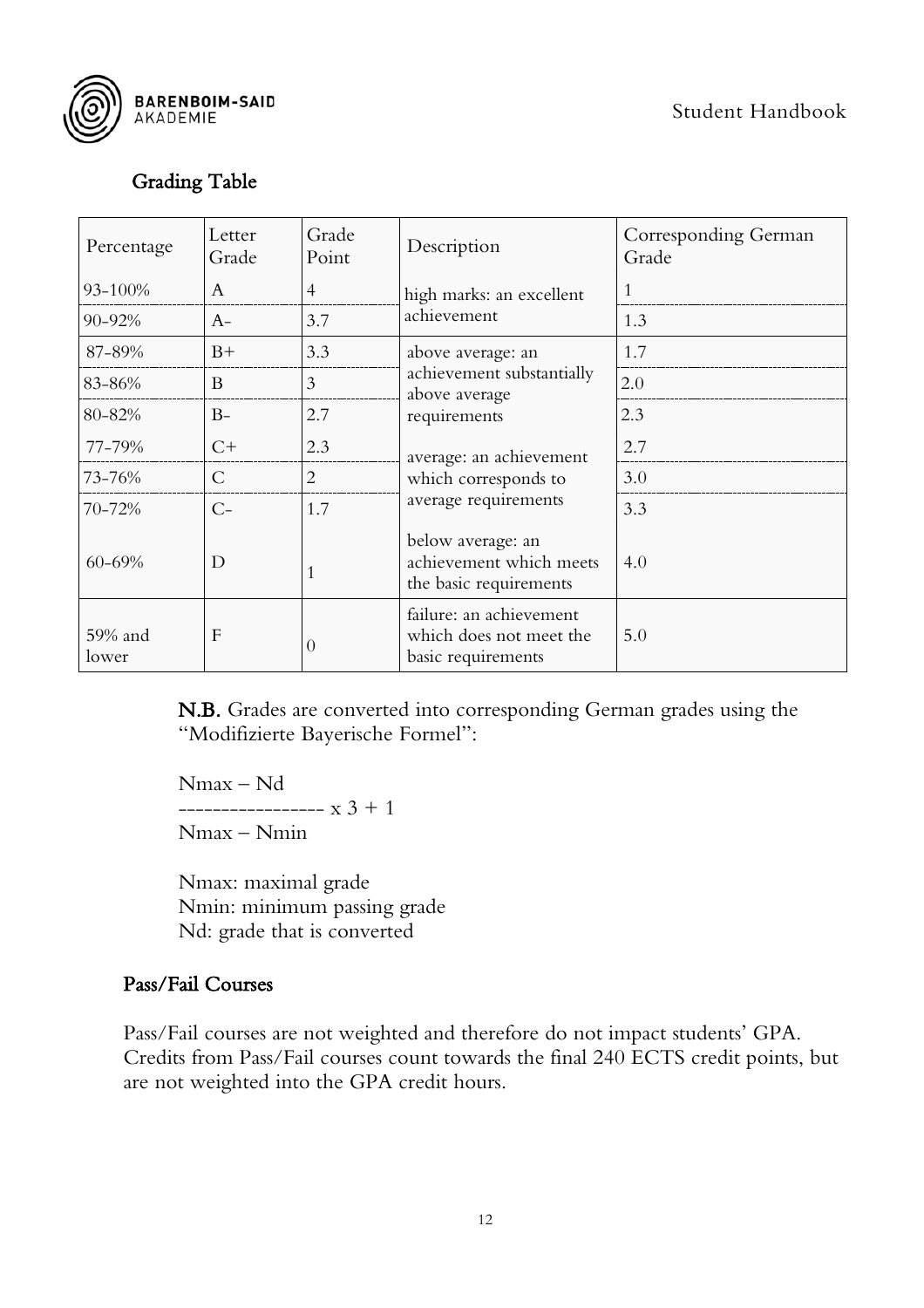



#### <span id="page-12-0"></span>Grading Table

| Percentage       | Letter<br>Grade | Grade<br>Point | Description                                                              | Corresponding German<br>Grade |
|------------------|-----------------|----------------|--------------------------------------------------------------------------|-------------------------------|
| 93-100%          | A               | $\overline{4}$ | high marks: an excellent                                                 |                               |
| 90-92%           | $A-$            | 3.7            | achievement                                                              | 1.3                           |
| 87-89%           | $B+$            | 3.3            | above average: an                                                        | 1.7                           |
| 83-86%           | B               | 3              | achievement substantially<br>above average                               | 2.0                           |
| 80-82%           | $B-$            | 2.7            | requirements                                                             | 2.3                           |
| 77-79%           | $C+$            | 2.3            | average: an achievement                                                  | 2.7                           |
| 73-76%           | $\mathcal{C}$   | $\overline{2}$ | which corresponds to                                                     | 3.0                           |
| 70-72%           | $C-$            | 1.7            | average requirements                                                     | 3.3                           |
| 60-69%           | D               |                | below average: an<br>achievement which meets<br>the basic requirements   | 4.0                           |
| 59% and<br>lower | F               | $\theta$       | failure: an achievement<br>which does not meet the<br>basic requirements | 5.0                           |

N.B. Grades are converted into corresponding German grades using the "Modifizierte Bayerische Formel":

Nmax – Nd  $--------x$  3 + 1 Nmax – Nmin

Nmax: maximal grade Nmin: minimum passing grade Nd: grade that is converted

#### <span id="page-12-1"></span>Pass/Fail Courses

Pass/Fail courses are not weighted and therefore do not impact students' GPA. Credits from Pass/Fail courses count towards the final 240 ECTS credit points, but are not weighted into the GPA credit hours.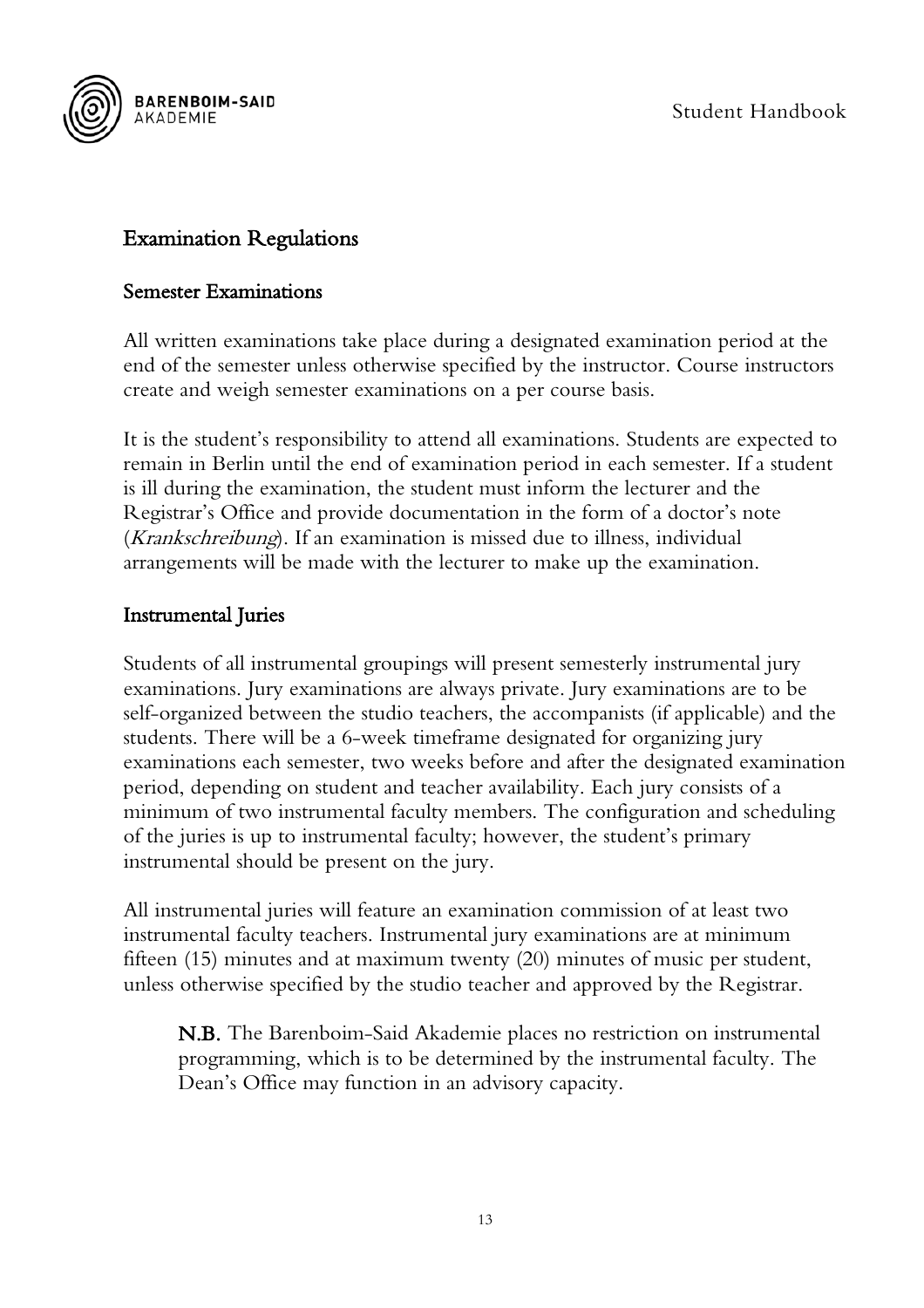



#### <span id="page-13-0"></span>Examination Regulations

#### <span id="page-13-1"></span>Semester Examinations

All written examinations take place during a designated examination period at the end of the semester unless otherwise specified by the instructor. Course instructors create and weigh semester examinations on a per course basis.

It is the student's responsibility to attend all examinations. Students are expected to remain in Berlin until the end of examination period in each semester. If a student is ill during the examination, the student must inform the lecturer and the Registrar's Office and provide documentation in the form of a doctor's note (Krankschreibung). If an examination is missed due to illness, individual arrangements will be made with the lecturer to make up the examination.

#### <span id="page-13-2"></span>Instrumental Juries

Students of all instrumental groupings will present semesterly instrumental jury examinations. Jury examinations are always private. Jury examinations are to be self-organized between the studio teachers, the accompanists (if applicable) and the students. There will be a 6-week timeframe designated for organizing jury examinations each semester, two weeks before and after the designated examination period, depending on student and teacher availability. Each jury consists of a minimum of two instrumental faculty members. The configuration and scheduling of the juries is up to instrumental faculty; however, the student's primary instrumental should be present on the jury.

All instrumental juries will feature an examination commission of at least two instrumental faculty teachers. Instrumental jury examinations are at minimum fifteen (15) minutes and at maximum twenty (20) minutes of music per student, unless otherwise specified by the studio teacher and approved by the Registrar.

N.B. The Barenboim-Said Akademie places no restriction on instrumental programming, which is to be determined by the instrumental faculty. The Dean's Office may function in an advisory capacity.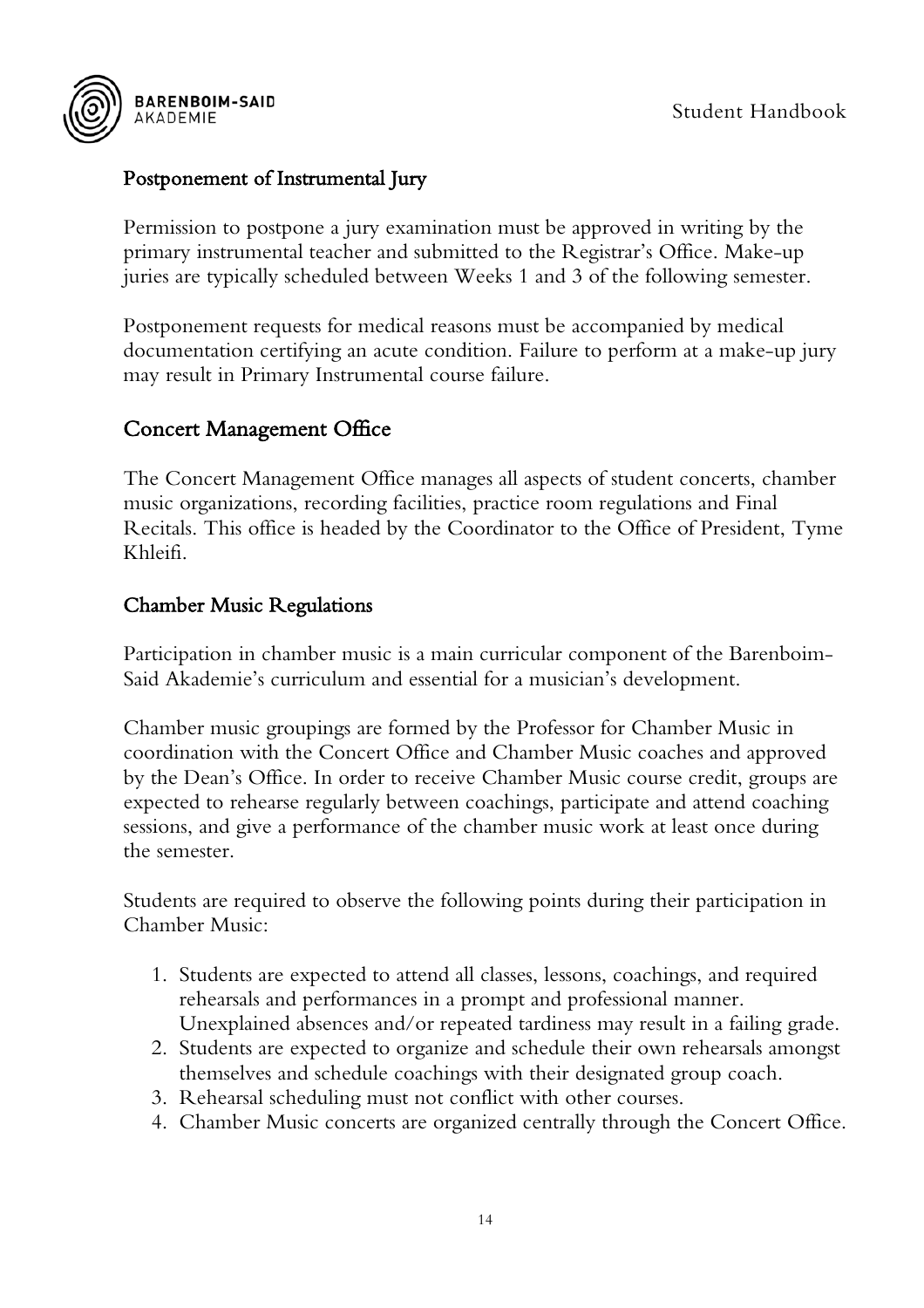

#### <span id="page-14-0"></span>Postponement of Instrumental Jury

Permission to postpone a jury examination must be approved in writing by the primary instrumental teacher and submitted to the Registrar's Office. Make-up juries are typically scheduled between Weeks 1 and 3 of the following semester.

Postponement requests for medical reasons must be accompanied by medical documentation certifying an acute condition. Failure to perform at a make-up jury may result in Primary Instrumental course failure.

#### <span id="page-14-1"></span>Concert Management Office

The Concert Management Office manages all aspects of student concerts, chamber music organizations, recording facilities, practice room regulations and Final Recitals. This office is headed by the Coordinator to the Office of President, Tyme Khleifi.

#### <span id="page-14-2"></span>Chamber Music Regulations

Participation in chamber music is a main curricular component of the Barenboim-Said Akademie's curriculum and essential for a musician's development.

Chamber music groupings are formed by the Professor for Chamber Music in coordination with the Concert Office and Chamber Music coaches and approved by the Dean's Office. In order to receive Chamber Music course credit, groups are expected to rehearse regularly between coachings, participate and attend coaching sessions, and give a performance of the chamber music work at least once during the semester.

Students are required to observe the following points during their participation in Chamber Music:

- 1. Students are expected to attend all classes, lessons, coachings, and required rehearsals and performances in a prompt and professional manner. Unexplained absences and/or repeated tardiness may result in a failing grade.
- 2. Students are expected to organize and schedule their own rehearsals amongst themselves and schedule coachings with their designated group coach.
- 3. Rehearsal scheduling must not conflict with other courses.
- 4. Chamber Music concerts are organized centrally through the Concert Office.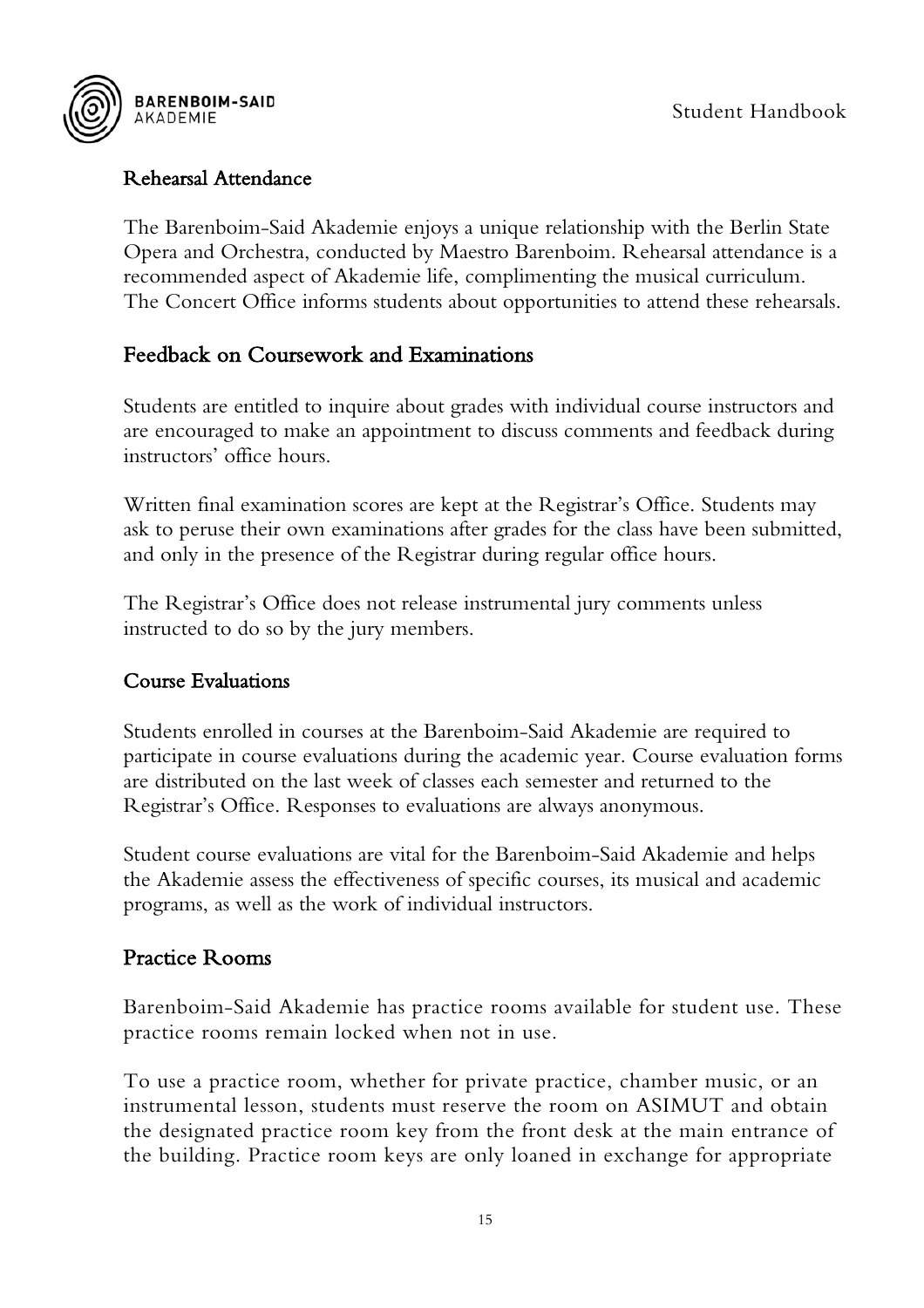



#### <span id="page-15-0"></span>Rehearsal Attendance

The Barenboim-Said Akademie enjoys a unique relationship with the Berlin State Opera and Orchestra, conducted by Maestro Barenboim. Rehearsal attendance is a recommended aspect of Akademie life, complimenting the musical curriculum. The Concert Office informs students about opportunities to attend these rehearsals.

## <span id="page-15-1"></span>Feedback on Coursework and Examinations

Students are entitled to inquire about grades with individual course instructors and are encouraged to make an appointment to discuss comments and feedback during instructors' office hours.

Written final examination scores are kept at the Registrar's Office. Students may ask to peruse their own examinations after grades for the class have been submitted, and only in the presence of the Registrar during regular office hours.

The Registrar's Office does not release instrumental jury comments unless instructed to do so by the jury members.

#### <span id="page-15-2"></span>Course Evaluations

Students enrolled in courses at the Barenboim-Said Akademie are required to participate in course evaluations during the academic year. Course evaluation forms are distributed on the last week of classes each semester and returned to the Registrar's Office. Responses to evaluations are always anonymous.

Student course evaluations are vital for the Barenboim-Said Akademie and helps the Akademie assess the effectiveness of specific courses, its musical and academic programs, as well as the work of individual instructors.

#### <span id="page-15-3"></span>Practice Rooms

Barenboim-Said Akademie has practice rooms available for student use. These practice rooms remain locked when not in use.

To use a practice room, whether for private practice, chamber music, or an instrumental lesson, students must reserve the room on ASIMUT and obtain the designated practice room key from the front desk at the main entrance of the building. Practice room keys are only loaned in exchange for appropriate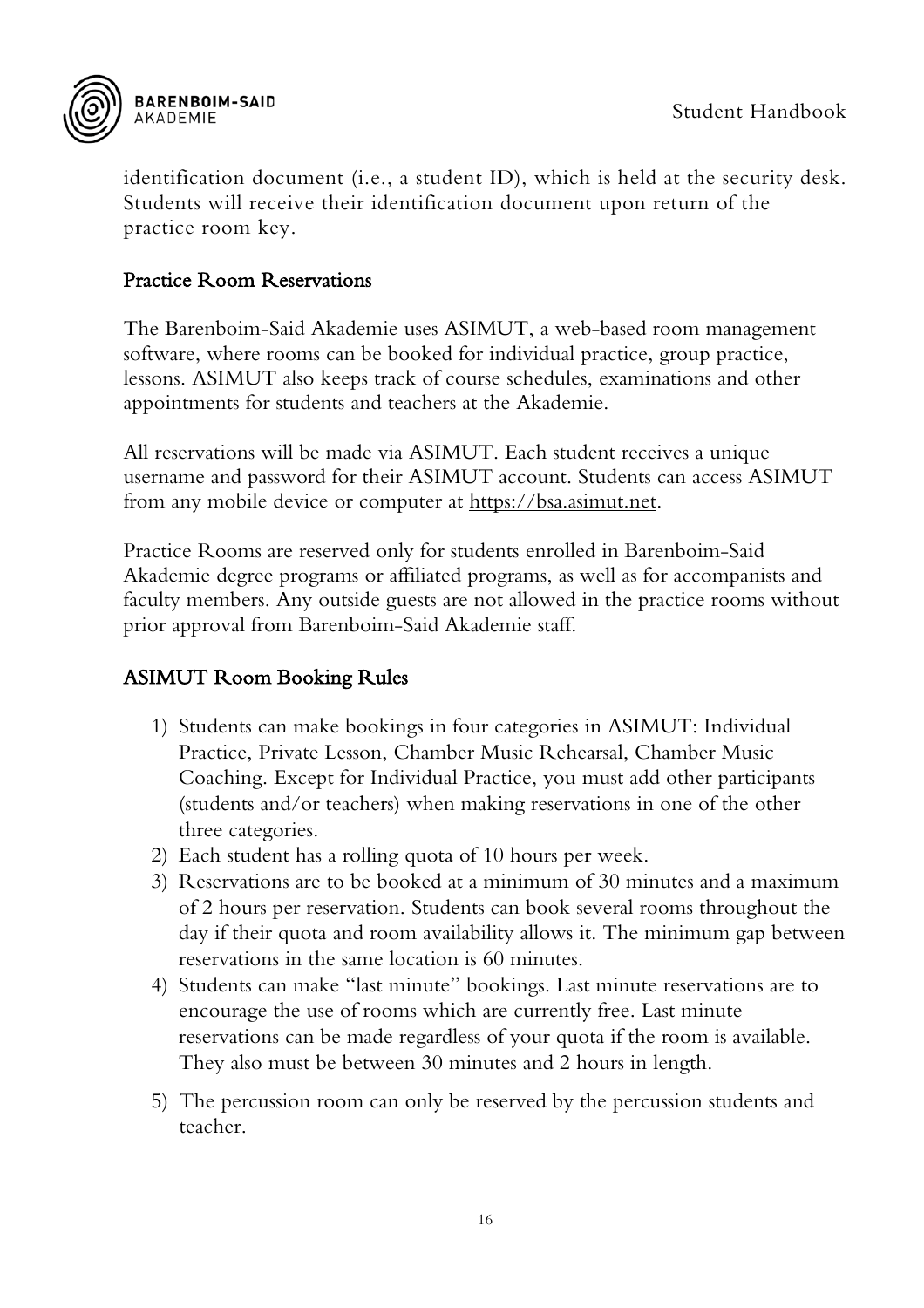

identification document (i.e., a student ID), which is held at the security desk. Students will receive their identification document upon return of the practice room key.

#### <span id="page-16-0"></span>Practice Room Reservations

The Barenboim-Said Akademie uses ASIMUT, a web-based room management software, where rooms can be booked for individual practice, group practice, lessons. ASIMUT also keeps track of course schedules, examinations and other appointments for students and teachers at the Akademie.

All reservations will be made via ASIMUT. Each student receives a unique username and password for their ASIMUT account. Students can access ASIMUT from any mobile device or computer at [https://bsa.asimut.net.](https://bsa.asimut.net/)

Practice Rooms are reserved only for students enrolled in Barenboim-Said Akademie degree programs or affiliated programs, as well as for accompanists and faculty members. Any outside guests are not allowed in the practice rooms without prior approval from Barenboim-Said Akademie staff.

#### <span id="page-16-1"></span>ASIMUT Room Booking Rules

- 1) Students can make bookings in four categories in ASIMUT: Individual Practice, Private Lesson, Chamber Music Rehearsal, Chamber Music Coaching. Except for Individual Practice, you must add other participants (students and/or teachers) when making reservations in one of the other three categories.
- 2) Each student has a rolling quota of 10 hours per week.
- 3) Reservations are to be booked at a minimum of 30 minutes and a maximum of 2 hours per reservation. Students can book several rooms throughout the day if their quota and room availability allows it. The minimum gap between reservations in the same location is 60 minutes.
- 4) Students can make "last minute" bookings. Last minute reservations are to encourage the use of rooms which are currently free. Last minute reservations can be made regardless of your quota if the room is available. They also must be between 30 minutes and 2 hours in length.
- 5) The percussion room can only be reserved by the percussion students and teacher.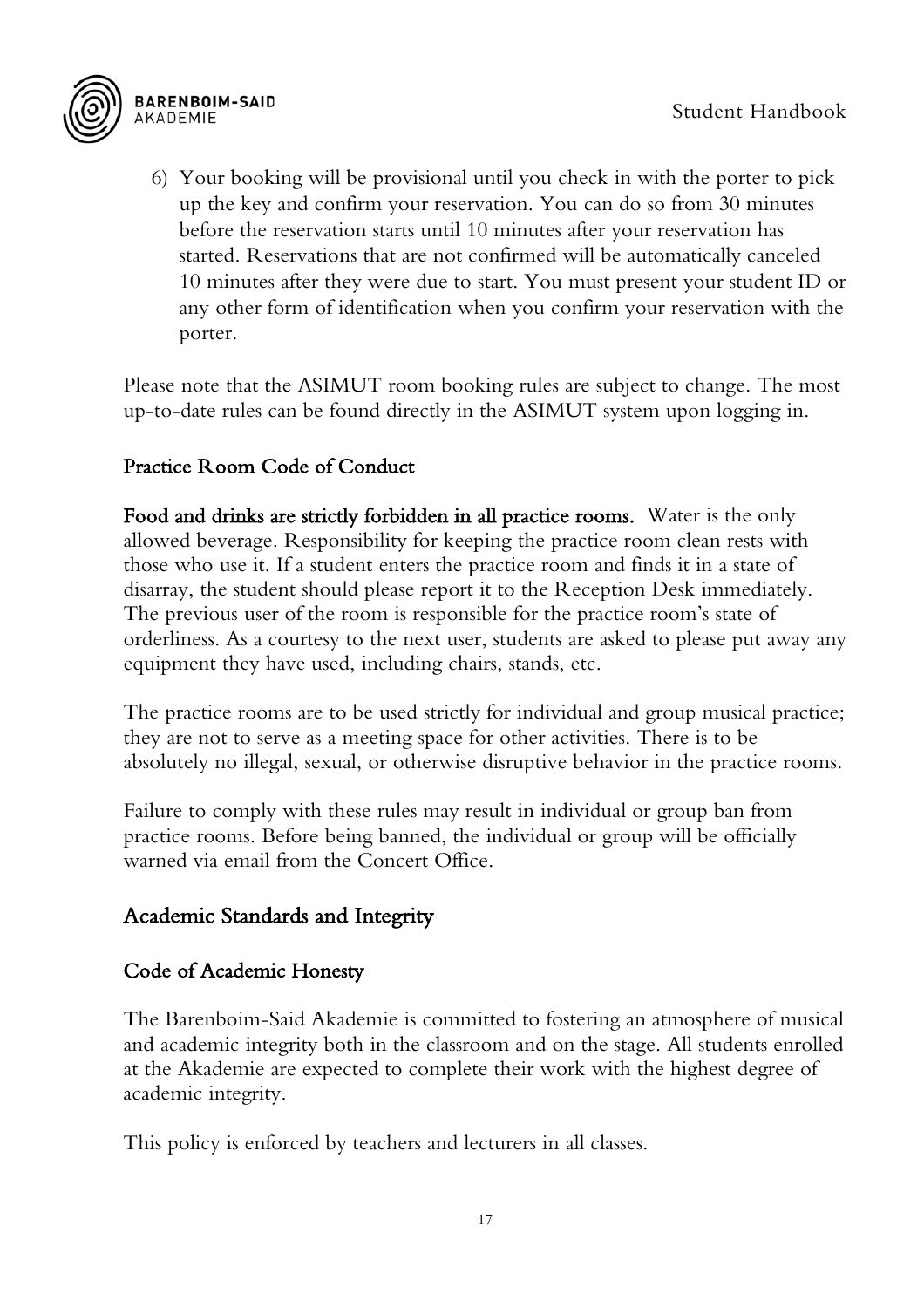

6) Your booking will be provisional until you check in with the porter to pick up the key and confirm your reservation. You can do so from 30 minutes before the reservation starts until 10 minutes after your reservation has started. Reservations that are not confirmed will be automatically canceled 10 minutes after they were due to start. You must present your student ID or any other form of identification when you confirm your reservation with the porter.

Please note that the ASIMUT room booking rules are subject to change. The most up-to-date rules can be found directly in the ASIMUT system upon logging in.

#### <span id="page-17-0"></span>Practice Room Code of Conduct

Food and drinks are strictly forbidden in all practice rooms. Water is the only allowed beverage. Responsibility for keeping the practice room clean rests with those who use it. If a student enters the practice room and finds it in a state of disarray, the student should please report it to the Reception Desk immediately. The previous user of the room is responsible for the practice room's state of orderliness. As a courtesy to the next user, students are asked to please put away any equipment they have used, including chairs, stands, etc.

The practice rooms are to be used strictly for individual and group musical practice; they are not to serve as a meeting space for other activities. There is to be absolutely no illegal, sexual, or otherwise disruptive behavior in the practice rooms.

Failure to comply with these rules may result in individual or group ban from practice rooms. Before being banned, the individual or group will be officially warned via email from the Concert Office.

#### <span id="page-17-1"></span>Academic Standards and Integrity

#### <span id="page-17-2"></span>Code of Academic Honesty

The Barenboim-Said Akademie is committed to fostering an atmosphere of musical and academic integrity both in the classroom and on the stage. All students enrolled at the Akademie are expected to complete their work with the highest degree of academic integrity.

This policy is enforced by teachers and lecturers in all classes.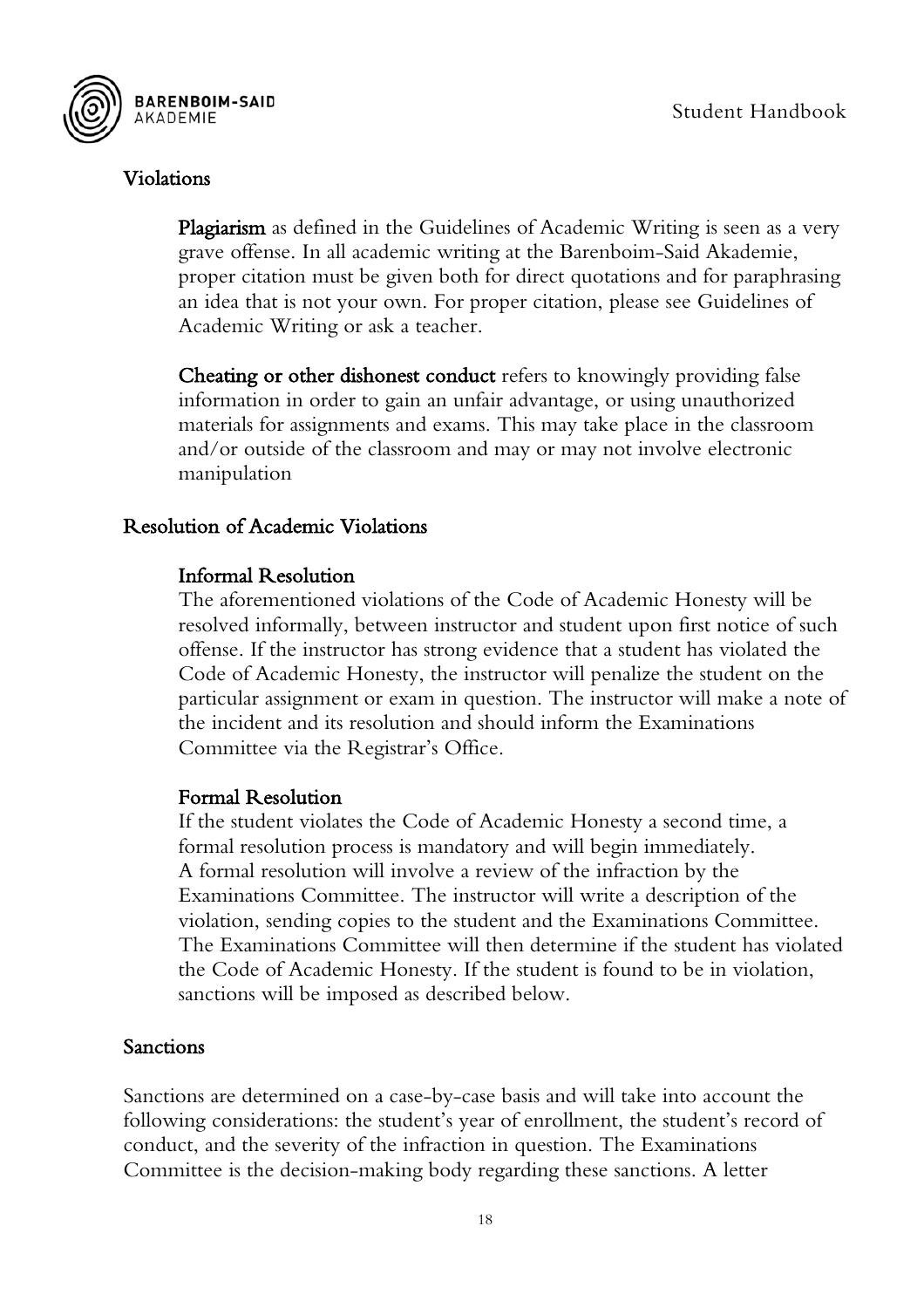

#### <span id="page-18-0"></span>Violations

Plagiarism as defined in the Guidelines of Academic Writing is seen as a very grave offense. In all academic writing at the Barenboim-Said Akademie, proper citation must be given both for direct quotations and for paraphrasing an idea that is not your own. For proper citation, please see Guidelines of Academic Writing or ask a teacher.

Cheating or other dishonest conduct refers to knowingly providing false information in order to gain an unfair advantage, or using unauthorized materials for assignments and exams. This may take place in the classroom and/or outside of the classroom and may or may not involve electronic manipulation

#### <span id="page-18-1"></span>Resolution of Academic Violations

#### Informal Resolution

The aforementioned violations of the Code of Academic Honesty will be resolved informally, between instructor and student upon first notice of such offense. If the instructor has strong evidence that a student has violated the Code of Academic Honesty, the instructor will penalize the student on the particular assignment or exam in question. The instructor will make a note of the incident and its resolution and should inform the Examinations Committee via the Registrar's Office.

#### Formal Resolution

If the student violates the Code of Academic Honesty a second time, a formal resolution process is mandatory and will begin immediately. A formal resolution will involve a review of the infraction by the Examinations Committee. The instructor will write a description of the violation, sending copies to the student and the Examinations Committee. The Examinations Committee will then determine if the student has violated the Code of Academic Honesty. If the student is found to be in violation, sanctions will be imposed as described below.

#### <span id="page-18-2"></span>Sanctions

Sanctions are determined on a case-by-case basis and will take into account the following considerations: the student's year of enrollment, the student's record of conduct, and the severity of the infraction in question. The Examinations Committee is the decision-making body regarding these sanctions. A letter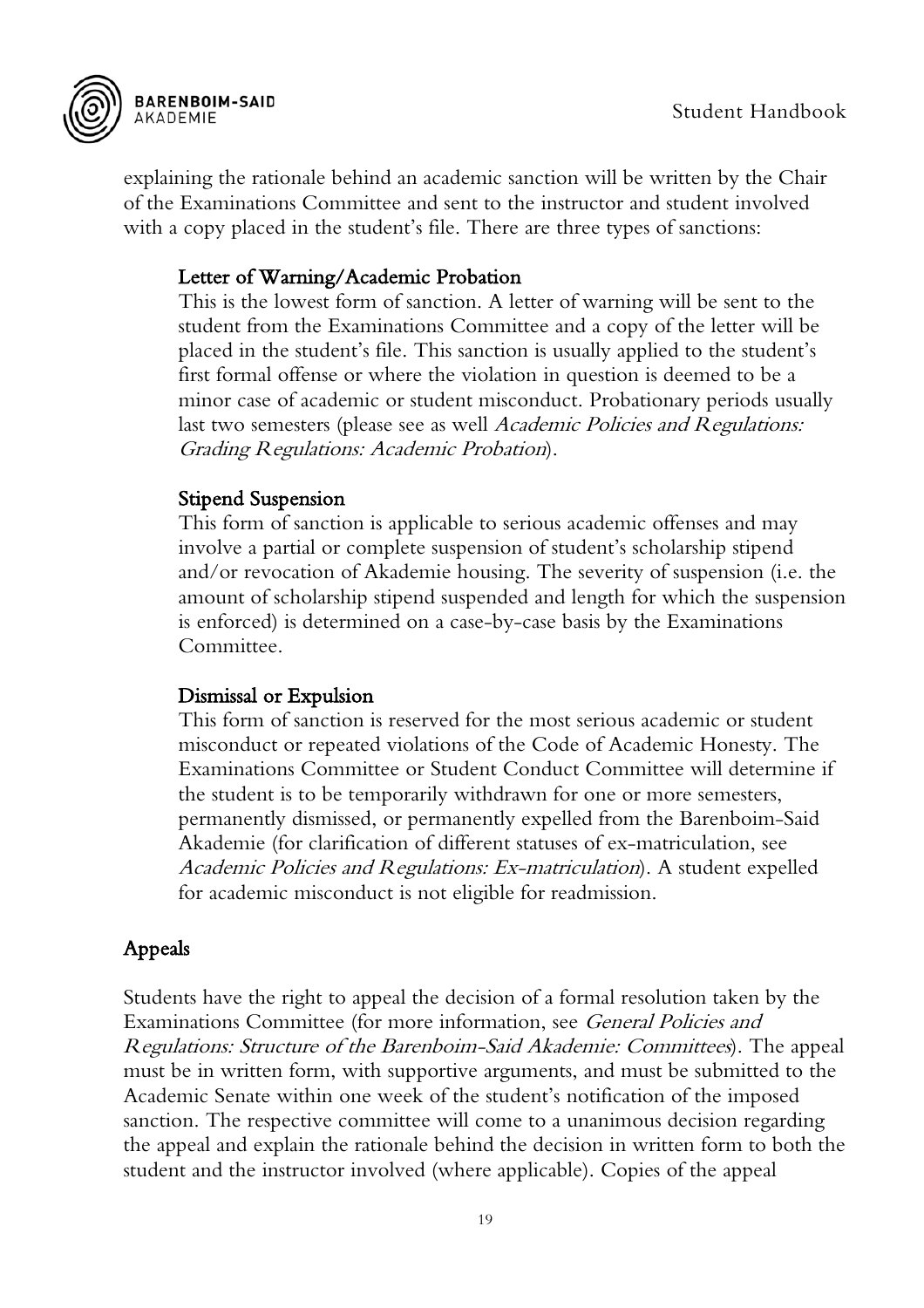



explaining the rationale behind an academic sanction will be written by the Chair of the Examinations Committee and sent to the instructor and student involved with a copy placed in the student's file. There are three types of sanctions:

#### Letter of Warning/Academic Probation

This is the lowest form of sanction. A letter of warning will be sent to the student from the Examinations Committee and a copy of the letter will be placed in the student's file. This sanction is usually applied to the student's first formal offense or where the violation in question is deemed to be a minor case of academic or student misconduct. Probationary periods usually last two semesters (please see as well *Academic Policies and Regulations:* Grading Regulations: Academic Probation).

#### Stipend Suspension

This form of sanction is applicable to serious academic offenses and may involve a partial or complete suspension of student's scholarship stipend and/or revocation of Akademie housing. The severity of suspension (i.e. the amount of scholarship stipend suspended and length for which the suspension is enforced) is determined on a case-by-case basis by the Examinations Committee.

#### Dismissal or Expulsion

This form of sanction is reserved for the most serious academic or student misconduct or repeated violations of the Code of Academic Honesty. The Examinations Committee or Student Conduct Committee will determine if the student is to be temporarily withdrawn for one or more semesters, permanently dismissed, or permanently expelled from the Barenboim-Said Akademie (for clarification of different statuses of ex-matriculation, see Academic Policies and Regulations: Ex-matriculation). A student expelled for academic misconduct is not eligible for readmission.

#### <span id="page-19-0"></span>Appeals

Students have the right to appeal the decision of a formal resolution taken by the Examinations Committee (for more information, see *General Policies and* Regulations: Structure of the Barenboim-Said Akademie: Committees). The appeal must be in written form, with supportive arguments, and must be submitted to the Academic Senate within one week of the student's notification of the imposed sanction. The respective committee will come to a unanimous decision regarding the appeal and explain the rationale behind the decision in written form to both the student and the instructor involved (where applicable). Copies of the appeal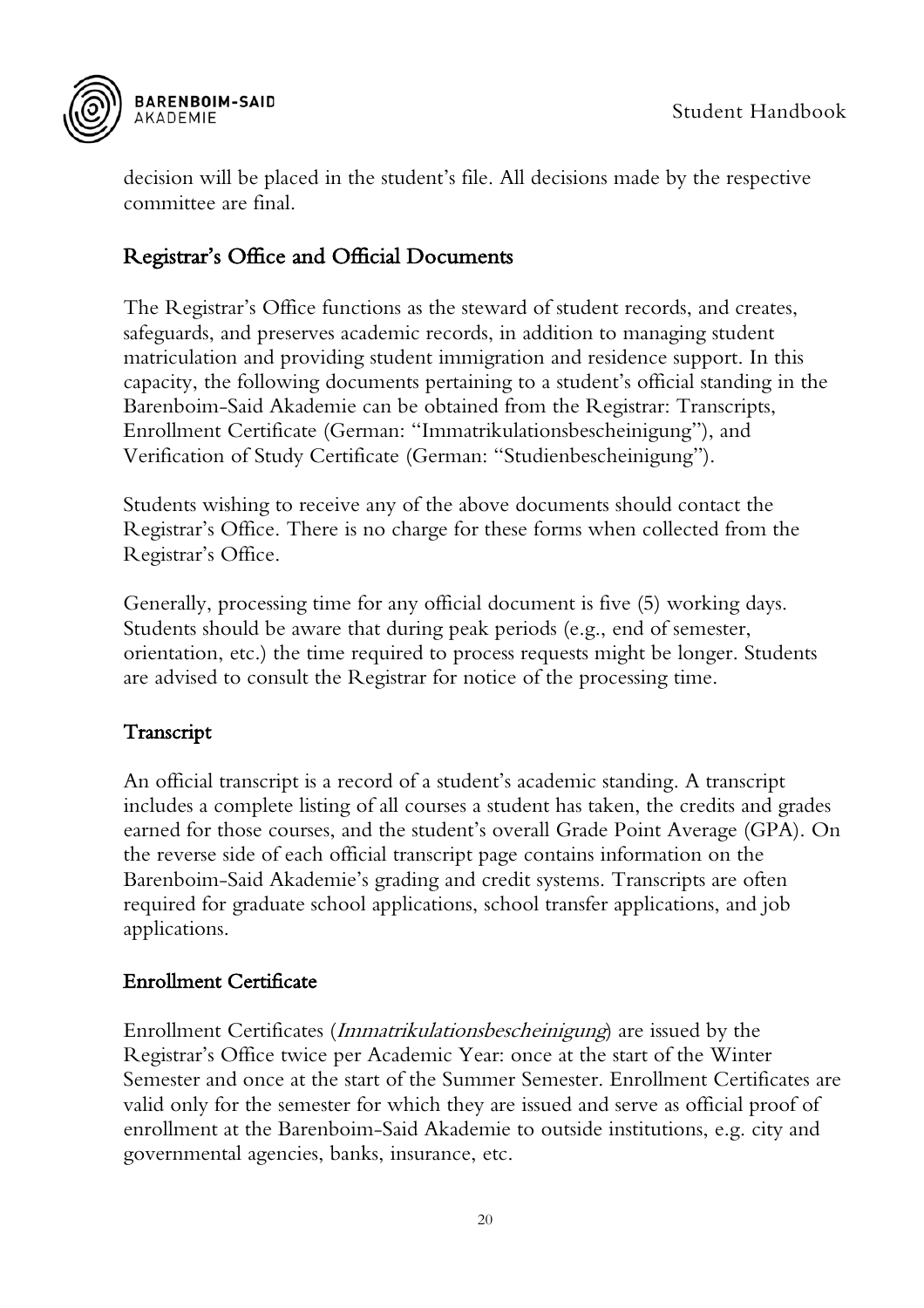

decision will be placed in the student's file. All decisions made by the respective committee are final.

#### <span id="page-20-0"></span>Registrar's Office and Official Documents

The Registrar's Office functions as the steward of student records, and creates, safeguards, and preserves academic records, in addition to managing student matriculation and providing student immigration and residence support. In this capacity, the following documents pertaining to a student's official standing in the Barenboim-Said Akademie can be obtained from the Registrar: Transcripts, Enrollment Certificate (German: "Immatrikulationsbescheinigung"), and Verification of Study Certificate (German: "Studienbescheinigung").

Students wishing to receive any of the above documents should contact the Registrar's Office. There is no charge for these forms when collected from the Registrar's Office.

Generally, processing time for any official document is five (5) working days. Students should be aware that during peak periods (e.g., end of semester, orientation, etc.) the time required to process requests might be longer. Students are advised to consult the Registrar for notice of the processing time.

#### <span id="page-20-1"></span>Transcript

An official transcript is a record of a student's academic standing. A transcript includes a complete listing of all courses a student has taken, the credits and grades earned for those courses, and the student's overall Grade Point Average (GPA). On the reverse side of each official transcript page contains information on the Barenboim-Said Akademie's grading and credit systems. Transcripts are often required for graduate school applications, school transfer applications, and job applications.

#### <span id="page-20-2"></span>Enrollment Certificate

Enrollment Certificates (Immatrikulationsbescheinigung) are issued by the Registrar's Office twice per Academic Year: once at the start of the Winter Semester and once at the start of the Summer Semester. Enrollment Certificates are valid only for the semester for which they are issued and serve as official proof of enrollment at the Barenboim-Said Akademie to outside institutions, e.g. city and governmental agencies, banks, insurance, etc.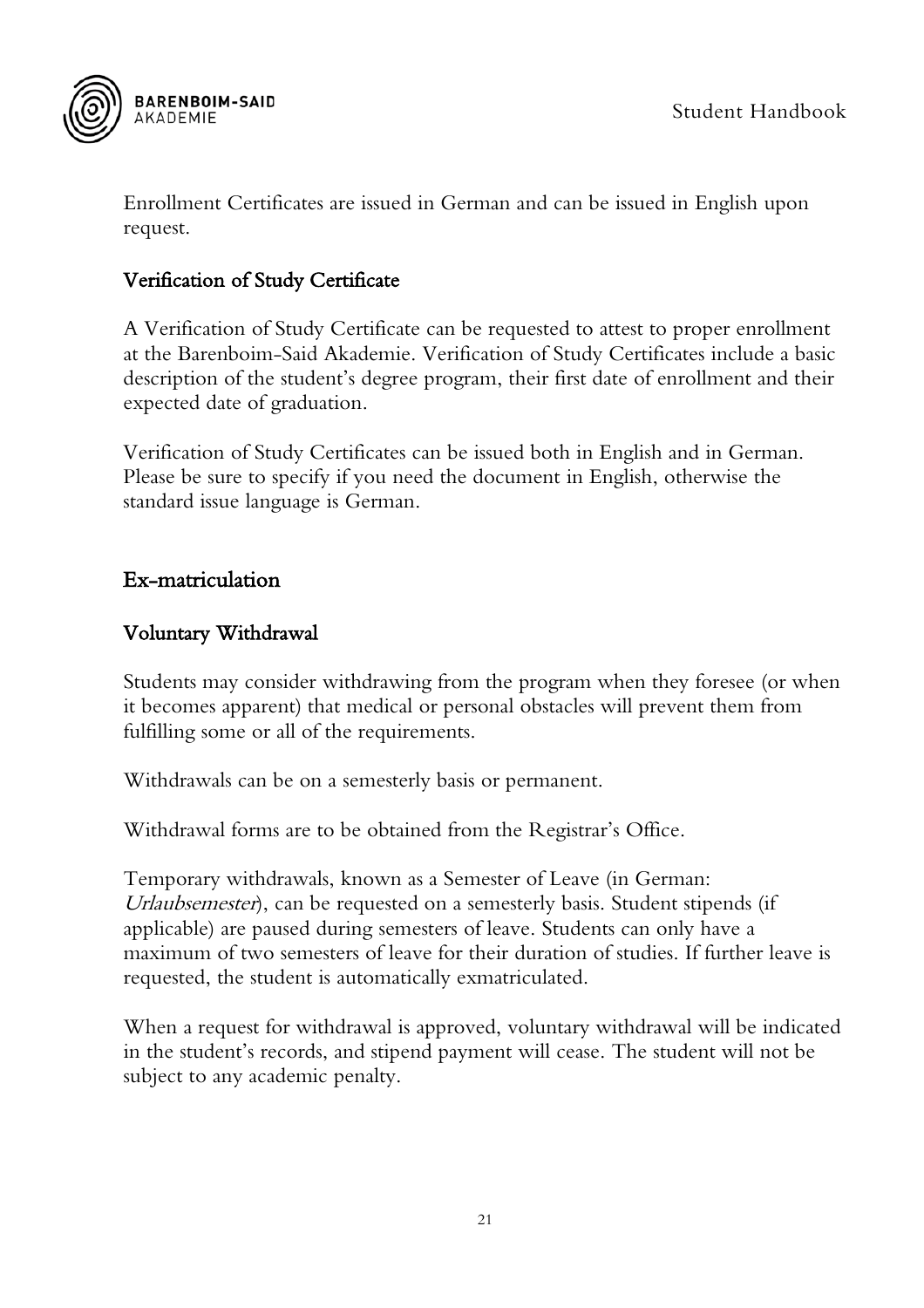

Enrollment Certificates are issued in German and can be issued in English upon request.

#### <span id="page-21-0"></span>Verification of Study Certificate

A Verification of Study Certificate can be requested to attest to proper enrollment at the Barenboim-Said Akademie. Verification of Study Certificates include a basic description of the student's degree program, their first date of enrollment and their expected date of graduation.

Verification of Study Certificates can be issued both in English and in German. Please be sure to specify if you need the document in English, otherwise the standard issue language is German.

#### <span id="page-21-1"></span>Ex-matriculation

#### <span id="page-21-2"></span>Voluntary Withdrawal

Students may consider withdrawing from the program when they foresee (or when it becomes apparent) that medical or personal obstacles will prevent them from fulfilling some or all of the requirements.

Withdrawals can be on a semesterly basis or permanent.

Withdrawal forms are to be obtained from the Registrar's Office.

Temporary withdrawals, known as a Semester of Leave (in German: Urlaubsemester), can be requested on a semesterly basis. Student stipends (if applicable) are paused during semesters of leave. Students can only have a maximum of two semesters of leave for their duration of studies. If further leave is requested, the student is automatically exmatriculated.

When a request for withdrawal is approved, voluntary withdrawal will be indicated in the student's records, and stipend payment will cease. The student will not be subject to any academic penalty.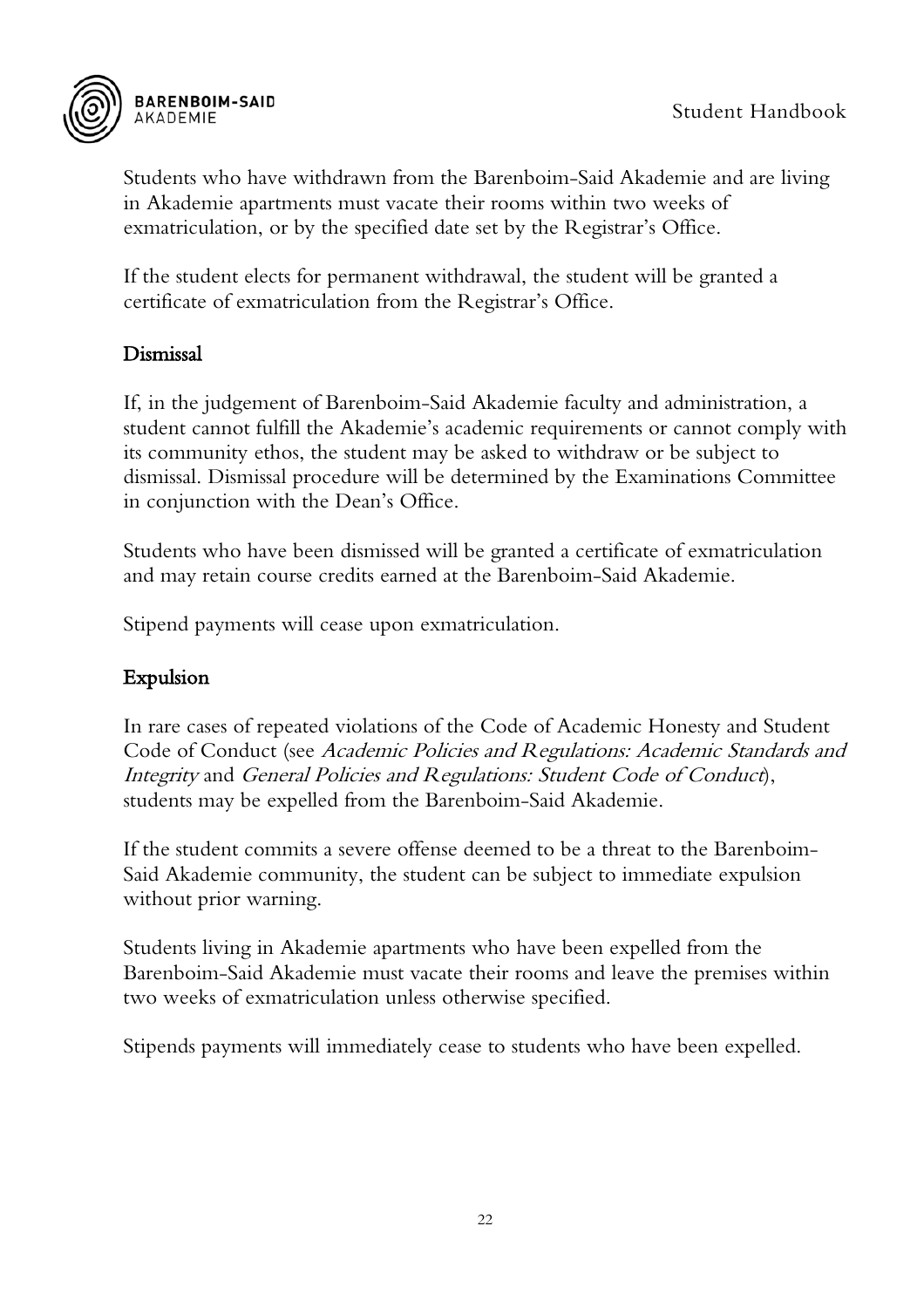

Students who have withdrawn from the Barenboim-Said Akademie and are living in Akademie apartments must vacate their rooms within two weeks of exmatriculation, or by the specified date set by the Registrar's Office.

If the student elects for permanent withdrawal, the student will be granted a certificate of exmatriculation from the Registrar's Office.

#### <span id="page-22-0"></span>Dismissal

If, in the judgement of Barenboim-Said Akademie faculty and administration, a student cannot fulfill the Akademie's academic requirements or cannot comply with its community ethos, the student may be asked to withdraw or be subject to dismissal. Dismissal procedure will be determined by the Examinations Committee in conjunction with the Dean's Office.

Students who have been dismissed will be granted a certificate of exmatriculation and may retain course credits earned at the Barenboim-Said Akademie.

Stipend payments will cease upon exmatriculation.

#### <span id="page-22-1"></span>Expulsion

In rare cases of repeated violations of the Code of Academic Honesty and Student Code of Conduct (see Academic Policies and Regulations: Academic Standards and Integrity and General Policies and Regulations: Student Code of Conduct), students may be expelled from the Barenboim-Said Akademie.

If the student commits a severe offense deemed to be a threat to the Barenboim-Said Akademie community, the student can be subject to immediate expulsion without prior warning.

Students living in Akademie apartments who have been expelled from the Barenboim-Said Akademie must vacate their rooms and leave the premises within two weeks of exmatriculation unless otherwise specified.

Stipends payments will immediately cease to students who have been expelled.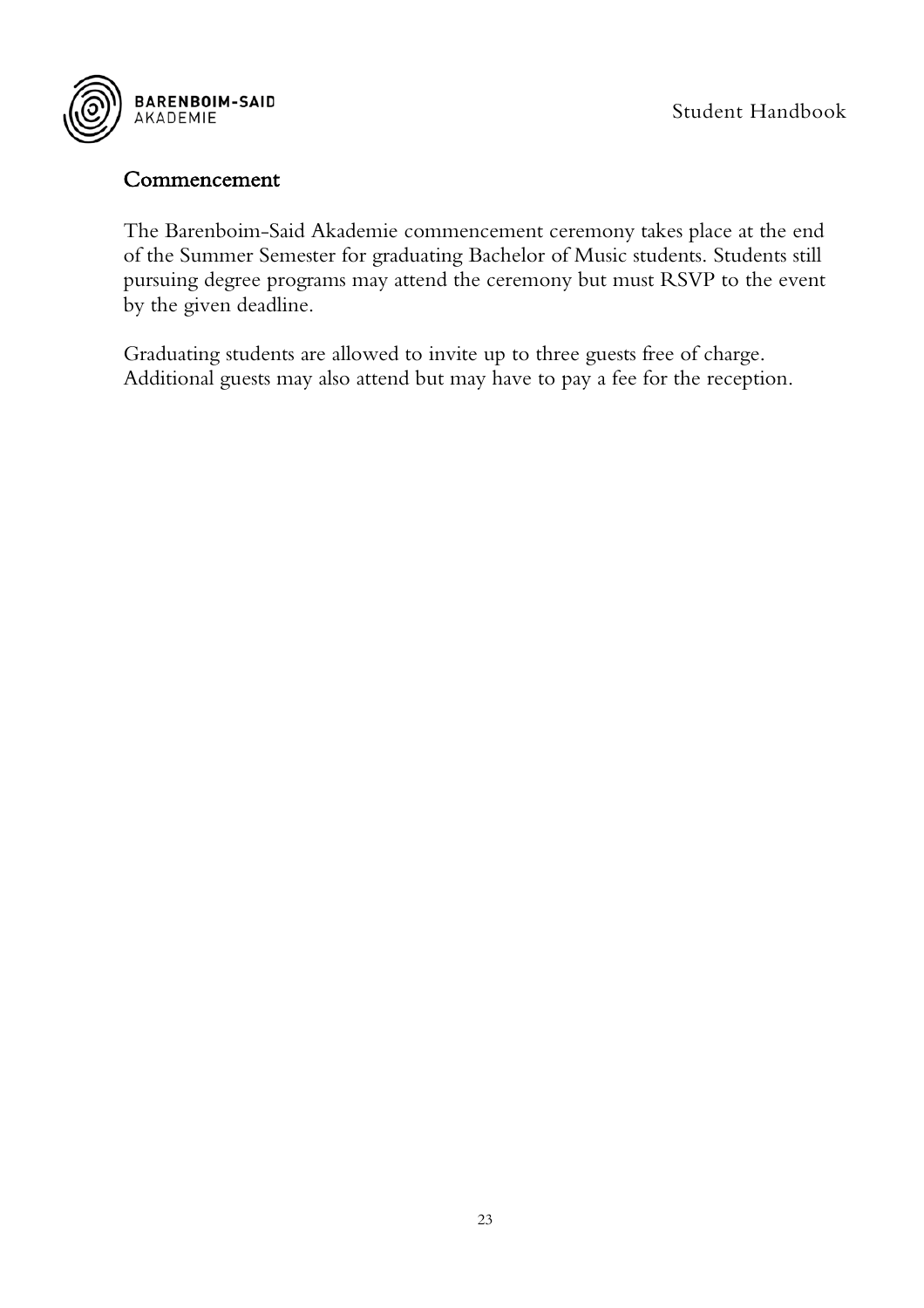

#### <span id="page-23-0"></span>Commencement

The Barenboim-Said Akademie commencement ceremony takes place at the end of the Summer Semester for graduating Bachelor of Music students. Students still pursuing degree programs may attend the ceremony but must RSVP to the event by the given deadline.

Graduating students are allowed to invite up to three guests free of charge. Additional guests may also attend but may have to pay a fee for the reception.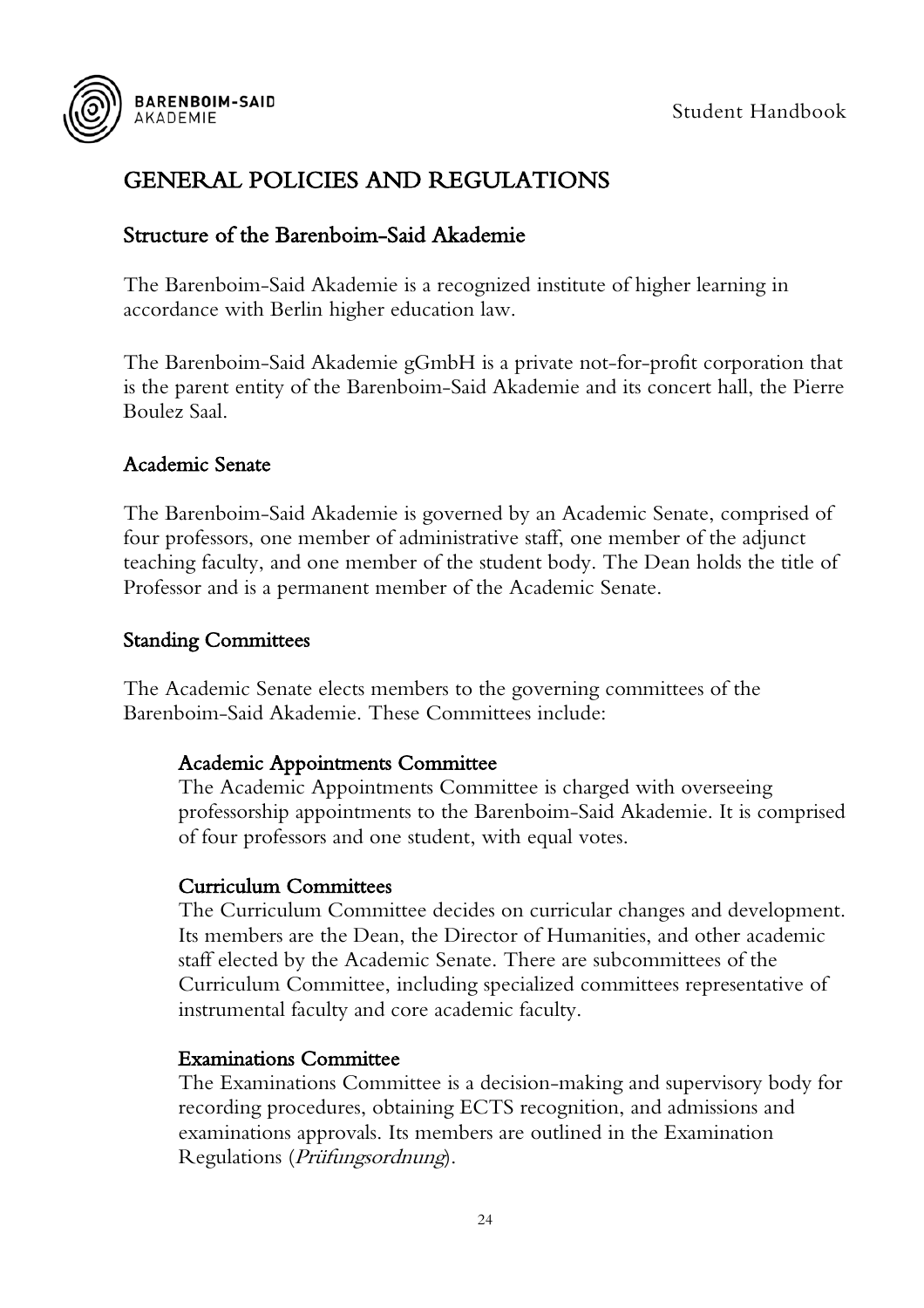

## <span id="page-24-0"></span>GENERAL POLICIES AND REGULATIONS

#### <span id="page-24-1"></span>Structure of the Barenboim-Said Akademie

The Barenboim-Said Akademie is a recognized institute of higher learning in accordance with Berlin higher education law.

The Barenboim-Said Akademie gGmbH is a private not-for-profit corporation that is the parent entity of the Barenboim-Said Akademie and its concert hall, the Pierre Boulez Saal.

#### <span id="page-24-2"></span>Academic Senate

The Barenboim-Said Akademie is governed by an Academic Senate, comprised of four professors, one member of administrative staff, one member of the adjunct teaching faculty, and one member of the student body. The Dean holds the title of Professor and is a permanent member of the Academic Senate.

#### <span id="page-24-3"></span>Standing Committees

The Academic Senate elects members to the governing committees of the Barenboim-Said Akademie. These Committees include:

#### Academic Appointments Committee

The Academic Appointments Committee is charged with overseeing professorship appointments to the Barenboim-Said Akademie. It is comprised of four professors and one student, with equal votes.

#### Curriculum Committees

The Curriculum Committee decides on curricular changes and development. Its members are the Dean, the Director of Humanities, and other academic staff elected by the Academic Senate. There are subcommittees of the Curriculum Committee, including specialized committees representative of instrumental faculty and core academic faculty.

#### Examinations Committee

The Examinations Committee is a decision-making and supervisory body for recording procedures, obtaining ECTS recognition, and admissions and examinations approvals. Its members are outlined in the Examination Regulations (Prüfungsordnung).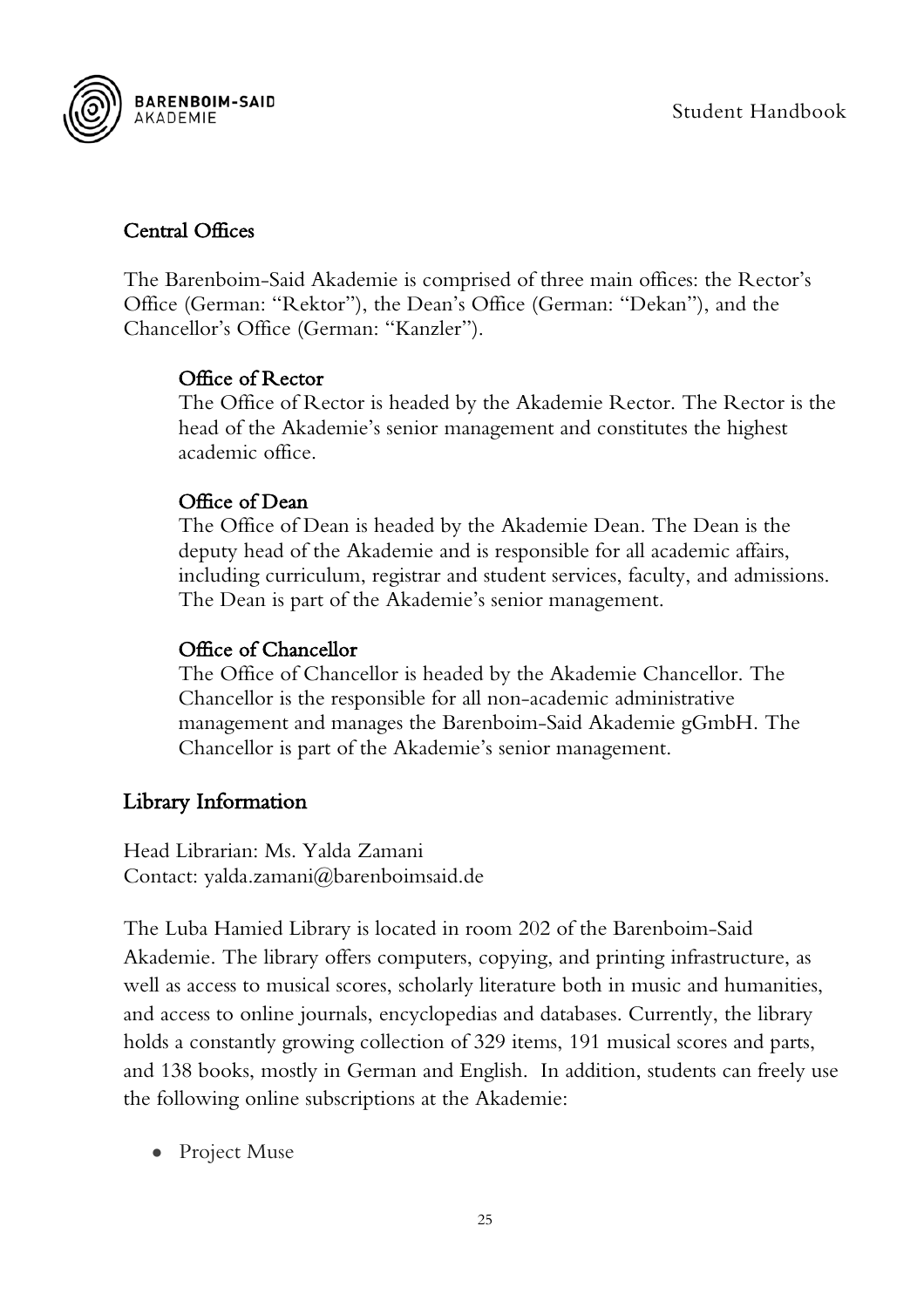

#### <span id="page-25-0"></span>Central Offices

The Barenboim-Said Akademie is comprised of three main offices: the Rector's Office (German: "Rektor"), the Dean's Office (German: "Dekan"), and the Chancellor's Office (German: "Kanzler").

#### Office of Rector

The Office of Rector is headed by the Akademie Rector. The Rector is the head of the Akademie's senior management and constitutes the highest academic office.

#### Office of Dean

The Office of Dean is headed by the Akademie Dean. The Dean is the deputy head of the Akademie and is responsible for all academic affairs, including curriculum, registrar and student services, faculty, and admissions. The Dean is part of the Akademie's senior management.

#### Office of Chancellor

The Office of Chancellor is headed by the Akademie Chancellor. The Chancellor is the responsible for all non-academic administrative management and manages the Barenboim-Said Akademie gGmbH. The Chancellor is part of the Akademie's senior management.

#### <span id="page-25-1"></span>Library Information

Head Librarian: Ms. Yalda Zamani Contact: yalda.zamani@barenboimsaid.de

The Luba Hamied Library is located in room 202 of the Barenboim-Said Akademie. The library offers computers, copying, and printing infrastructure, as well as access to musical scores, scholarly literature both in music and humanities, and access to online journals, encyclopedias and databases. Currently, the library holds a constantly growing collection of 329 items, 191 musical scores and parts, and 138 books, mostly in German and English. In addition, students can freely use the following online subscriptions at the Akademie:

• Project Muse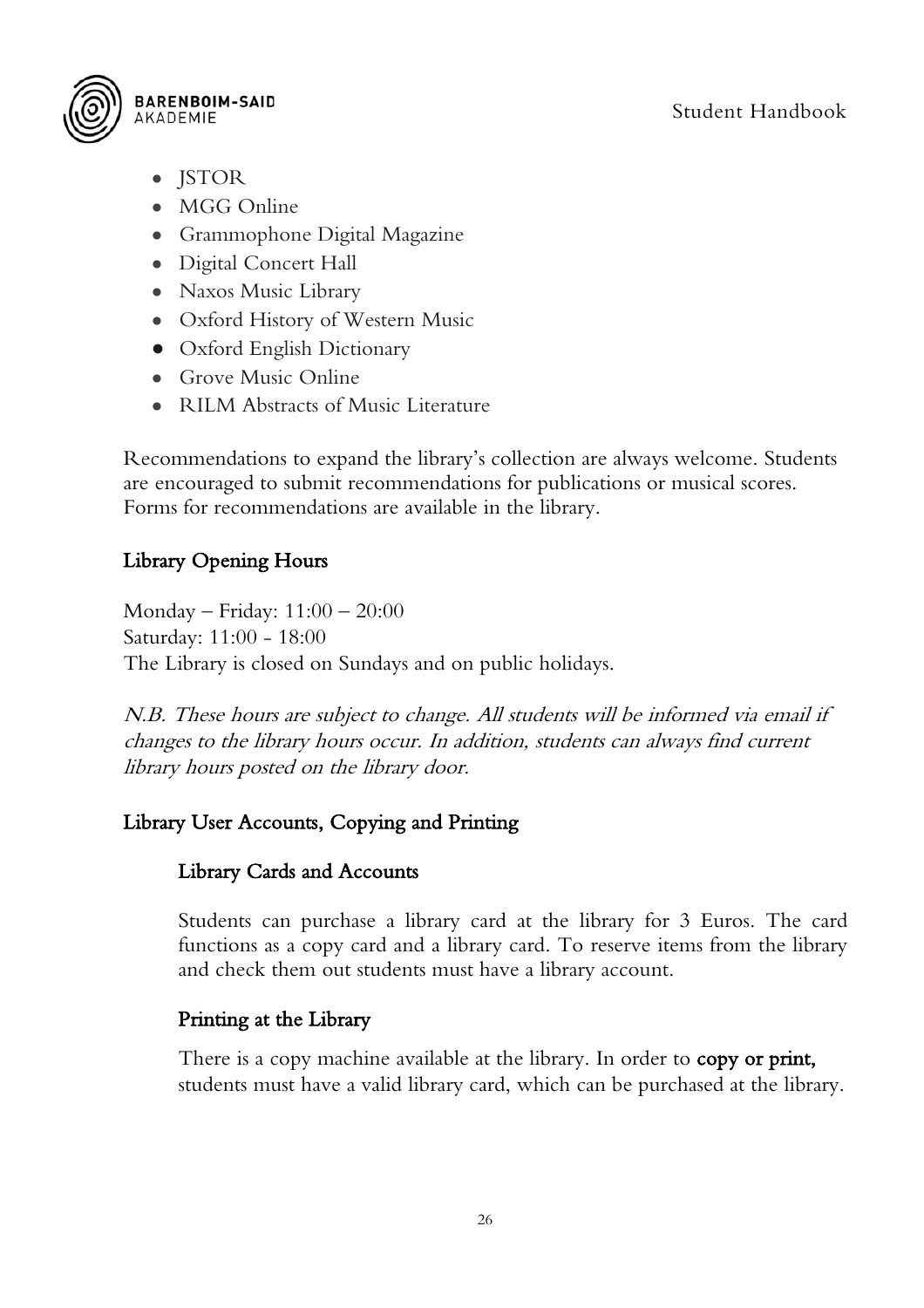

- JSTOR
- MGG Online
- Grammophone Digital Magazine
- Digital Concert Hall
- Naxos Music Library
- Oxford History of Western Music
- Oxford English Dictionary
- Grove Music Online
- RILM Abstracts of Music Literature

Recommendations to expand the library's collection are always welcome. Students are encouraged to submit recommendations for publications or musical scores. Forms for recommendations are available in the library.

#### <span id="page-26-0"></span>Library Opening Hours

Monday – Friday: 11:00 – 20:00 Saturday: 11:00 - 18:00 The Library is closed on Sundays and on public holidays.

N.B. These hours are subject to change. All students will be informed via email if changes to the library hours occur. In addition, students can always find current library hours posted on the library door.

#### <span id="page-26-1"></span>Library User Accounts, Copying and Printing

#### Library Cards and Accounts

Students can purchase a library card at the library for 3 Euros. The card functions as a copy card and a library card. To reserve items from the library and check them out students must have a library account.

#### Printing at the Library

There is a copy machine available at the library. In order to **copy or print,** students must have a valid library card, which can be purchased at the library.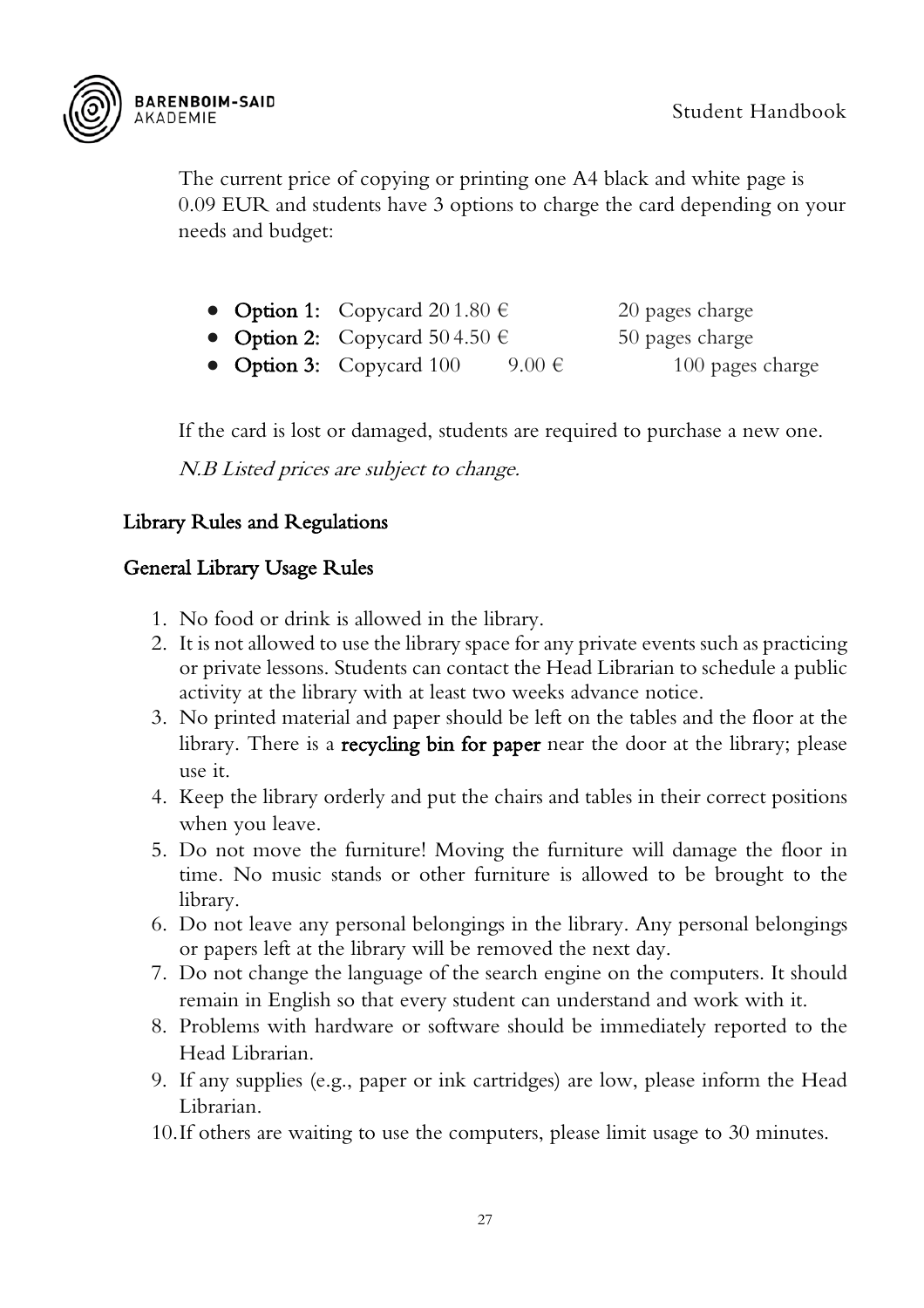

The current price of copying or printing one A4 black and white page is 0.09 EUR and students have 3 options to charge the card depending on your needs and budget:

- Option 1: Copycard  $201.80 \in 20$  pages charge
- Option 2: Copycard  $504.50 \text{ }\epsilon$  50 pages charge
- Option 3: Copycard 100 9.00  $\epsilon$  100 pages charge

If the card is lost or damaged, students are required to purchase a new one.

N.B Listed prices are subject to change.

#### <span id="page-27-0"></span>Library Rules and Regulations

#### General Library Usage Rules

- 1. No food or drink is allowed in the library.
- 2. It is not allowed to use the library space for any private events such as practicing or private lessons. Students can contact the Head Librarian to schedule a public activity at the library with at least two weeks advance notice.
- 3. No printed material and paper should be left on the tables and the floor at the library. There is a **recycling bin for paper** near the door at the library; please use it.
- 4. Keep the library orderly and put the chairs and tables in their correct positions when you leave.
- 5. Do not move the furniture! Moving the furniture will damage the floor in time. No music stands or other furniture is allowed to be brought to the library.
- 6. Do not leave any personal belongings in the library. Any personal belongings or papers left at the library will be removed the next day.
- 7. Do not change the language of the search engine on the computers. It should remain in English so that every student can understand and work with it.
- 8. Problems with hardware or software should be immediately reported to the Head Librarian.
- 9. If any supplies (e.g., paper or ink cartridges) are low, please inform the Head Librarian.
- 10.If others are waiting to use the computers, please limit usage to 30 minutes.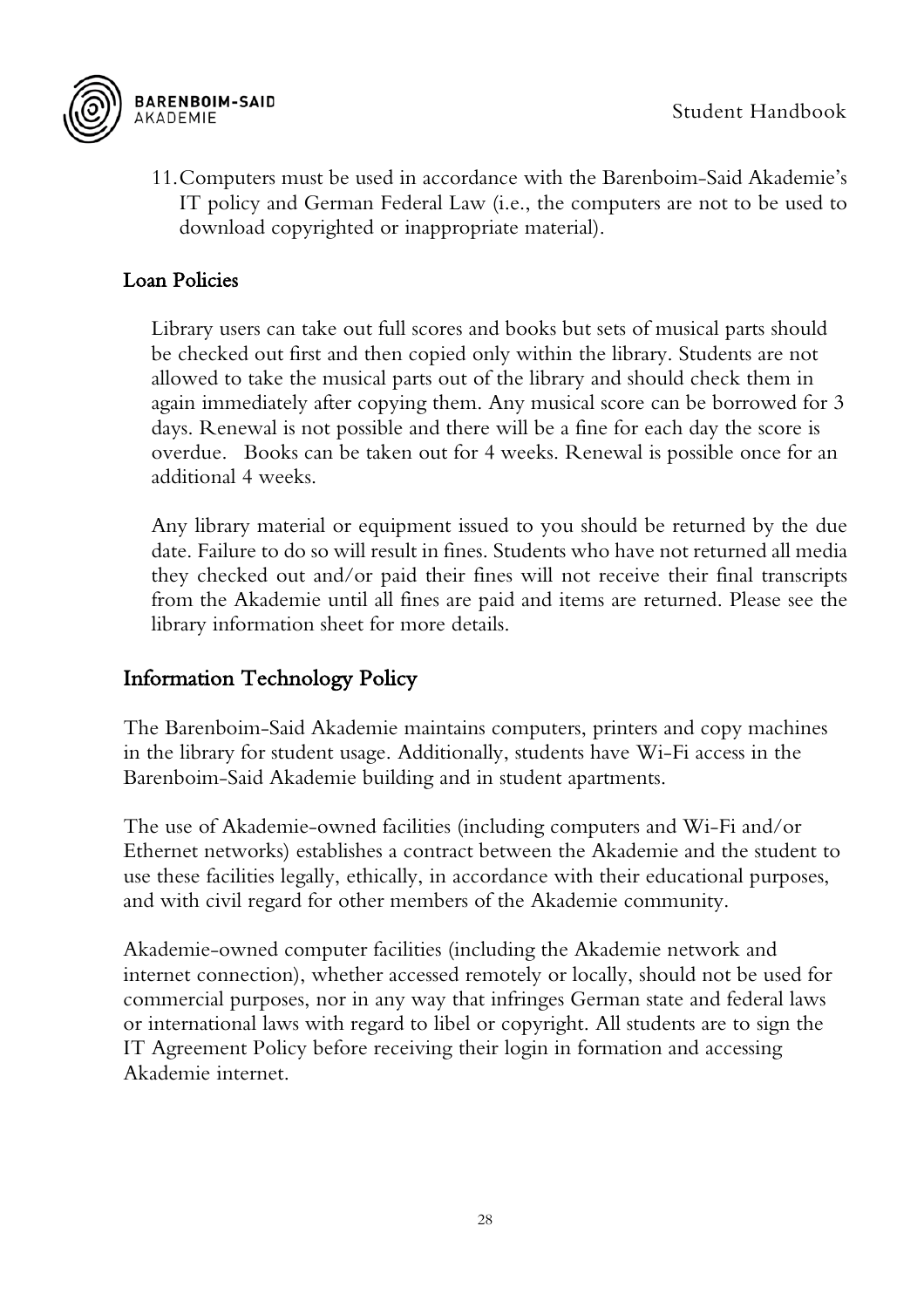

11.Computers must be used in accordance with the Barenboim-Said Akademie's IT policy and German Federal Law (i.e., the computers are not to be used to download copyrighted or inappropriate material).

#### <span id="page-28-0"></span>Loan Policies

Library users can take out full scores and books but sets of musical parts should be checked out first and then copied only within the library. Students are not allowed to take the musical parts out of the library and should check them in again immediately after copying them. Any musical score can be borrowed for 3 days. Renewal is not possible and there will be a fine for each day the score is overdue. Books can be taken out for 4 weeks. Renewal is possible once for an additional 4 weeks.

Any library material or equipment issued to you should be returned by the due date. Failure to do so will result in fines. Students who have not returned all media they checked out and/or paid their fines will not receive their final transcripts from the Akademie until all fines are paid and items are returned. Please see the library information sheet for more details.

#### <span id="page-28-1"></span>Information Technology Policy

The Barenboim-Said Akademie maintains computers, printers and copy machines in the library for student usage. Additionally, students have Wi-Fi access in the Barenboim-Said Akademie building and in student apartments.

The use of Akademie-owned facilities (including computers and Wi-Fi and/or Ethernet networks) establishes a contract between the Akademie and the student to use these facilities legally, ethically, in accordance with their educational purposes, and with civil regard for other members of the Akademie community.

Akademie-owned computer facilities (including the Akademie network and internet connection), whether accessed remotely or locally, should not be used for commercial purposes, nor in any way that infringes German state and federal laws or international laws with regard to libel or copyright. All students are to sign the IT Agreement Policy before receiving their login in formation and accessing Akademie internet.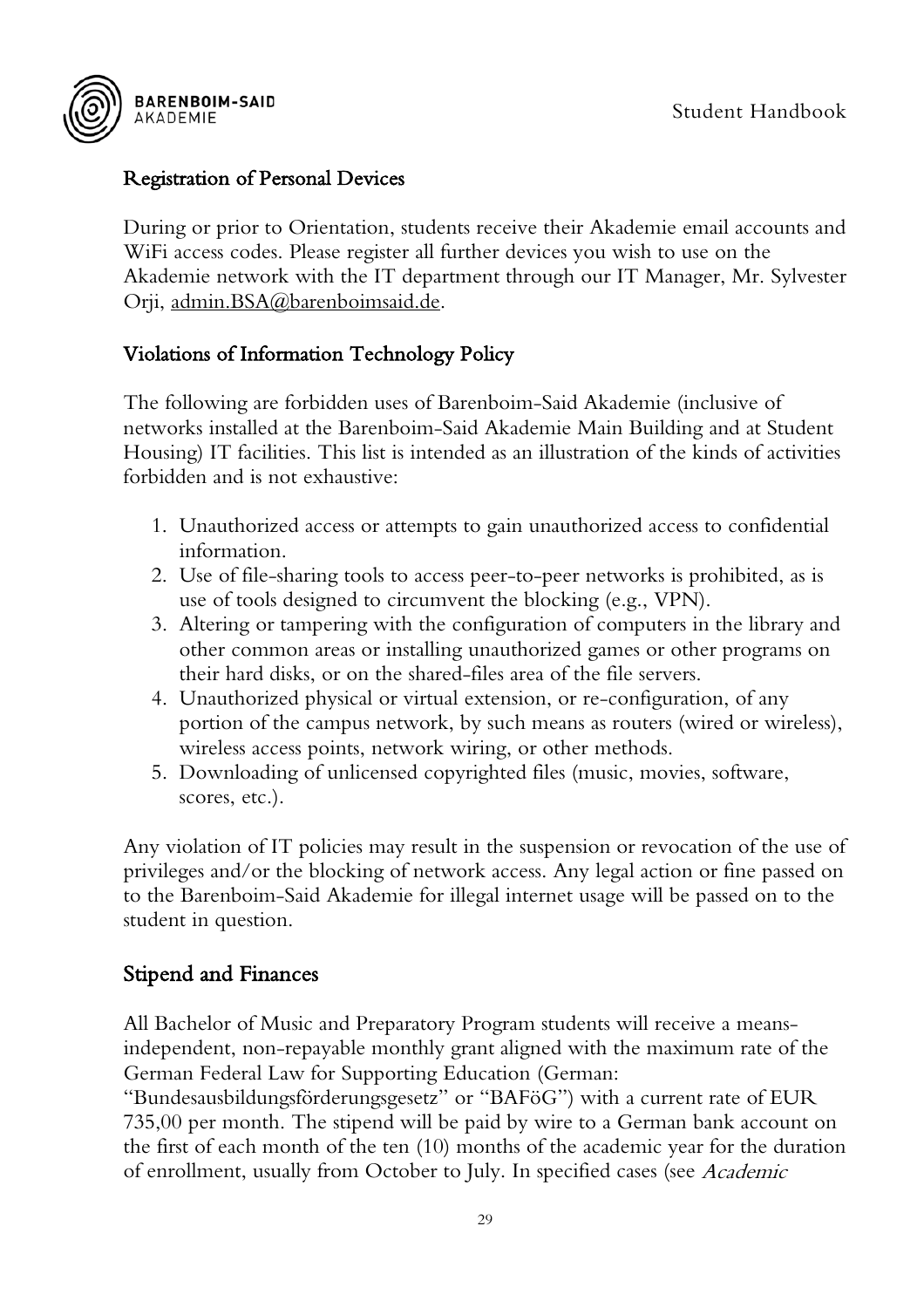

#### <span id="page-29-0"></span>Registration of Personal Devices

During or prior to Orientation, students receive their Akademie email accounts and WiFi access codes. Please register all further devices you wish to use on the Akademie network with the IT department through our IT Manager, Mr. Sylvester Orji, [admin.BSA@barenboimsaid.de.](mailto:admin.BSA@barenboimsaid.de)

#### <span id="page-29-1"></span>Violations of Information Technology Policy

The following are forbidden uses of Barenboim-Said Akademie (inclusive of networks installed at the Barenboim-Said Akademie Main Building and at Student Housing) IT facilities. This list is intended as an illustration of the kinds of activities forbidden and is not exhaustive:

- 1. Unauthorized access or attempts to gain unauthorized access to confidential information.
- 2. Use of file-sharing tools to access peer-to-peer networks is prohibited, as is use of tools designed to circumvent the blocking (e.g., VPN).
- 3. Altering or tampering with the configuration of computers in the library and other common areas or installing unauthorized games or other programs on their hard disks, or on the shared-files area of the file servers.
- 4. Unauthorized physical or virtual extension, or re-configuration, of any portion of the campus network, by such means as routers (wired or wireless), wireless access points, network wiring, or other methods.
- 5. Downloading of unlicensed copyrighted files (music, movies, software, scores, etc.).

Any violation of IT policies may result in the suspension or revocation of the use of privileges and/or the blocking of network access. Any legal action or fine passed on to the Barenboim-Said Akademie for illegal internet usage will be passed on to the student in question.

#### <span id="page-29-2"></span>Stipend and Finances

All Bachelor of Music and Preparatory Program students will receive a meansindependent, non-repayable monthly grant aligned with the maximum rate of the German Federal Law for Supporting Education (German: "Bundesausbildungsförderungsgesetz" or "BAFöG") with a current rate of EUR 735,00 per month. The stipend will be paid by wire to a German bank account on the first of each month of the ten (10) months of the academic year for the duration of enrollment, usually from October to July. In specified cases (see Academic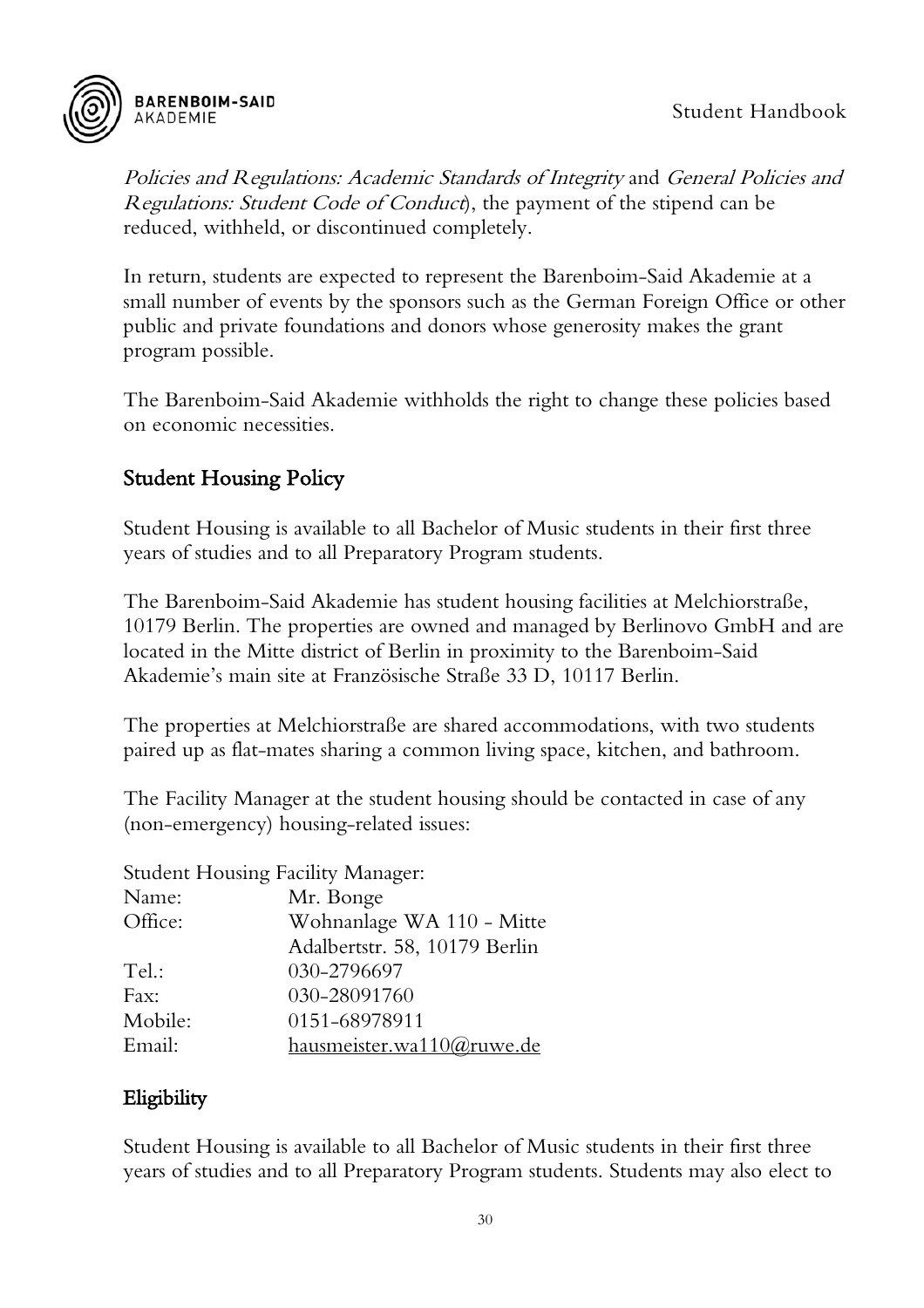

Policies and Regulations: Academic Standards of Integrity and General Policies and Regulations: Student Code of Conduct), the payment of the stipend can be reduced, withheld, or discontinued completely.

In return, students are expected to represent the Barenboim-Said Akademie at a small number of events by the sponsors such as the German Foreign Office or other public and private foundations and donors whose generosity makes the grant program possible.

The Barenboim-Said Akademie withholds the right to change these policies based on economic necessities.

#### <span id="page-30-0"></span>Student Housing Policy

Student Housing is available to all Bachelor of Music students in their first three years of studies and to all Preparatory Program students.

The Barenboim-Said Akademie has student housing facilities at Melchiorstraße, 10179 Berlin. The properties are owned and managed by Berlinovo GmbH and are located in the Mitte district of Berlin in proximity to the Barenboim-Said Akademie's main site at Französische Straße 33 D, 10117 Berlin.

The properties at Melchiorstraße are shared accommodations, with two students paired up as flat-mates sharing a common living space, kitchen, and bathroom.

The Facility Manager at the student housing should be contacted in case of any (non-emergency) housing-related issues:

|         | <b>Student Housing Facility Manager:</b> |
|---------|------------------------------------------|
| Name:   | Mr. Bonge                                |
| Office: | Wohnanlage WA 110 - Mitte                |
|         | Adalbertstr. 58, 10179 Berlin            |
| Tel.:   | 030-2796697                              |
| Fax:    | 030-28091760                             |
| Mobile: | 0151-68978911                            |
| Email:  | hausmeister.wa110@ruwe.de                |

#### <span id="page-30-1"></span>Eligibility

Student Housing is available to all Bachelor of Music students in their first three years of studies and to all Preparatory Program students. Students may also elect to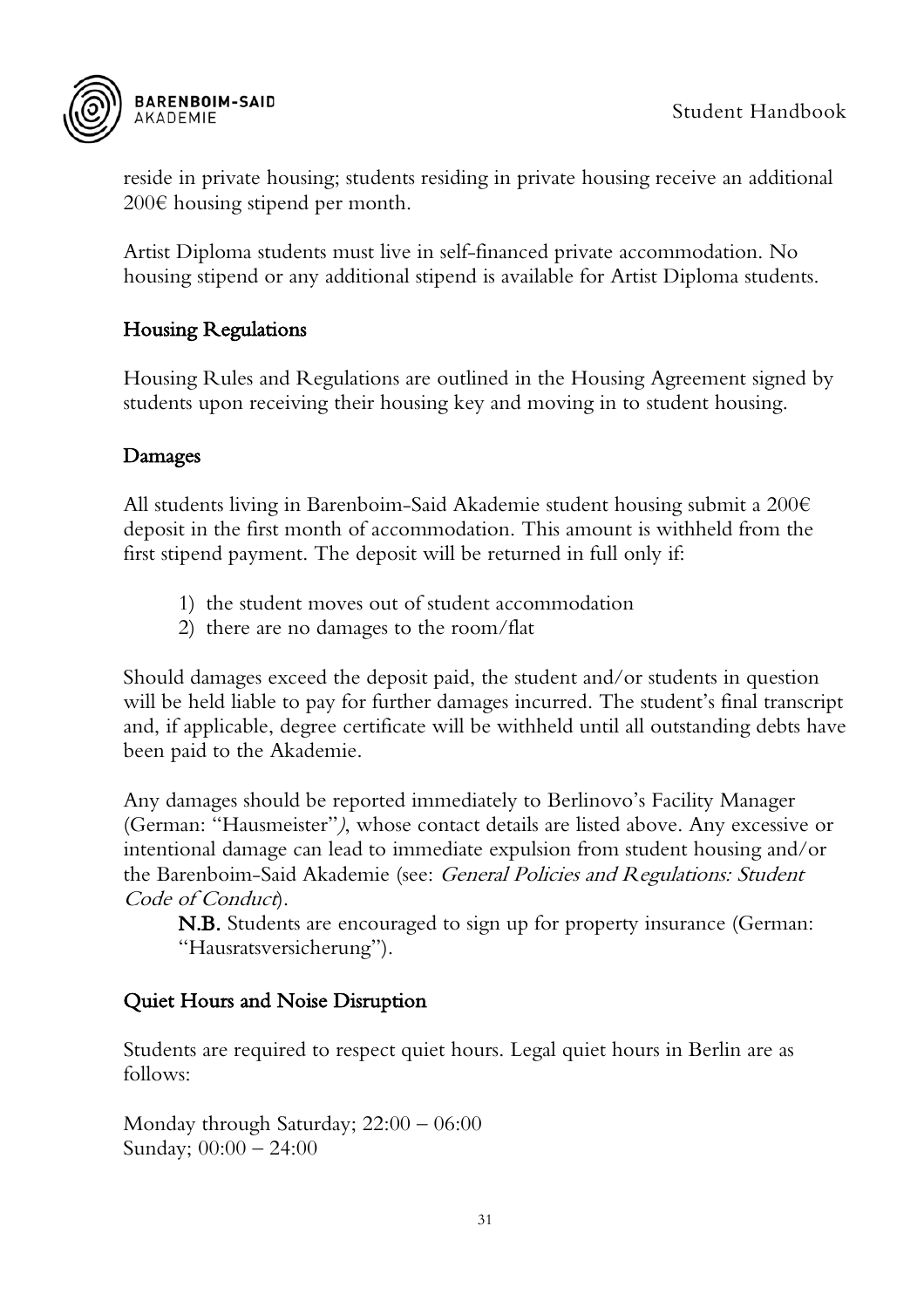

reside in private housing; students residing in private housing receive an additional 200€ housing stipend per month.

Artist Diploma students must live in self-financed private accommodation. No housing stipend or any additional stipend is available for Artist Diploma students.

#### <span id="page-31-0"></span>Housing Regulations

Housing Rules and Regulations are outlined in the Housing Agreement signed by students upon receiving their housing key and moving in to student housing.

#### <span id="page-31-1"></span>Damages

All students living in Barenboim-Said Akademie student housing submit a 200€ deposit in the first month of accommodation. This amount is withheld from the first stipend payment. The deposit will be returned in full only if:

- 1) the student moves out of student accommodation
- 2) there are no damages to the room/flat

Should damages exceed the deposit paid, the student and/or students in question will be held liable to pay for further damages incurred. The student's final transcript and, if applicable, degree certificate will be withheld until all outstanding debts have been paid to the Akademie.

Any damages should be reported immediately to Berlinovo's Facility Manager (German: "Hausmeister"), whose contact details are listed above. Any excessive or intentional damage can lead to immediate expulsion from student housing and/or the Barenboim-Said Akademie (see: General Policies and Regulations: Student Code of Conduct.

N.B. Students are encouraged to sign up for property insurance (German: "Hausratsversicherung").

#### <span id="page-31-2"></span>Quiet Hours and Noise Disruption

Students are required to respect quiet hours. Legal quiet hours in Berlin are as follows:

Monday through Saturday; 22:00 – 06:00 Sunday; 00:00 – 24:00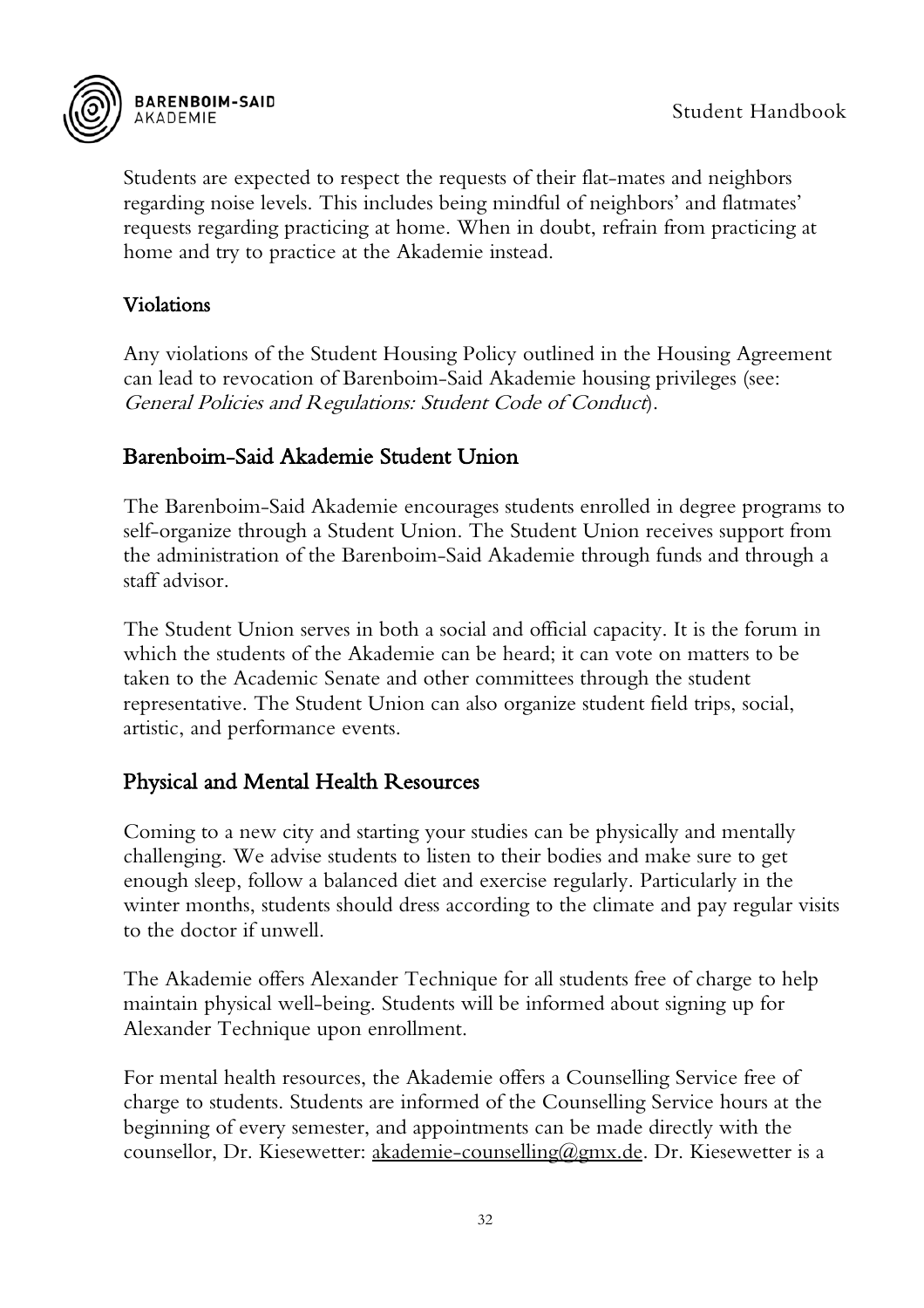

Students are expected to respect the requests of their flat-mates and neighbors regarding noise levels. This includes being mindful of neighbors' and flatmates' requests regarding practicing at home. When in doubt, refrain from practicing at home and try to practice at the Akademie instead.

#### <span id="page-32-0"></span>Violations

Any violations of the Student Housing Policy outlined in the Housing Agreement can lead to revocation of Barenboim-Said Akademie housing privileges (see: General Policies and Regulations: Student Code of Conduct).

#### <span id="page-32-1"></span>Barenboim-Said Akademie Student Union

The Barenboim-Said Akademie encourages students enrolled in degree programs to self-organize through a Student Union. The Student Union receives support from the administration of the Barenboim-Said Akademie through funds and through a staff advisor.

The Student Union serves in both a social and official capacity. It is the forum in which the students of the Akademie can be heard; it can vote on matters to be taken to the Academic Senate and other committees through the student representative. The Student Union can also organize student field trips, social, artistic, and performance events.

#### <span id="page-32-2"></span>Physical and Mental Health Resources

Coming to a new city and starting your studies can be physically and mentally challenging. We advise students to listen to their bodies and make sure to get enough sleep, follow a balanced diet and exercise regularly. Particularly in the winter months, students should dress according to the climate and pay regular visits to the doctor if unwell.

The Akademie offers Alexander Technique for all students free of charge to help maintain physical well-being. Students will be informed about signing up for Alexander Technique upon enrollment.

For mental health resources, the Akademie offers a Counselling Service free of charge to students. Students are informed of the Counselling Service hours at the beginning of every semester, and appointments can be made directly with the counsellor, Dr. Kiesewetter: akademie-counselling@gmx.de. Dr. Kiesewetter is a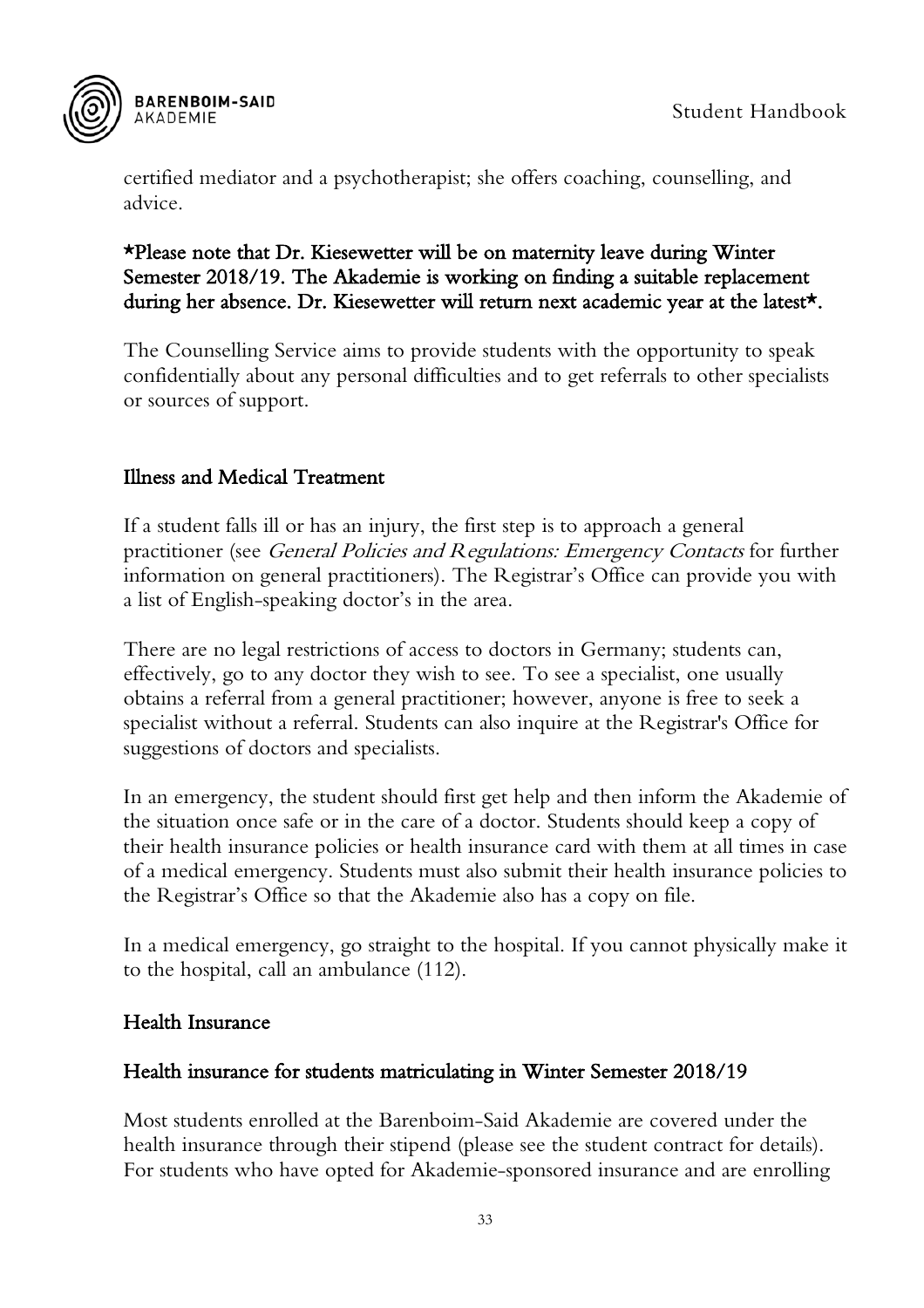

certified mediator and a psychotherapist; she offers coaching, counselling, and advice.

#### \*Please note that Dr. Kiesewetter will be on maternity leave during Winter Semester 2018/19. The Akademie is working on finding a suitable replacement during her absence. Dr. Kiesewetter will return next academic year at the latest\*.

The Counselling Service aims to provide students with the opportunity to speak confidentially about any personal difficulties and to get referrals to other specialists or sources of support.

#### <span id="page-33-0"></span>Illness and Medical Treatment

If a student falls ill or has an injury, the first step is to approach a general practitioner (see General Policies and Regulations: Emergency Contacts for further information on general practitioners). The Registrar's Office can provide you with a list of English-speaking doctor's in the area.

There are no legal restrictions of access to doctors in Germany; students can, effectively, go to any doctor they wish to see. To see a specialist, one usually obtains a referral from a general practitioner; however, anyone is free to seek a specialist without a referral. Students can also inquire at the Registrar's Office for suggestions of doctors and specialists.

In an emergency, the student should first get help and then inform the Akademie of the situation once safe or in the care of a doctor. Students should keep a copy of their health insurance policies or health insurance card with them at all times in case of a medical emergency. Students must also submit their health insurance policies to the Registrar's Office so that the Akademie also has a copy on file.

In a medical emergency, go straight to the hospital. If you cannot physically make it to the hospital, call an ambulance (112).

#### <span id="page-33-1"></span>Health Insurance

#### Health insurance for students matriculating in Winter Semester 2018/19

Most students enrolled at the Barenboim-Said Akademie are covered under the health insurance through their stipend (please see the student contract for details). For students who have opted for Akademie-sponsored insurance and are enrolling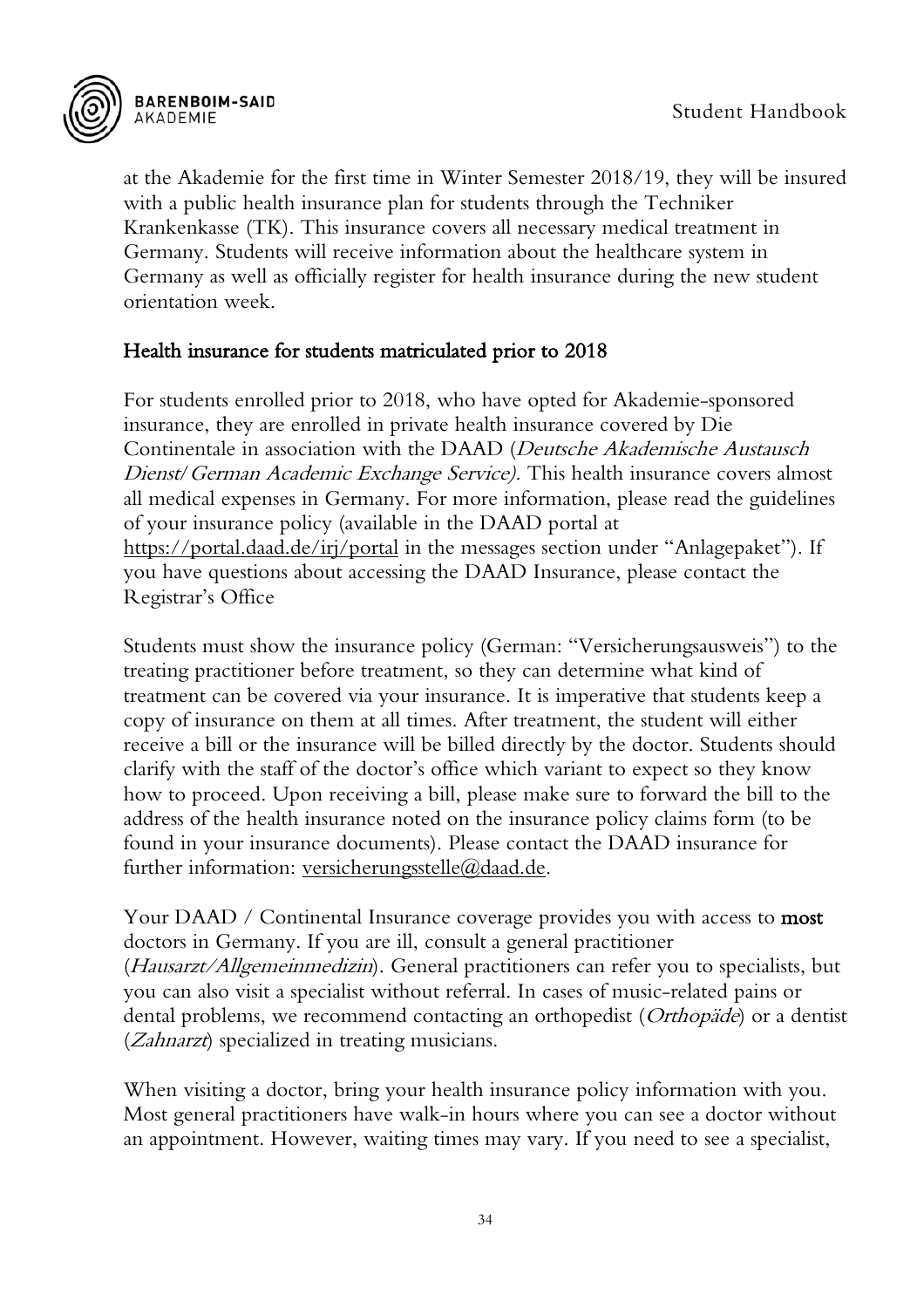

at the Akademie for the first time in Winter Semester 2018/19, they will be insured with a public health insurance plan for students through the Techniker Krankenkasse (TK). This insurance covers all necessary medical treatment in Germany. Students will receive information about the healthcare system in Germany as well as officially register for health insurance during the new student orientation week.

#### Health insurance for students matriculated prior to 2018

For students enrolled prior to 2018, who have opted for Akademie-sponsored insurance, they are enrolled in private health insurance covered by Die Continentale in association with the DAAD (Deutsche Akademische Austausch Dienst/German Academic Exchange Service). This health insurance covers almost all medical expenses in Germany. For more information, please read the guidelines of your insurance policy (available in the DAAD portal at <https://portal.daad.de/irj/portal> in the messages section under "Anlagepaket"). If you have questions about accessing the DAAD Insurance, please contact the Registrar's Office

Students must show the insurance policy (German: "Versicherungsausweis") to the treating practitioner before treatment, so they can determine what kind of treatment can be covered via your insurance. It is imperative that students keep a copy of insurance on them at all times. After treatment, the student will either receive a bill or the insurance will be billed directly by the doctor. Students should clarify with the staff of the doctor's office which variant to expect so they know how to proceed. Upon receiving a bill, please make sure to forward the bill to the address of the health insurance noted on the insurance policy claims form (to be found in your insurance documents). Please contact the DAAD insurance for further information: <u>versicherungsstelle</u>@daad.de.

Your DAAD / Continental Insurance coverage provides you with access to **most** doctors in Germany. If you are ill, consult a general practitioner (Hausarzt/Allgemeinmedizin). General practitioners can refer you to specialists, but you can also visit a specialist without referral. In cases of music-related pains or dental problems, we recommend contacting an orthopedist (Orthopäde) or a dentist (*Zahnarzt*) specialized in treating musicians.

When visiting a doctor, bring your health insurance policy information with you. Most general practitioners have walk-in hours where you can see a doctor without an appointment. However, waiting times may vary. If you need to see a specialist,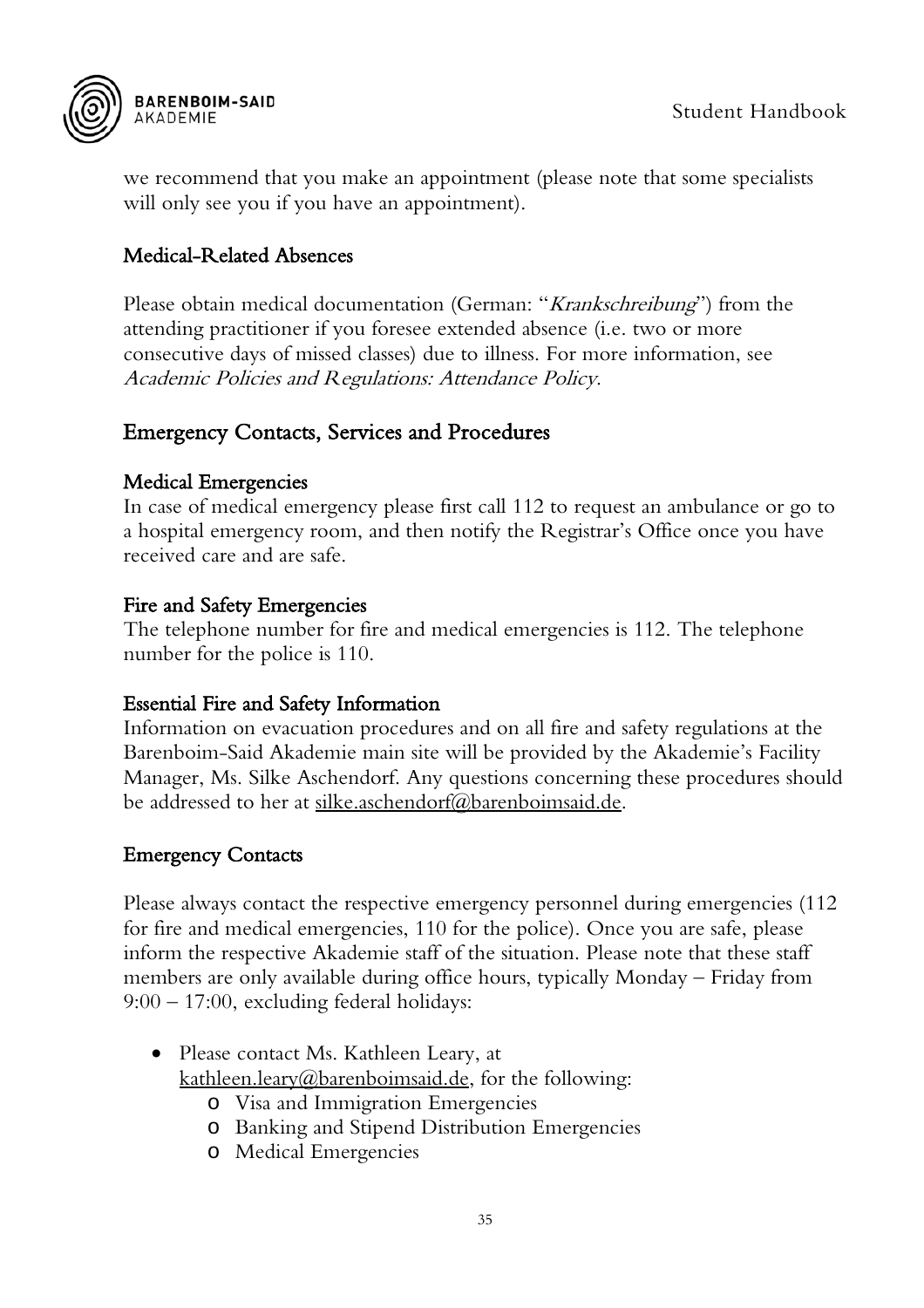

we recommend that you make an appointment (please note that some specialists will only see you if you have an appointment).

#### <span id="page-35-0"></span>Medical-Related Absences

Please obtain medical documentation (German: "*Krankschreibung*") from the attending practitioner if you foresee extended absence (i.e. two or more consecutive days of missed classes) due to illness. For more information, see Academic Policies and Regulations: Attendance Policy.

#### <span id="page-35-1"></span>Emergency Contacts, Services and Procedures

#### Medical Emergencies

In case of medical emergency please first call 112 to request an ambulance or go to a hospital emergency room, and then notify the Registrar's Office once you have received care and are safe.

#### Fire and Safety Emergencies

The telephone number for fire and medical emergencies is 112. The telephone number for the police is 110.

#### Essential Fire and Safety Information

Information on evacuation procedures and on all fire and safety regulations at the Barenboim-Said Akademie main site will be provided by the Akademie's Facility Manager, Ms. Silke Aschendorf. Any questions concerning these procedures should be addressed to her at <u>silke.aschendorf@barenboimsaid.de</u>.

#### <span id="page-35-2"></span>Emergency Contacts

Please always contact the respective emergency personnel during emergencies (112 for fire and medical emergencies, 110 for the police). Once you are safe, please inform the respective Akademie staff of the situation. Please note that these staff members are only available during office hours, typically Monday – Friday from 9:00 – 17:00, excluding federal holidays:

- Please contact Ms. Kathleen Leary, at kathleen.leary@barenboimsaid.de, for the following:
	- o Visa and Immigration Emergencies
	- o Banking and Stipend Distribution Emergencies
	- o Medical Emergencies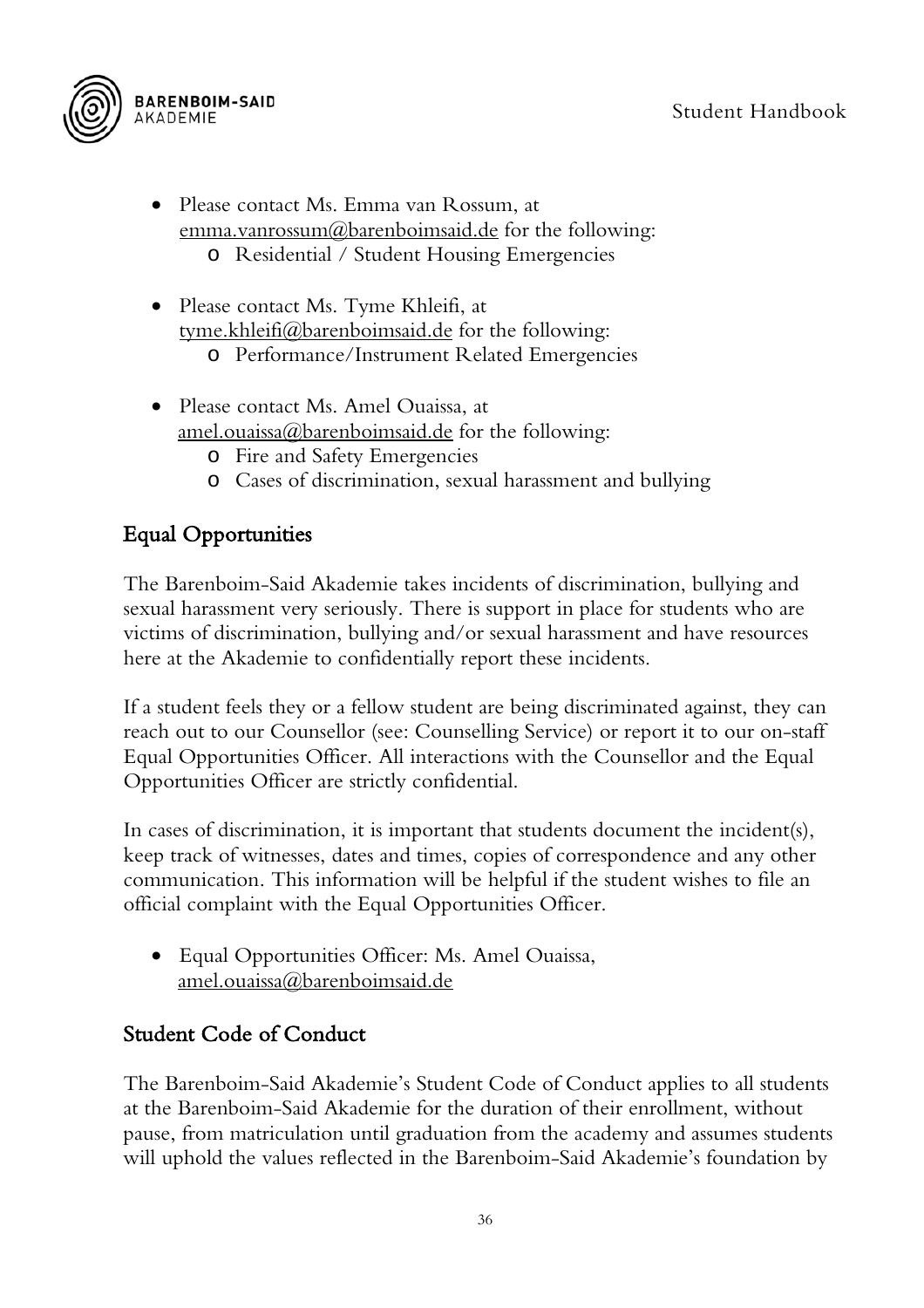

- Please contact Ms. Emma van Rossum, at [emma.vanrossum@barenboimsaid.de](mailto:emma.vanrossum@barenboimsaid.de) for the following: o Residential / Student Housing Emergencies
- Please contact Ms. Tyme Khleifi, at tyme.khleifi@barenboimsaid.de for the following:
	- o Performance/Instrument Related Emergencies
- Please contact Ms. Amel Ouaissa, at amel.ouaissa@barenboimsaid.de for the following:
	- o Fire and Safety Emergencies
	- o Cases of discrimination, sexual harassment and bullying

## <span id="page-36-0"></span>Equal Opportunities

The Barenboim-Said Akademie takes incidents of discrimination, bullying and sexual harassment very seriously. There is support in place for students who are victims of discrimination, bullying and/or sexual harassment and have resources here at the Akademie to confidentially report these incidents.

If a student feels they or a fellow student are being discriminated against, they can reach out to our Counsellor (see: Counselling Service) or report it to our on-staff Equal Opportunities Officer. All interactions with the Counsellor and the Equal Opportunities Officer are strictly confidential.

In cases of discrimination, it is important that students document the incident(s), keep track of witnesses, dates and times, copies of correspondence and any other communication. This information will be helpful if the student wishes to file an official complaint with the Equal Opportunities Officer.

• Equal Opportunities Officer: Ms. Amel Ouaissa, amel.ouaissa@barenboimsaid.de

## <span id="page-36-1"></span>Student Code of Conduct

The Barenboim-Said Akademie's Student Code of Conduct applies to all students at the Barenboim-Said Akademie for the duration of their enrollment, without pause, from matriculation until graduation from the academy and assumes students will uphold the values reflected in the Barenboim-Said Akademie's foundation by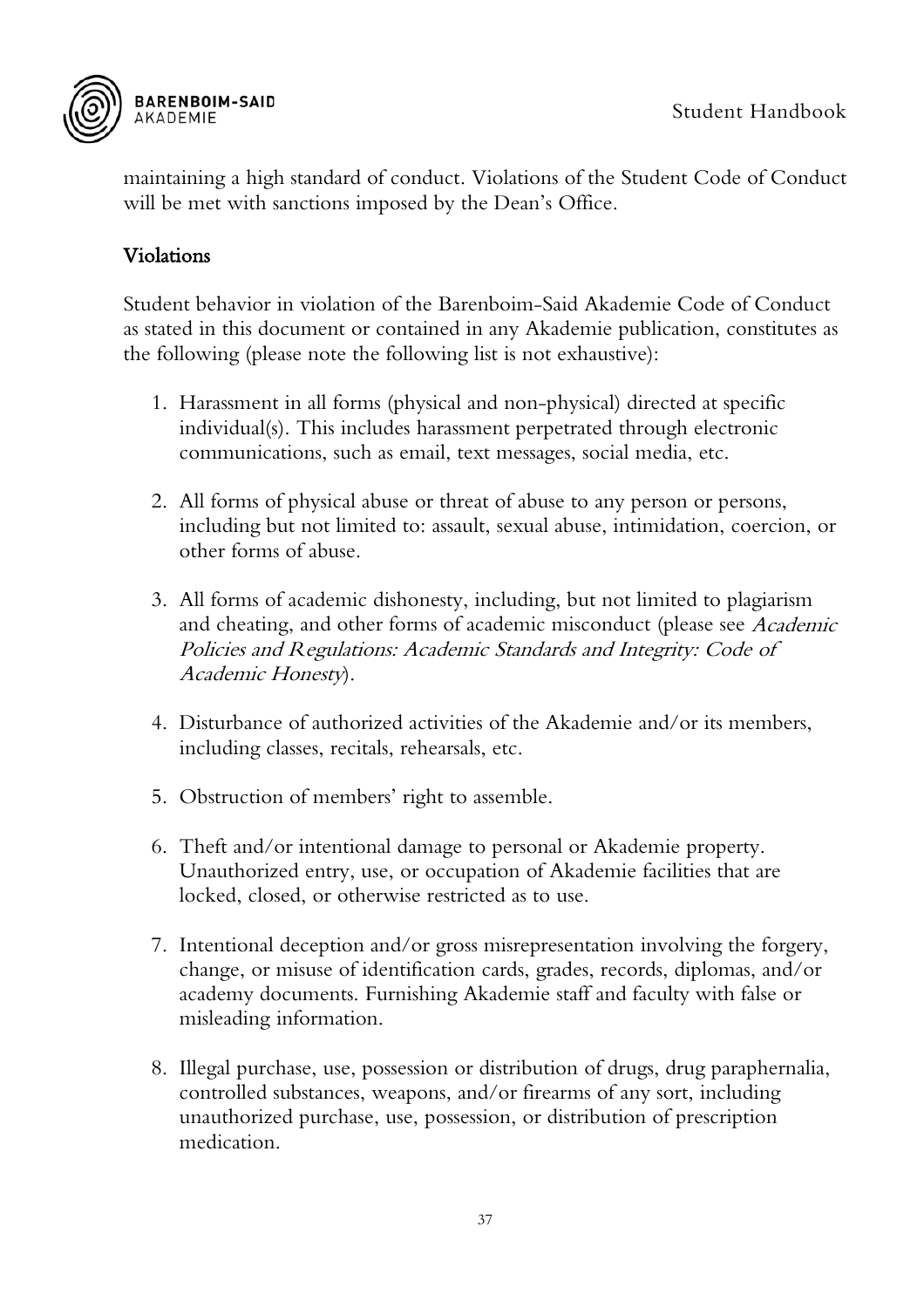

maintaining a high standard of conduct. Violations of the Student Code of Conduct will be met with sanctions imposed by the Dean's Office.

#### <span id="page-37-0"></span>Violations

Student behavior in violation of the Barenboim-Said Akademie Code of Conduct as stated in this document or contained in any Akademie publication, constitutes as the following (please note the following list is not exhaustive):

- 1. Harassment in all forms (physical and non-physical) directed at specific individual(s). This includes harassment perpetrated through electronic communications, such as email, text messages, social media, etc.
- 2. All forms of physical abuse or threat of abuse to any person or persons, including but not limited to: assault, sexual abuse, intimidation, coercion, or other forms of abuse.
- 3. All forms of academic dishonesty, including, but not limited to plagiarism and cheating, and other forms of academic misconduct (please see Academic Policies and Regulations: Academic Standards and Integrity: Code of Academic Honesty).
- 4. Disturbance of authorized activities of the Akademie and/or its members, including classes, recitals, rehearsals, etc.
- 5. Obstruction of members' right to assemble.
- 6. Theft and/or intentional damage to personal or Akademie property. Unauthorized entry, use, or occupation of Akademie facilities that are locked, closed, or otherwise restricted as to use.
- 7. Intentional deception and/or gross misrepresentation involving the forgery, change, or misuse of identification cards, grades, records, diplomas, and/or academy documents. Furnishing Akademie staff and faculty with false or misleading information.
- 8. Illegal purchase, use, possession or distribution of drugs, drug paraphernalia, controlled substances, weapons, and/or firearms of any sort, including unauthorized purchase, use, possession, or distribution of prescription medication.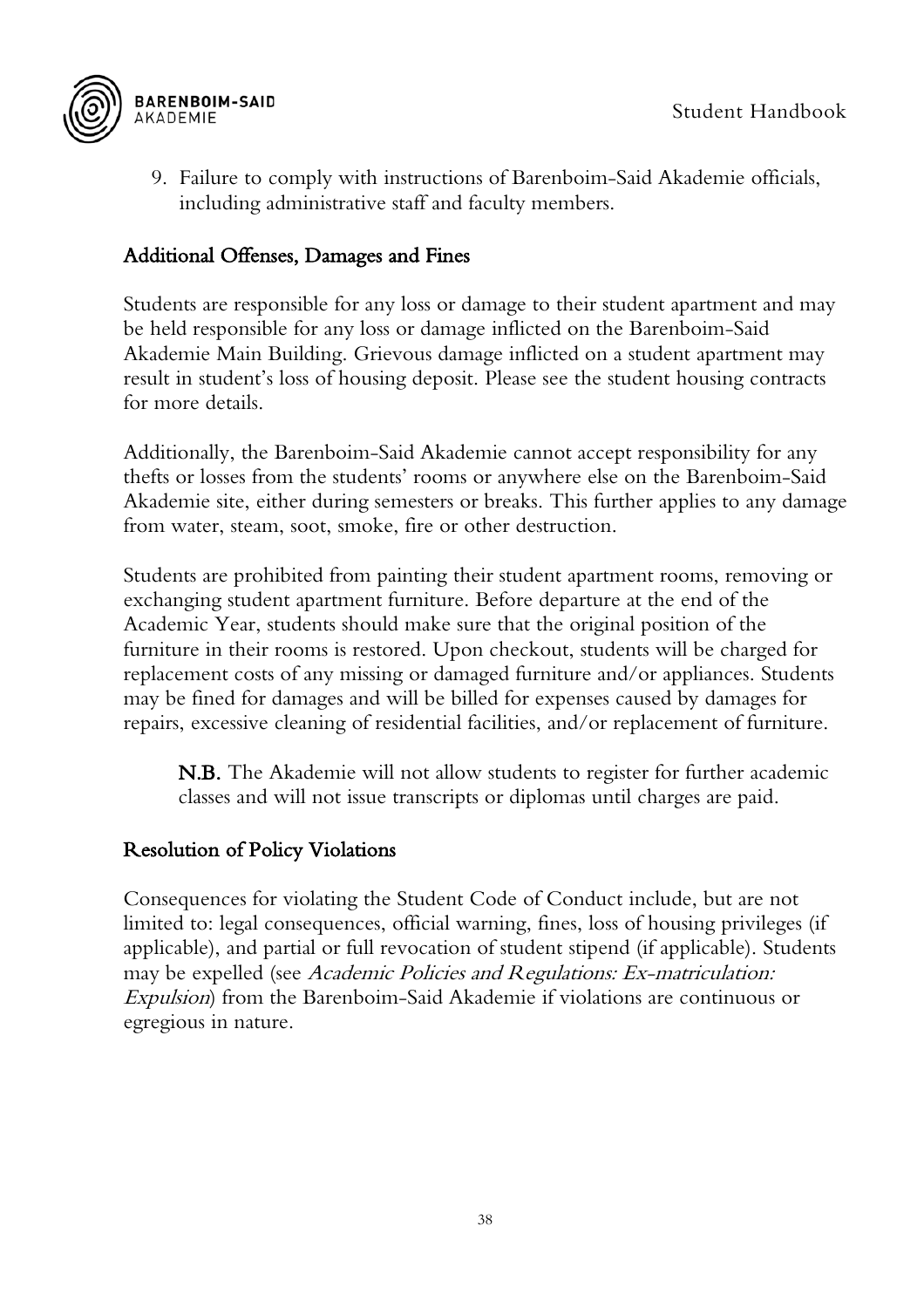

9. Failure to comply with instructions of Barenboim-Said Akademie officials, including administrative staff and faculty members.

#### <span id="page-38-0"></span>Additional Offenses, Damages and Fines

Students are responsible for any loss or damage to their student apartment and may be held responsible for any loss or damage inflicted on the Barenboim-Said Akademie Main Building. Grievous damage inflicted on a student apartment may result in student's loss of housing deposit. Please see the student housing contracts for more details.

Additionally, the Barenboim-Said Akademie cannot accept responsibility for any thefts or losses from the students' rooms or anywhere else on the Barenboim-Said Akademie site, either during semesters or breaks. This further applies to any damage from water, steam, soot, smoke, fire or other destruction.

Students are prohibited from painting their student apartment rooms, removing or exchanging student apartment furniture. Before departure at the end of the Academic Year, students should make sure that the original position of the furniture in their rooms is restored. Upon checkout, students will be charged for replacement costs of any missing or damaged furniture and/or appliances. Students may be fined for damages and will be billed for expenses caused by damages for repairs, excessive cleaning of residential facilities, and/or replacement of furniture.

N.B. The Akademie will not allow students to register for further academic classes and will not issue transcripts or diplomas until charges are paid.

#### <span id="page-38-1"></span>Resolution of Policy Violations

Consequences for violating the Student Code of Conduct include, but are not limited to: legal consequences, official warning, fines, loss of housing privileges (if applicable), and partial or full revocation of student stipend (if applicable). Students may be expelled (see *Academic Policies and Regulations: Ex-matriculation:* Expulsion) from the Barenboim-Said Akademie if violations are continuous or egregious in nature.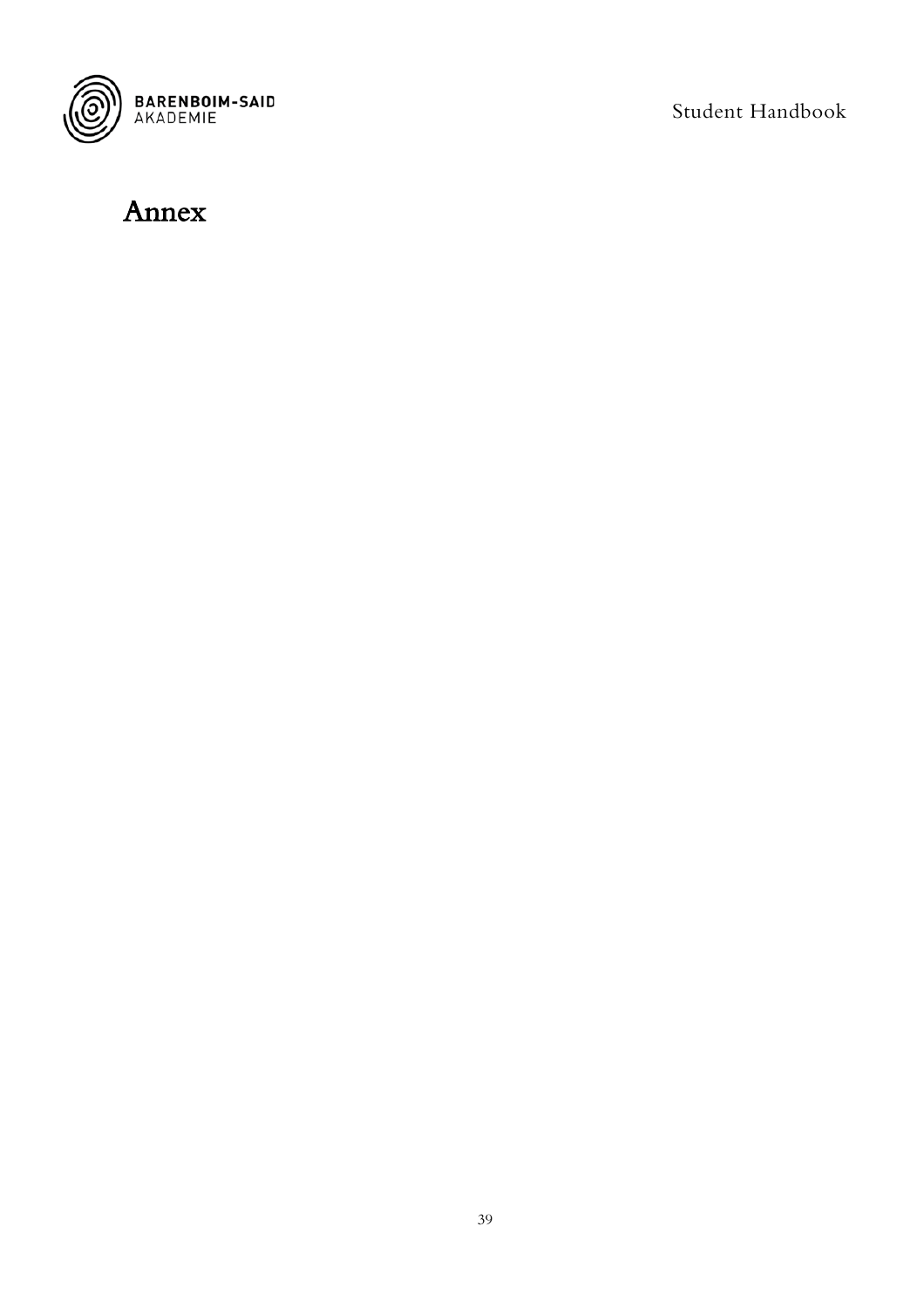

## <span id="page-39-0"></span>Annex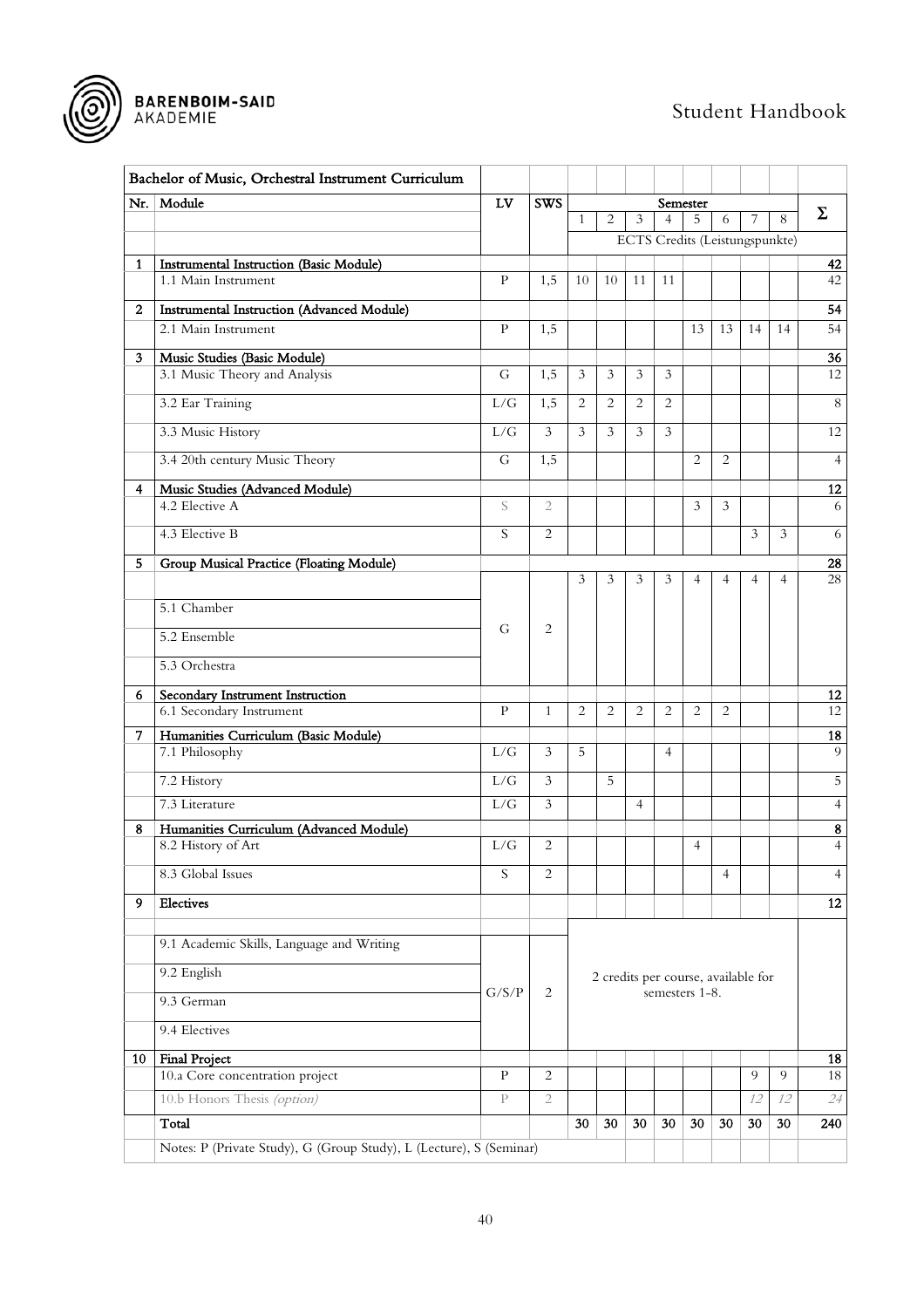

<span id="page-40-0"></span>

|                | Bachelor of Music, Orchestral Instrument Curriculum                 |              |                |              |                |                                |                |                                     |                |                |                |                |
|----------------|---------------------------------------------------------------------|--------------|----------------|--------------|----------------|--------------------------------|----------------|-------------------------------------|----------------|----------------|----------------|----------------|
| Nr.            | Module                                                              | LV           | <b>SWS</b>     |              |                |                                |                | Semester                            |                |                |                |                |
|                |                                                                     |              |                | $\mathbf{1}$ | $\overline{c}$ | 3                              | $\overline{4}$ | 5                                   | 6              | 7              | 8              | Σ              |
|                |                                                                     |              |                |              |                | ECTS Credits (Leistungspunkte) |                |                                     |                |                |                |                |
| $\mathbf{1}$   | <b>Instrumental Instruction (Basic Module)</b>                      |              |                |              |                |                                |                |                                     |                |                |                | 42             |
|                | 1.1 Main Instrument                                                 | P            | 1,5            | 10           | 10             | 11                             | 11             |                                     |                |                |                | 42             |
| $\mathbf{2}$   | <b>Instrumental Instruction (Advanced Module)</b>                   |              |                |              |                |                                |                |                                     |                |                |                | 54             |
|                | 2.1 Main Instrument                                                 | $\mathbf{P}$ | 1,5            |              |                |                                |                | 13                                  | 13             | 14             | 14             | 54             |
| 3 <sup>1</sup> | Music Studies (Basic Module)                                        |              |                |              |                |                                |                |                                     |                |                |                | 36             |
|                | 3.1 Music Theory and Analysis                                       | G            | 1,5            | 3            | 3              | 3                              | 3              |                                     |                |                |                | 12             |
|                | 3.2 Ear Training                                                    | L/G          | 1,5            | 2            | $\overline{c}$ | $\overline{2}$                 | $\overline{c}$ |                                     |                |                |                | $\,8\,$        |
|                | 3.3 Music History                                                   | L/G          | 3              | 3            | 3              | 3                              | $\mathfrak{Z}$ |                                     |                |                |                | 12             |
|                | 3.4 20th century Music Theory                                       | G            | 1,5            |              |                |                                |                | 2                                   | 2              |                |                | $\overline{4}$ |
| $\overline{4}$ | Music Studies (Advanced Module)                                     |              |                |              |                |                                |                |                                     |                |                |                | 12             |
|                | 4.2 Elective A                                                      | S            | $\overline{2}$ |              |                |                                |                | 3                                   | 3              |                |                | 6              |
|                | 4.3 Elective B                                                      | S            | $\overline{c}$ |              |                |                                |                |                                     |                | $\mathfrak{Z}$ | 3              | 6              |
| 5              | Group Musical Practice (Floating Module)                            |              |                |              |                |                                |                |                                     |                |                |                | 28             |
|                |                                                                     |              |                | 3            | 3              | 3                              | 3              | $\overline{4}$                      | $\overline{4}$ | $\overline{4}$ | $\overline{4}$ | 28             |
|                | 5.1 Chamber                                                         |              |                |              |                |                                |                |                                     |                |                |                |                |
|                | 5.2 Ensemble                                                        | G            | 2              |              |                |                                |                |                                     |                |                |                |                |
|                | 5.3 Orchestra                                                       |              |                |              |                |                                |                |                                     |                |                |                |                |
| 6.             | Secondary Instrument Instruction                                    |              |                |              |                |                                |                |                                     |                |                |                | 12             |
|                | 6.1 Secondary Instrument                                            | $\mathbf{P}$ | $\mathbf{1}$   | 2            | $\overline{2}$ | 2                              | 2              | 2                                   | 2              |                |                | 12             |
| 7.             | Humanities Curriculum (Basic Module)                                |              |                |              |                |                                |                |                                     |                |                |                | 18             |
|                | 7.1 Philosophy                                                      | L/G          | 3              | 5            |                |                                | $\overline{4}$ |                                     |                |                |                | $\mathbf Q$    |
|                | 7.2 History                                                         | L/G          | $\mathfrak{Z}$ |              | 5              |                                |                |                                     |                |                |                | $\overline{5}$ |
|                | 7.3 Literature                                                      | L/G          | $\mathfrak{Z}$ |              |                | $\overline{4}$                 |                |                                     |                |                |                | $\overline{4}$ |
| 8              | Humanities Curriculum (Advanced Module)                             |              |                |              |                |                                |                |                                     |                |                |                | 8              |
|                | 8.2 History of Art                                                  | L/G          | 2              |              |                |                                |                | 4                                   |                |                |                | $\overline{4}$ |
|                | 8.3 Global Issues                                                   | S            | 2              |              |                |                                |                |                                     | $\overline{4}$ |                |                | $\overline{4}$ |
| 9              | Electives                                                           |              |                |              |                |                                |                |                                     |                |                |                | 12             |
|                | 9.1 Academic Skills, Language and Writing                           |              |                |              |                |                                |                |                                     |                |                |                |                |
|                | 9.2 English                                                         |              |                |              |                |                                |                | 2 credits per course, available for |                |                |                |                |
|                | 9.3 German                                                          | G/S/P        | 2              |              |                |                                |                | semesters 1-8.                      |                |                |                |                |
|                | 9.4 Electives                                                       |              |                |              |                |                                |                |                                     |                |                |                |                |
| 10             | <b>Final Project</b>                                                |              |                |              |                |                                |                |                                     |                |                |                | 18             |
|                | 10.a Core concentration project                                     | $\mathbf{P}$ | $\overline{c}$ |              |                |                                |                |                                     |                | 9              | $\overline{9}$ | 18             |
|                | 10.b Honors Thesis (option)                                         | $\mathbf{P}$ | $\mathfrak{2}$ |              |                |                                |                |                                     |                | 12             | 12             | 24             |
|                | Total                                                               |              |                | 30           | 30             | 30                             | 30             | 30                                  | 30             | 30             | 30             | 240            |
|                | Notes: P (Private Study), G (Group Study), L (Lecture), S (Seminar) |              |                |              |                |                                |                |                                     |                |                |                |                |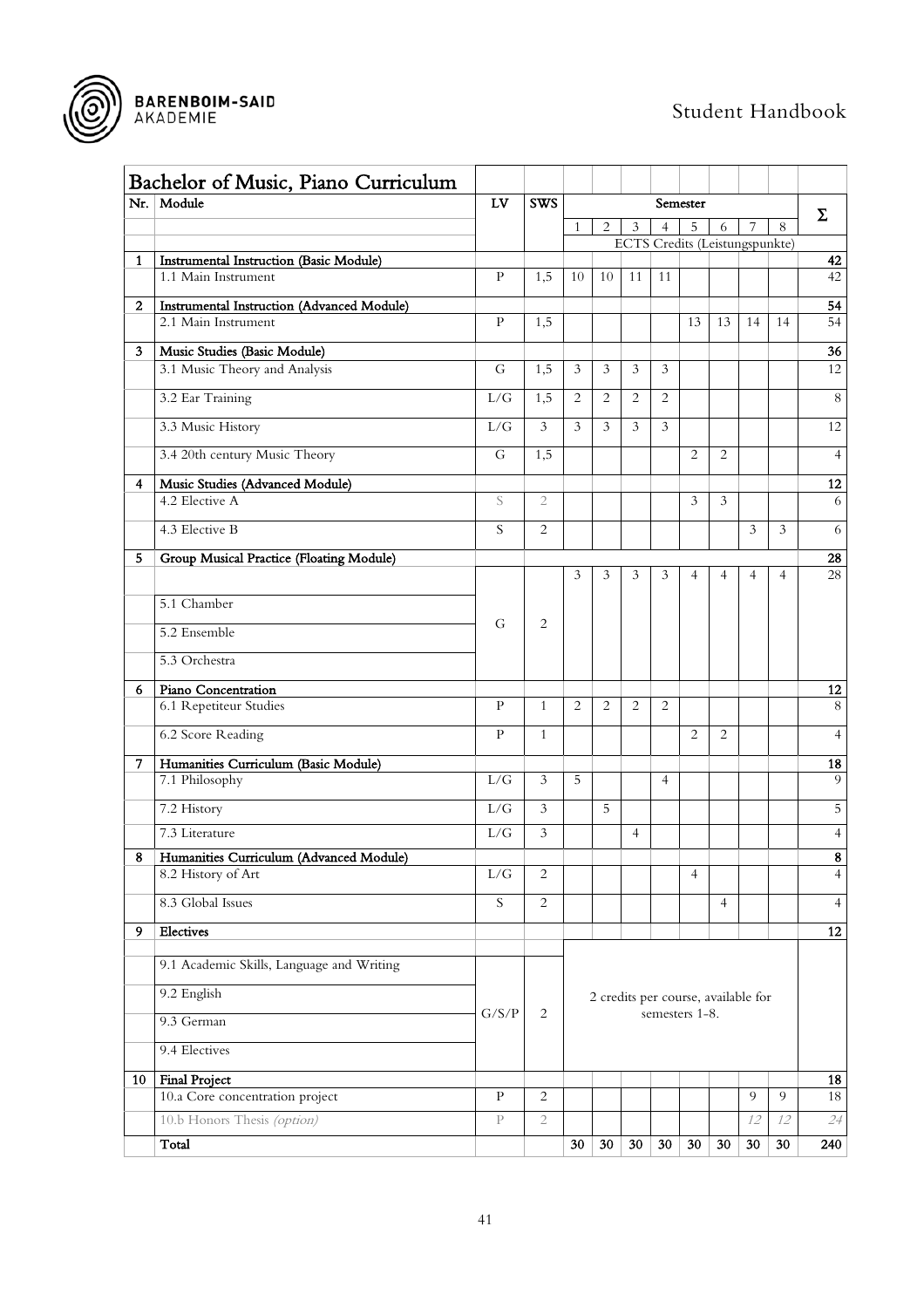



<span id="page-41-0"></span>

|                | Bachelor of Music, Piano Curriculum<br>Nr. Module                     | LV            | <b>SWS</b>     |                |                |                |                | Semester       |                                     |                |                |                         |
|----------------|-----------------------------------------------------------------------|---------------|----------------|----------------|----------------|----------------|----------------|----------------|-------------------------------------|----------------|----------------|-------------------------|
|                |                                                                       |               |                |                | 2              | 3              | 4              | 7              | 8                                   | $\Sigma$       |                |                         |
|                |                                                                       |               |                |                |                |                |                | 5              | 6<br>ECTS Credits (Leistungspunkte) |                |                |                         |
| $\mathbf{1}$   | <b>Instrumental Instruction (Basic Module)</b><br>1.1 Main Instrument | P             | 1,5            | 10             | 10             | 11             | 11             |                |                                     |                |                | 42<br>42                |
|                |                                                                       |               |                |                |                |                |                |                |                                     |                |                |                         |
| $\mathbf{2}$   | Instrumental Instruction (Advanced Module)<br>2.1 Main Instrument     | P             | 1,5            |                |                |                |                | 13             | 13                                  | 14             | 14             | 54<br>54                |
|                |                                                                       |               |                |                |                |                |                |                |                                     |                |                |                         |
| 3              | Music Studies (Basic Module)<br>3.1 Music Theory and Analysis         | G             | 1,5            | 3              | 3              | 3              | 3              |                |                                     |                |                | 36<br>12                |
|                |                                                                       |               |                |                |                |                |                |                |                                     |                |                |                         |
|                | 3.2 Ear Training                                                      | L/G           | 1,5            | $\overline{2}$ | 2              | $\overline{2}$ | 2              |                |                                     |                |                | $\overline{8}$          |
|                | 3.3 Music History                                                     | L/G           | $\mathfrak{Z}$ | 3              | $\overline{3}$ | 3              | 3              |                |                                     |                |                | 12                      |
|                | 3.4 20th century Music Theory                                         | G             | 1,5            |                |                |                |                | $\overline{2}$ | $\overline{2}$                      |                |                | $\overline{4}$          |
| $\overline{4}$ | Music Studies (Advanced Module)                                       |               |                |                |                |                |                |                |                                     |                |                | 12                      |
|                | 4.2 Elective A                                                        | S             | $\mathbf{2}$   |                |                |                |                | 3              | $\overline{3}$                      |                |                | 6                       |
|                | 4.3 Elective B                                                        | S             | $\overline{c}$ |                |                |                |                |                |                                     | $\mathfrak{Z}$ | $\mathfrak{Z}$ | 6                       |
| 5              | Group Musical Practice (Floating Module)                              |               |                |                |                |                |                |                |                                     |                |                | 28                      |
|                |                                                                       |               |                | 3              | 3              | 3              | 3              | $\overline{4}$ | $\overline{4}$                      | 4              | $\overline{4}$ | 28                      |
|                | 5.1 Chamber                                                           |               |                |                |                |                |                |                |                                     |                |                |                         |
|                | 5.2 Ensemble                                                          | G             | 2              |                |                |                |                |                |                                     |                |                |                         |
|                | 5.3 Orchestra                                                         |               |                |                |                |                |                |                |                                     |                |                |                         |
| 6              | Piano Concentration                                                   |               |                |                |                |                |                |                |                                     |                |                | 12                      |
|                | 6.1 Repetiteur Studies                                                | P             | $\mathbf{1}$   | $\overline{2}$ | 2              | $\overline{2}$ | 2              |                |                                     |                |                | 8                       |
|                | 6.2 Score Reading                                                     | P             | $\mathbf{1}$   |                |                |                |                | $\overline{2}$ | $\overline{2}$                      |                |                | $\overline{4}$          |
| 7              | Humanities Curriculum (Basic Module)                                  |               |                |                |                |                |                |                |                                     |                |                | 18                      |
|                | 7.1 Philosophy                                                        | L/G           | 3              | 5              |                |                | 4              |                |                                     |                |                | 9                       |
|                | 7.2 History                                                           | L/G           | $\mathfrak{Z}$ |                | 5              |                |                |                |                                     |                |                | 5                       |
|                | 7.3 Literature                                                        | L/G           | 3              |                |                | 4              |                |                |                                     |                |                | $\overline{4}$          |
| 8              | Humanities Curriculum (Advanced Module)                               |               |                |                |                |                |                |                |                                     |                |                | $\overline{\mathbf{8}}$ |
|                | 8.2 History of Art                                                    | L/G           | $\overline{c}$ |                |                |                |                | $\overline{4}$ |                                     |                |                | $\overline{4}$          |
|                | 8.3 Global Issues                                                     | S             | $\overline{2}$ |                |                |                |                |                | $\overline{4}$                      |                |                | $\overline{4}$          |
| 9              | Electives                                                             |               |                |                |                |                |                |                |                                     |                |                | 12                      |
|                | 9.1 Academic Skills, Language and Writing                             |               |                |                |                |                |                |                |                                     |                |                |                         |
|                | 9.2 English                                                           |               |                |                |                |                |                |                | 2 credits per course, available for |                |                |                         |
|                | 9.3 German                                                            | ${\rm G/S/P}$ | $\mathbf{2}$   |                |                |                | semesters 1-8. |                |                                     |                |                |                         |
|                | 9.4 Electives                                                         |               |                |                |                |                |                |                |                                     |                |                |                         |
| 10             | <b>Final Project</b>                                                  |               |                |                |                |                |                |                |                                     |                |                | 18                      |
|                | 10.a Core concentration project                                       | ${\bf p}$     | $\overline{c}$ |                |                |                |                |                |                                     | 9              | 9              | 18                      |
|                | 10.b Honors Thesis (option)                                           | P             | $\overline{2}$ |                |                |                |                |                |                                     | 12             | 12             | 24                      |
|                | Total                                                                 |               |                | 30             | $30\,$         | 30             | 30             | 30             | 30                                  | 30             | 30             | 240                     |